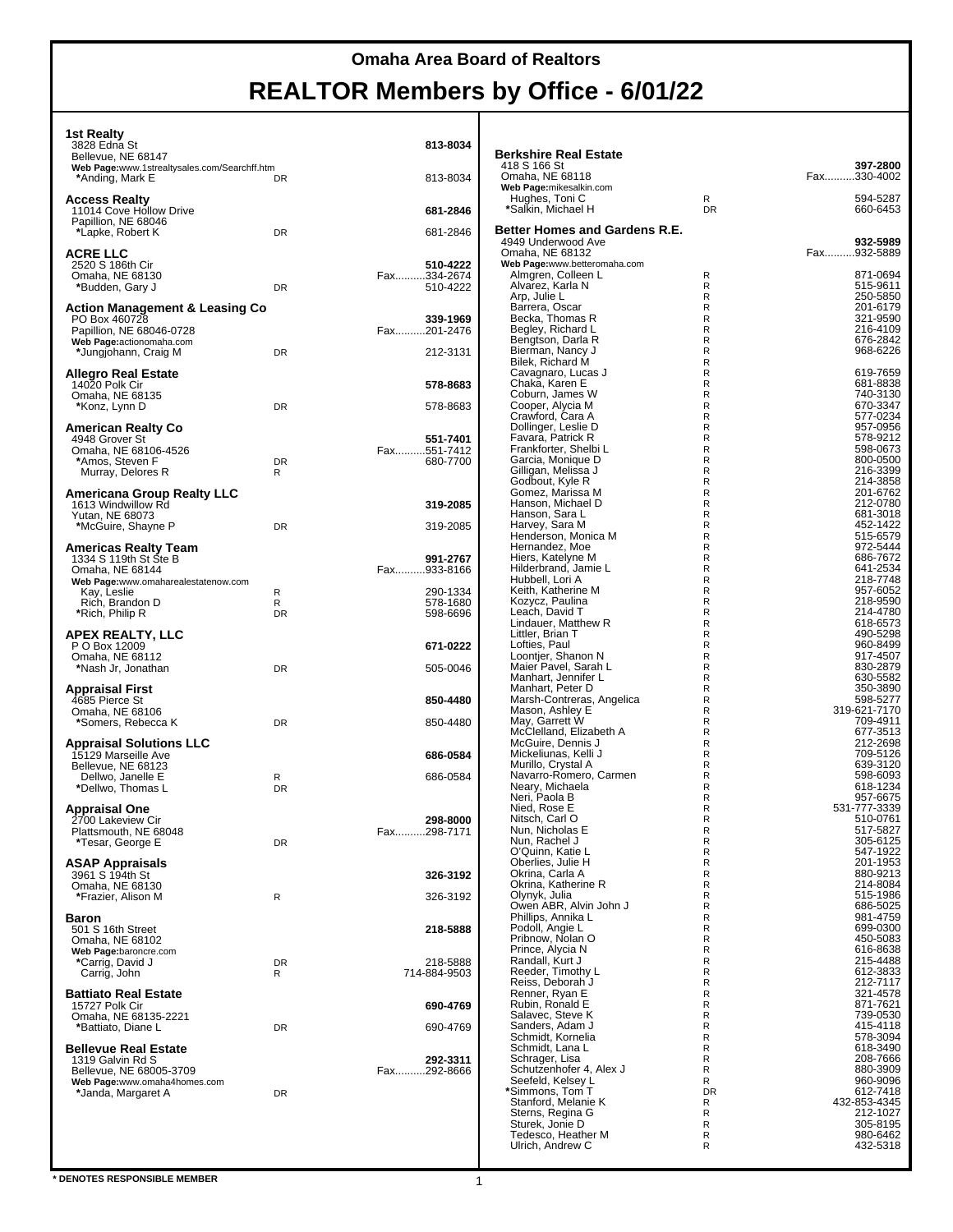| 1st Realty<br>3828 Edna St<br>Bellevue, NE 68147<br>Web Page:www.1strealtysales.com/Searchff.htm<br>*Anding, Mark E                        | DR           | 813-8034<br>813-8034                |
|--------------------------------------------------------------------------------------------------------------------------------------------|--------------|-------------------------------------|
| Access Realty<br>11014 Cove Hollow Drive                                                                                                   |              | 681-2846                            |
| Papillion, NE 68046<br>*Lapke, Robert K                                                                                                    | DR           | 681-2846                            |
| ACRE LLC<br>2520 S 186th Cir<br>Omaha, NE 68130<br>*Budden, Gary J                                                                         | DR           | 510-4222<br>Fax334-2674<br>510-4222 |
| <b>Action Management &amp; Leasing Co</b><br>PO Box 460728<br>Papillion, NE 68046-0728<br>Web Page:actionomaha.com<br>*Jungjohann, Craig M | DR           | 339-1969<br>Fax201-2476<br>212-3131 |
| Allegro Real Estate<br>14020 Polk Cir<br>Omaha, NE 68135<br>*Konz, Lynn D                                                                  | DR           | 578-8683<br>578-8683                |
| <b>American Realty Co</b>                                                                                                                  |              |                                     |
| 4948 Grover St<br>Omaha, NE 68106-4526<br>*Amos, Steven F<br>Murray, Delores R                                                             | DR<br>R      | 551-7401<br>Fax551-7412<br>680-7700 |
| Americana Group Realty LLC<br>1613 Windwillow Rd<br>Yutan, NE 68073                                                                        | DR           | 319-2085<br>319-2085                |
| *McGuire, Shayne P<br><b>Americas Realty Team</b>                                                                                          |              |                                     |
| 1334 S 119th St Ste B<br>Omaha, NE 68144<br>Web Page:www.omaharealestatenow.com                                                            |              | 991-2767<br>Fax933-8166             |
| Kay, Leslie<br>Rich, Brandon D<br>*Rich, Philip R                                                                                          | R<br>R<br>DR | 290-1334<br>578-1680<br>598-6696    |
| APEX REALTY, LLC<br>P O Box 12009<br>Omaha, NE 68112<br>*Nash Jr, Jonathan                                                                 | DR           | 671-0222<br>505-0046                |
| Appraisal First<br>4685 Pierce St<br>Omaha, NE 68106                                                                                       |              | 850-4480                            |
| *Somers, Rebecca K<br><b>Appraisal Solutions LLC</b>                                                                                       | DR           | 850-4480                            |
| 15129 Marseille Ave<br>Bellevue, NE 68123                                                                                                  |              | 686-0584                            |
| Dellwo, Janelle E<br>*Dellwo, Thomas L                                                                                                     | R<br>DR      | 686-0584                            |
| Appraisal One<br>2700 Lakeview Cir<br>Plattsmouth, NE 68048<br>*Tesar, George E                                                            | DR           | 298-8000<br>Fax298-7171             |
| <b>ASAP Appraisals</b><br>3961 S 194th St                                                                                                  |              | 326-3192                            |
| Omaha, NE 68130<br>*Frazier, Alison M                                                                                                      | R            | 326-3192                            |
| <b>Baron</b><br>501 S 16th Street<br>Omaha, NE 68102                                                                                       |              | 218-5888                            |
| Web Page:baroncre.com<br>*Carrig, David J<br>Carrig, John                                                                                  | DR<br>R      | 218-5888<br>714-884-9503            |
| <b>Battiato Real Estate</b><br>15727 Polk Cir                                                                                              |              | 690-4769                            |
| Omaha, NE 68135-2221<br>*Battiato, Diane L                                                                                                 | DR           | 690-4769                            |
| <b>Bellevue Real Estate</b><br>1319 Galvin Rd S<br>Bellevue, NE 68005-3709                                                                 |              | 292-3311<br>Fax292-8666             |
| Web Page:www.omaha4homes.com<br>*Janda, Margaret A                                                                                         | DR           |                                     |
|                                                                                                                                            |              |                                     |

| <b>Berkshire Real Estate</b>                        |                |                      |
|-----------------------------------------------------|----------------|----------------------|
| 418 S 166 St                                        |                | 397-2800             |
| Omaha, NE 68118<br>Web Page:mikesalkin.com          |                | Fax330-4002          |
| Hughes, Toni C                                      | R              | 594-5287             |
| *Salkin, Michael H                                  | <b>DR</b>      | 660-6453             |
| Better Homes and Gardens R.E.<br>4949 Underwood Ave |                | 932-5989             |
| Omaha, NE 68132                                     |                | Fax932-5889          |
| Web Page:www.betteromaha.com<br>Almgren, Colleen L  | R              | 871-0694             |
| Alvarez, Karla N                                    | R              | 515-9611             |
| Arp, Julie L<br>Barrera, Oscar                      | R<br>R         | 250-5850<br>201-6179 |
| Becka, Thomas R                                     | R              | 321-9590             |
| Begley, Richard L<br>Bengtson, Darla R              | R<br>R         | 216-4109<br>676-2842 |
| Bierman, Nancy J                                    | R              | 968-6226             |
| Bilek, Richard M<br>Cavagnaro, Lucas J              | R<br>R         | 619-7659             |
| Chaka, Karen E                                      | R              | 681-8838             |
| Coburn, James W<br>Cooper, Alycia M                 | R<br>R         | 740-3130<br>670-3347 |
| Crawford, Cara A                                    | R              | 577-0234             |
| Dollinger, Leslie D<br>Favara, Patrick R            | R<br>R         | 957-0956<br>578-9212 |
| Frankforter, Shelbi L                               | R              | 598-0673             |
| Garcia, Monique D<br>Gilligan, Melissa J            | R<br>R         | 800-0500<br>216-3399 |
| Godbout, Kyle R                                     | R              | 214-3858             |
| Gomez, Marissa M<br>Hanson, Michael D               | R<br>R         | 201-6762<br>212-0780 |
| Hanson, Sara L                                      | R              | 681-3018             |
| Harvey, Sara M<br>Henderson, Monica M               | R<br>R         | 452-1422<br>515-6579 |
| Hernandez, Moe                                      | R              | 972-5444             |
| Hiers, Katelyne M<br>Hilderbrand, Jamie L           | R<br>R         | 686-7672<br>641-2534 |
| Hubbell, Lori A                                     | R              | 218-7748             |
| Keith, Katherine M<br>Kozycz, Paulina               | R<br>R         | 957-6052<br>218-9590 |
| Leach, David T                                      | R              | 214-4780             |
| Lindauer, Matthew R<br>Littler, Brian T             | R<br>R         | 618-6573<br>490-5298 |
| Lofties, Paul                                       | R              | 960-8499             |
| Loontjer, Shanon N<br>Maier Pavel, Sarah L          | R<br>R         | 917-4507<br>830-2879 |
| Manhart, Jennifer L                                 | R              | 630-5582             |
| Manhart, Peter D<br>Marsh-Contreras, Angelica       | R<br>R         | 350-3890<br>598-5277 |
| Mason, Ashley E                                     | R              | 319-621-7170         |
| May, Garrett W<br>McClelland, Elizabeth A           | R<br>R         | 709-4911<br>677-3513 |
| McGuire, Dennis J                                   | R              | 212-2698             |
| Mickeliunas, Kelli J<br>Murillo, Crystal A          | R<br>R         | 709-5126<br>639-3120 |
| Navarro-Romero, Carmen                              | R              | 598-6093             |
| Neary, Michaela<br>Neri, Paola B                    | R<br>R         | 618-1234<br>957-6675 |
| Nied, Rose E                                        | R              | 531-777-3339         |
| Nitsch, Carl O<br>Nun, Nicholas E                   | R<br>R         | 510-0761<br>517-5827 |
| Nun, Rachel J                                       | R              | 305-6125             |
| O'Quinn, Katie L<br>Oberlies, Julie H               | R<br>R         | 547-1922<br>201-1953 |
| Okrina, Carla A                                     | R              | 880-9213             |
| Okrina, Katherine R<br>Olynyk, Julia                | R<br>R         | 214-8084<br>515-1986 |
| Owen ABR, Alvin John J                              | R              | 686-5025             |
| Phillips, Annika L<br>Podoll, Angie L               | R<br>R         | 981-4759<br>699-0300 |
| Pribnow, Nolan O                                    | R              | 450-5083             |
| Prince, Alycia N<br>Randall, Kurt J                 | R<br>R         | 616-8638<br>215-4488 |
| Reeder, Timothy L                                   | R              | 612-3833             |
| Reiss, Deborah J<br>Renner, Ryan E                  | R<br>R         | 212-7117<br>321-4578 |
| Rubin, Ronald E                                     | R              | 871-7621             |
| Salavec, Steve K<br>Sanders, Adam J                 | R<br>R         | 739-0530<br>415-4118 |
| Schmidt, Kornelia                                   | R              | 578-3094             |
| Schmidt, Lana L<br>Schrager, Lisa                   | R<br>R         | 618-3490<br>208-7666 |
| Schutzenhofer 4, Alex J                             | R              | 880-3909             |
| Seefeld, Kelsey L<br>*Simmons, Tom T                | R<br><b>DR</b> | 960-9096<br>612-7418 |
| Stanford, Melanie K                                 | R              | 432-853-4345         |
| Sterns, Regina G<br>Sturek, Jonie D                 | R<br>R         | 212-1027<br>305-8195 |
| Tedesco, Heather M                                  | R              | 980-6462             |
| Ulrich, Andrew C                                    | R              | 432-5318             |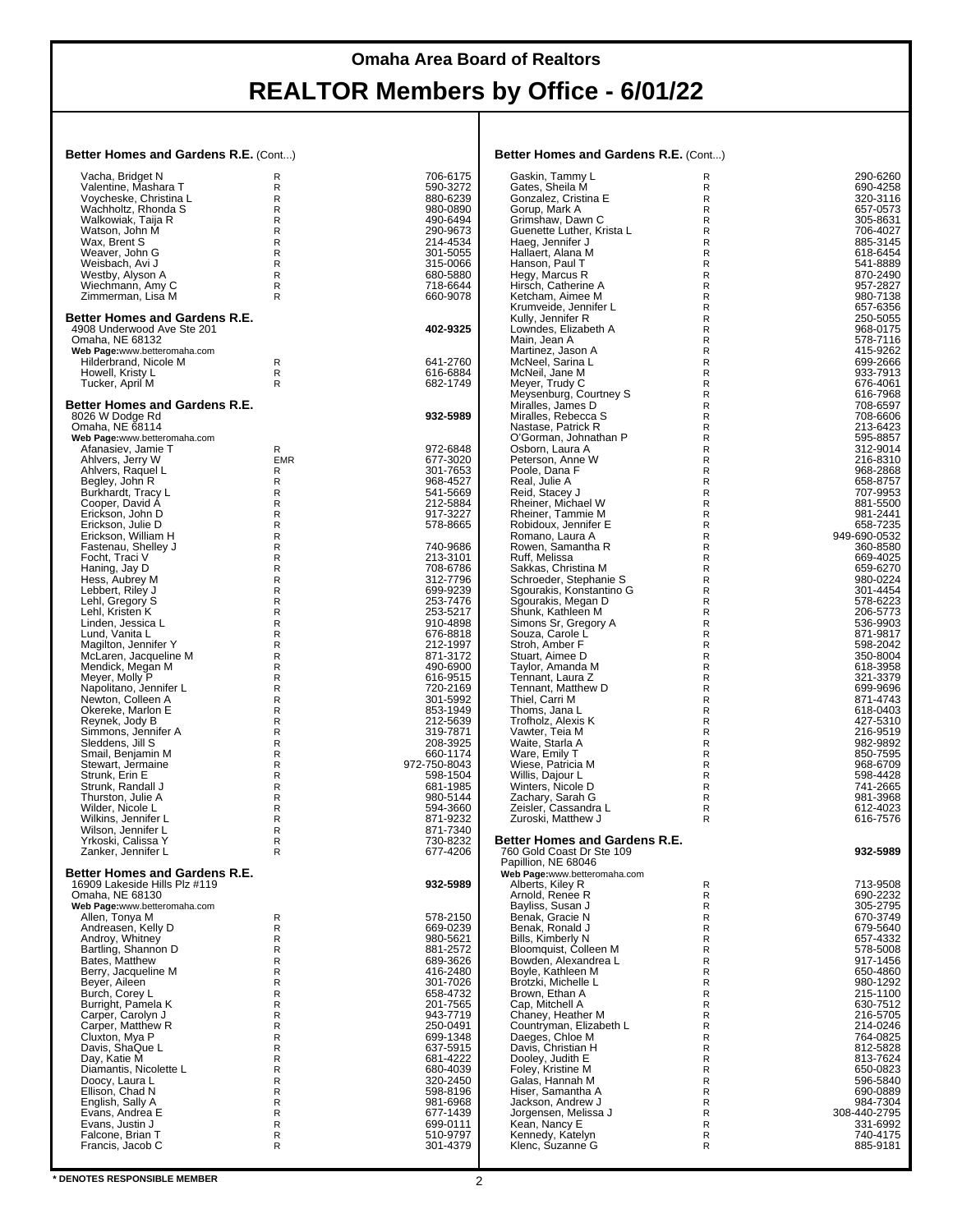### **Omaha Area Board of Realtors**

# **REALTOR Members by Office - 6/01/22**

#### **Better Homes and Gardens R.E.** (Cont...)

| Better Homes and Gardens R.E. (Cont)             |              | Better Homes and Gardens R.E. (Cont) |                                                            |                              |                          |
|--------------------------------------------------|--------------|--------------------------------------|------------------------------------------------------------|------------------------------|--------------------------|
| Vacha, Bridget N                                 | R            | 706-6175                             | Gaskin, Tammy L                                            | R                            | 290-6260                 |
| Valentine, Mashara T                             | R            | 590-3272                             | Gates, Sheila M                                            | R                            | 690-4258                 |
| Voycheske, Christina L<br>Wachholtz, Rhonda S    | R<br>R       | 880-6239<br>980-0890                 | Gonzalez, Cristina E<br>Gorup, Mark A                      | R<br>R                       | 320-3116<br>657-0573     |
| Walkowiak, Taija R                               | $\mathsf{R}$ | 490-6494                             | Grimshaw, Dawn C                                           | R                            | 305-8631                 |
| Watson, John M                                   | R            | 290-9673                             | Guenette Luther, Krista L                                  | $\mathsf{R}$                 | 706-4027                 |
| Wax, Brent S                                     | R            | 214-4534                             | Haeg, Jennifer J                                           | R                            | 885-3145                 |
| Weaver, John G<br>Weisbach, Avi J                | R<br>R       | 301-5055<br>315-0066                 | Hallaert, Alana M<br>Hanson, Paul T                        | R<br>$\mathsf{R}$            | 618-6454<br>541-8889     |
| Westby, Alyson A                                 | R            | 680-5880                             | Hegy, Marcus R                                             | R                            | 870-2490                 |
| Wiechmann, Amy C                                 | $\mathsf R$  | 718-6644                             | Hirsch, Catherine A                                        | $\mathsf{R}$                 | 957-2827                 |
| Zimmerman, Lisa M                                | R            | 660-9078                             | Ketcham, Aimee M                                           | $\mathsf{R}$                 | 980-7138                 |
| <b>Better Homes and Gardens R.E.</b>             |              |                                      | Krumveide, Jennifer L<br>Kully, Jennifer R                 | R<br>R                       | 657-6356<br>250-5055     |
| 4908 Underwood Ave Ste 201                       |              | 402-9325                             | Lowndes, Elizabeth A                                       | $\mathsf{R}$                 | 968-0175                 |
| Omaha, NE 68132                                  |              |                                      | Main, Jean A                                               | R                            | 578-7116                 |
| Web Page:www.betteromaha.com                     |              |                                      | Martinez, Jason A                                          | $\mathsf{R}$                 | 415-9262                 |
| Hilderbrand, Nicole M<br>Howell, Kristy L        | R<br>R       | 641-2760<br>616-6884                 | McNeel, Sarina L<br>McNeil, Jane M                         | R<br>R                       | 699-2666<br>933-7913     |
| Tucker, April M                                  | R.           | 682-1749                             | Meyer, Trudy C                                             | R                            | 676-4061                 |
|                                                  |              |                                      | Meysenburg, Courtney S                                     | $\mathsf{R}$                 | 616-7968                 |
| Better Homes and Gardens R.E.                    |              |                                      | Miralles, James D                                          | R                            | 708-6597                 |
| 8026 W Dodge Rd<br>Omaha, NE 68114               |              | 932-5989                             | Miralles, Rebecca S<br>Nastase, Patrick R                  | $\mathsf{R}$<br>$\mathsf{R}$ | 708-6606                 |
| Web Page:www.betteromaha.com                     |              |                                      | O'Gorman, Johnathan P                                      | R                            | 213-6423<br>595-8857     |
| Afanasiev. Jamie T                               | R            | 972-6848                             | Osborn. Laura A                                            | $\mathsf{R}$                 | 312-9014                 |
| Ahlvers, Jerry W                                 | <b>EMR</b>   | 677-3020                             | Peterson, Anne W                                           | $\mathsf{R}$                 | 216-8310                 |
| Ahlvers, Raquel L<br>Begley, John R              | R<br>R       | 301-7653<br>968-4527                 | Poole, Dana F<br>Real, Julie A                             | R<br>$\mathsf{R}$            | 968-2868<br>658-8757     |
| Burkhardt, Tracy L                               | R            | 541-5669                             | Reid, Stacey J                                             | R                            | 707-9953                 |
| Cooper, David A                                  | R            | 212-5884                             | Rheiner, Michael W                                         | R                            | 881-5500                 |
| Erickson, John D                                 | R            | 917-3227                             | Rheiner, Tammie M                                          | R                            | 981-2441                 |
| Erickson, Julie D<br>Erickson, William H         | R<br>R       | 578-8665                             | Robidoux, Jennifer E<br>Romano, Laura A                    | $\mathsf{R}$<br>R            | 658-7235<br>949-690-0532 |
| Fastenau, Shelley J                              | R            | 740-9686                             | Rowen, Samantha R                                          | $\mathsf{R}$                 | 360-8580                 |
| Focht, Traci V                                   | R            | 213-3101                             | Ruff, Melissa                                              | R                            | 669-4025                 |
| Haning, Jay D                                    | R            | 708-6786                             | Sakkas, Christina M                                        | R                            | 659-6270                 |
| Hess, Aubrey M<br>Lebbert, Riley J               | R<br>R       | 312-7796<br>699-9239                 | Schroeder, Stephanie S<br>Sgourakis, Konstantino G         | R<br>$\mathsf{R}$            | 980-0224<br>301-4454     |
| Lehl, Gregory S                                  | R            | 253-7476                             | Sgourakis, Megan D                                         | R                            | 578-6223                 |
| Lehl, Kristen K                                  | R            | 253-5217                             | Shunk, Kathleen M                                          | $\mathsf{R}$                 | 206-5773                 |
| Linden, Jessica L                                | R            | 910-4898                             | Simons Sr, Gregory A                                       | $\mathsf{R}$                 | 536-9903                 |
| Lund, Vanita L<br>Magilton, Jennifer Y           | R<br>R       | 676-8818<br>212-1997                 | Souza, Carole L<br>Stroh, Amber F                          | R<br>R                       | 871-9817<br>598-2042     |
| McLaren, Jacqueline M                            | R            | 871-3172                             | Stuart, Aimee D                                            | $\mathsf{R}$                 | 350-8004                 |
| Mendick, Megan M                                 | R            | 490-6900                             | Taylor, Amanda M                                           | R                            | 618-3958                 |
| Meyer, Molly P                                   | R            | 616-9515                             | Tennant, Laura Z                                           | $\mathsf{R}$                 | 321-3379                 |
| Napolitano, Jennifer L<br>Newton, Colleen A      | R<br>R       | 720-2169<br>301-5992                 | Tennant, Matthew D<br>Thiel, Carri M                       | R<br>R                       | 699-9696<br>871-4743     |
| Okereke, Marlon E                                | R            | 853-1949                             | Thoms, Jana L                                              | R                            | 618-0403                 |
| Reynek, Jody B                                   | R            | 212-5639                             | Trofholz, Alexis K                                         | $\mathsf{R}$                 | 427-5310                 |
| Simmons, Jennifer A<br>Sleddens, Jill S          | R<br>R       | 319-7871<br>208-3925                 | Vawter, Teia M<br>Waite, Starla A                          | R<br>$\mathsf{R}$            | 216-9519<br>982-9892     |
| Smail, Benjamin M                                | R            | 660-1174                             | Ware, Emily T                                              | R                            | 850-7595                 |
| Stewart, Jermaine                                | R            | 972-750-8043                         | Wiese, Patricia M                                          | R                            | 968-6709                 |
| Strunk, Erin E                                   | R            | 598-1504                             | Willis, Dajour L                                           | R                            | 598-4428                 |
| Strunk. Randall J<br>Thurston, Julie A           | R<br>R       | 681-1985<br>980-5144                 | Winters. Nicole D<br>Zachary, Sarah G                      | R<br>R                       | 741-2665<br>981-3968     |
| Wilder, Nicole L                                 | R            | 594-3660                             | Zeisler, Cassandra L                                       | R                            | 612-4023                 |
| Wilkins, Jennifer L                              | R            | 871-9232                             | Zuroski, Matthew J                                         | R                            | 616-7576                 |
| Wilson, Jennifer L                               | R            | 871-7340                             |                                                            |                              |                          |
| Yrkoski, Calissa Y<br>Zanker, Jennifer L         | R<br>R       | 730-8232<br>677-4206                 | Better Homes and Gardens R.E.<br>760 Gold Coast Dr Ste 109 |                              | 932-5989                 |
|                                                  |              |                                      | Papillion, NE 68046                                        |                              |                          |
| <b>Better Homes and Gardens R.E.</b>             |              |                                      | Web Page:www.betteromaha.com                               |                              |                          |
| 16909 Lakeside Hills Plz #119<br>Omaha, NE 68130 |              | 932-5989                             | Alberts, Kiley R<br>Arnold, Renee R                        | R<br>R                       | 713-9508<br>690-2232     |
| Web Page:www.betteromaha.com                     |              |                                      | Bayliss, Susan J                                           | R                            | 305-2795                 |
| Allen, Tonya M                                   | R            | 578-2150                             | Benak, Gracie N                                            | R                            | 670-3749                 |
| Andreasen, Kelly D                               | R            | 669-0239                             | Benak, Ronald J                                            | R                            | 679-5640                 |
| Androy, Whitney                                  | R<br>R       | 980-5621<br>881-2572                 | Bills, Kimberly N<br>Bloomquist, Colleen M                 | R<br>R                       | 657-4332<br>578-5008     |
| Bartling, Shannon D<br>Bates, Matthew            | R            | 689-3626                             | Bowden, Alexandrea L                                       | R                            | 917-1456                 |
| Berry, Jacqueline M                              | R            | 416-2480                             | Bovle, Kathleen M                                          | R                            | 650-4860                 |
| Beyer, Aileen                                    | R            | 301-7026                             | Brotzki, Michelle L                                        | $\mathsf{R}$                 | 980-1292                 |
| Burch, Corey L<br>Burright, Pamela K             | R<br>R       | 658-4732<br>201-7565                 | Brown, Ethan A<br>Cap, Mitchell A                          | R<br>R                       | 215-1100<br>630-7512     |
| Carper, Carolyn J                                | R            | 943-7719                             | Chaney, Heather M                                          | R                            | 216-5705                 |
| Carper, Matthew R                                | R            | 250-0491                             | Countryman, Elizabeth L                                    | R                            | 214-0246                 |
| Cluxton, Mya P                                   | R            | 699-1348                             | Daeges, Chloe M                                            | R                            | 764-0825                 |
| Davis, ShaQue L<br>Day, Katie M                  | R<br>R       | 637-5915<br>681-4222                 | Davis, Christian H<br>Dooley, Judith E                     | R<br>R                       | 812-5828<br>813-7624     |
| Diamantis, Nicolette L                           | R            | 680-4039                             | Foley, Kristine M                                          | R                            | 650-0823                 |
| Doocy, Laura L                                   | R            | 320-2450                             | Galas, Hannah M                                            | R                            | 596-5840                 |
| Ellison, Chad N                                  | R            | 598-8196<br>981-6968                 | Hiser, Samantha A                                          | R                            | 690-0889                 |
| English, Sally A<br>Evans, Andrea E              | R<br>R       | 677-1439                             | Jackson, Andrew J<br>Jorgensen, Melissa J                  | R<br>$\mathsf{R}$            | 984-7304<br>308-440-2795 |
| Evans, Justin J                                  | R            | 699-0111                             | Kean, Nancy E                                              | R                            | 331-6992                 |
| Falcone, Brian T                                 | R            | 510-9797                             | Kennedy, Katelyn                                           | R                            | 740-4175                 |
| Francis, Jacob C                                 | R            | 301-4379                             | Klenc, Suzanne G                                           | R                            | 885-9181                 |
|                                                  |              |                                      |                                                            |                              |                          |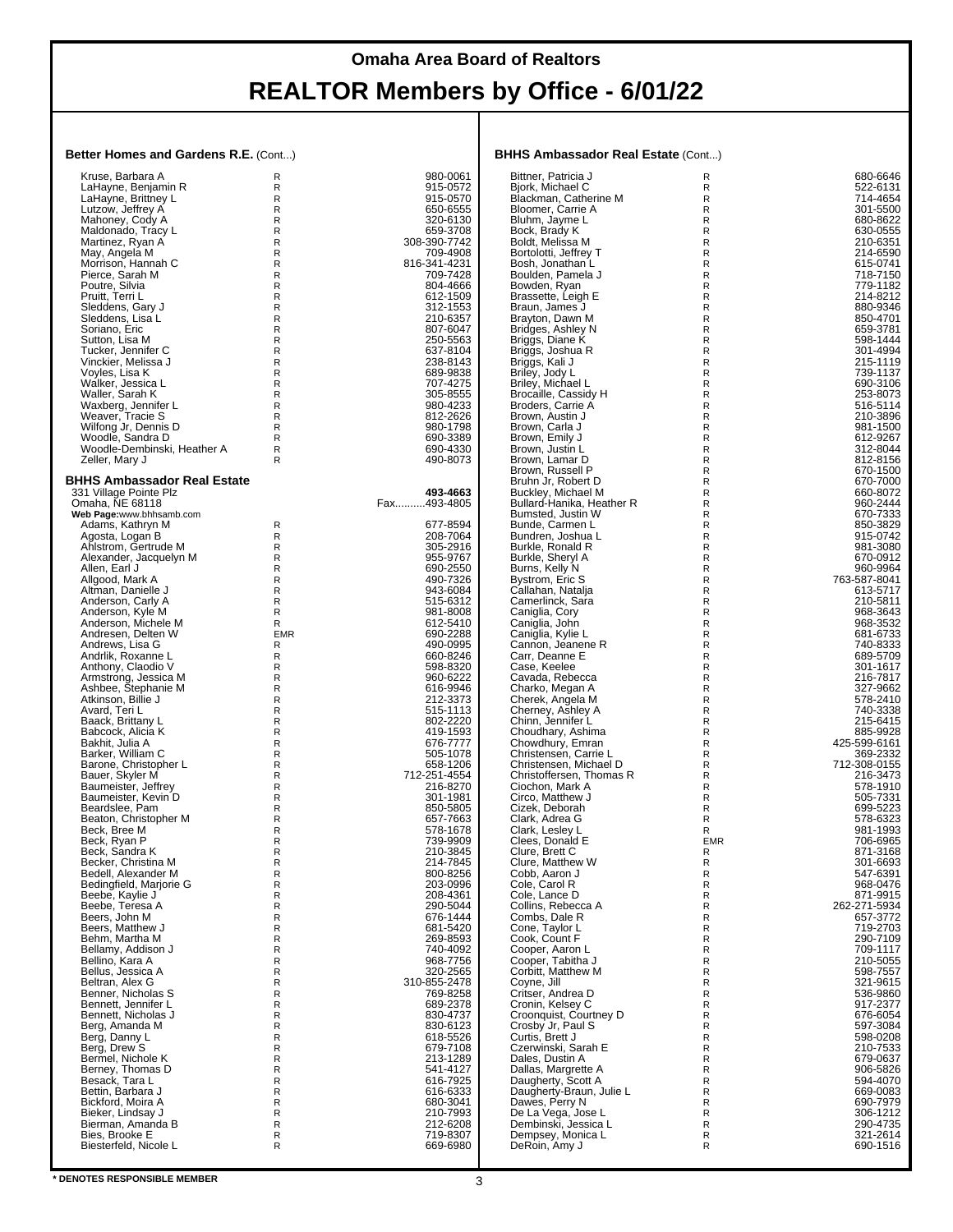#### **Better Homes and Gardens R.E.** (Cont...)

| Better Homes and Gardens R.E. (Cont)         |                  | <b>BHHS Ambassador Real Estate (Cont)</b> |                                                 |            |                          |
|----------------------------------------------|------------------|-------------------------------------------|-------------------------------------------------|------------|--------------------------|
| Kruse, Barbara A                             | R                | 980-0061                                  | Bittner, Patricia J                             | R          | 680-6646                 |
| LaHayne, Benjamin R                          | R                | 915-0572                                  | Bjork, Michael C                                | R          | 522-6131                 |
| LaHayne, Brittney L                          | R<br>R           | 915-0570                                  | Blackman, Catherine M<br>Bloomer, Carrie A      | R<br>R     | 714-4654<br>301-5500     |
| Lutzow, Jeffrey A<br>Mahoney, Cody A         | R                | 650-6555<br>320-6130                      | Bluhm, Jayme L                                  | R.         | 680-8622                 |
| Maldonado, Tracy L                           | R                | 659-3708                                  | Bock, Brady K                                   | R          | 630-0555                 |
| Martinez, Ryan A                             | R                | 308-390-7742                              | Boldt, Melissa M                                | R          | 210-6351                 |
| May, Angela M<br>Morrison, Hannah C          | R<br>R           | 709-4908<br>816-341-4231                  | Bortolotti, Jeffrey T<br>Bosh, Jonathan L       | R<br>R     | 214-6590<br>615-0741     |
| Pierce, Sarah M                              | R                | 709-7428                                  | Boulden, Pamela J                               | R          | 718-7150                 |
| Poutre, Silvia                               | $\mathsf R$      | 804-4666                                  | Bowden, Ryan                                    | R          | 779-1182                 |
| Pruitt, Terri L                              | R                | 612-1509                                  | Brassette, Leigh E                              | R          | 214-8212                 |
| Sleddens, Gary J                             | R<br>R           | 312-1553<br>210-6357                      | Braun, James J<br>Brayton, Dawn M               | R<br>R     | 880-9346<br>850-4701     |
| Sleddens, Lisa L<br>Soriano, Eric            | R                | 807-6047                                  | Bridges, Ashley N                               | R          | 659-3781                 |
| Sutton, Lisa M                               | R                | 250-5563                                  | Briggs, Diane K                                 | R          | 598-1444                 |
| Tucker, Jennifer C                           | ${\sf R}$        | 637-8104                                  | Briggs, Joshua R                                | R          | 301-4994                 |
| Vinckier, Melissa J<br>Voyles, Lisa K        | R<br>R           | 238-8143<br>689-9838                      | Briggs, Kali J<br>Briley, Jody L                | R<br>R     | 215-1119<br>739-1137     |
| Walker, Jessica L                            | R                | 707-4275                                  | Briley, Michael L                               | R          | 690-3106                 |
| Waller, Sarah K                              | R                | 305-8555                                  | Brocaille, Cassidy H                            | R          | 253-8073                 |
| Waxberg, Jennifer L                          | R                | 980-4233                                  | Broders, Carrie A                               | R          | 516-5114                 |
| Weaver, Tracie S<br>Wilfong Jr, Dennis D     | $\mathsf R$<br>R | 812-2626<br>980-1798                      | Brown, Austin J<br>Brown, Carla J               | R<br>R     | 210-3896<br>981-1500     |
| Woodle, Sandra D                             | R                | 690-3389                                  | Brown, Emily J                                  | R          | 612-9267                 |
| Woodle-Dembinski, Heather A                  | R                | 690-4330                                  | Brown, Justin L                                 | R          | 312-8044                 |
| Zeller, Mary J                               | R                | 490-8073                                  | Brown, Lamar D<br>Brown, Russell P              | R<br>R     | 812-8156<br>670-1500     |
| <b>BHHS Ambassador Real Estate</b>           |                  |                                           | Bruhn Jr. Robert D                              | R          | 670-7000                 |
| 331 Village Pointe Plz<br>Omaha, NE 68118    |                  | 493-4663                                  | Buckley, Michael M<br>Bullard-Hanika, Heather R | R          | 660-8072                 |
|                                              |                  | Fax493-4805                               |                                                 | R          | 960-2444                 |
| Web Page:www.bhhsamb.com<br>Adams, Kathryn M | R                | 677-8594                                  | Bumsted, Justin W<br>Bunde, Carmen L            | R<br>R     | 670-7333<br>850-3829     |
| Agosta, Logan B                              | R                | 208-7064                                  | Bundren, Joshua L                               | R          | 915-0742                 |
| Ahlstrom, Gertrude M                         | R                | 305-2916                                  | Burkle, Ronald R                                | R          | 981-3080                 |
| Alexander, Jacquelyn M                       | R<br>R           | 955-9767<br>690-2550                      | Burkle, Sheryl A<br>Burns, Kelly N              | R<br>R     | 670-0912<br>960-9964     |
| Allen, Earl J<br>Allgood, Mark A             | R                | 490-7326                                  | Bystrom, Eric S                                 | R          | 763-587-8041             |
| Altman, Danielle J                           | R                | 943-6084                                  | Callahan, Natalja                               | R          | 613-5717                 |
| Anderson, Carly A                            | R                | 515-6312                                  | Camerlinck, Sara                                | R          | 210-5811                 |
| Anderson, Kyle M<br>Anderson, Michele M      | ${\sf R}$<br>R   | 981-8008<br>612-5410                      | Caniglia, Cory<br>Caniglia, John                | R<br>R     | 968-3643<br>968-3532     |
| Andresen, Delten W                           | <b>EMR</b>       | 690-2288                                  | Caniglia, Kylie L                               | R          | 681-6733                 |
| Andrews, Lisa G                              | R                | 490-0995                                  | Cannon, Jeanene R                               | R          | 740-8333                 |
| Andrlik, Roxanne L                           | R<br>R           | 660-8246<br>598-8320                      | Carr, Deanne E<br>Case, Keelee                  | R<br>R     | 689-5709<br>301-1617     |
| Anthony, Claodio V<br>Armstrong, Jessica M   | $\mathsf R$      | 960-6222                                  | Cavada, Rebecca                                 | R          | 216-7817                 |
| Ashbee, Štephanie M                          | R                | 616-9946                                  | Charko, Megan A                                 | R          | 327-9662                 |
| Atkinson, Billie J                           | R<br>R           | 212-3373<br>515-1113                      | Cherek, Angela M                                | R<br>R     | 578-2410                 |
| Avard, Teri L<br>Baack, Brittany L           | R                | 802-2220                                  | Cherney, Ashley A<br>Chinn, Jennifer L          | R          | 740-3338<br>215-6415     |
| Babcock, Alicia K                            | R                | 419-1593                                  | Choudhary, Ashima                               | R          | 885-9928                 |
| Bakhit, Julia A                              | $\mathsf R$      | 676-7777                                  | Chowdhury, Emran                                | R          | 425-599-6161             |
| Barker, William C<br>Barone, Christopher L   | R<br>R           | 505-1078<br>658-1206                      | Christensen, Carrie L<br>Christensen, Michael D | R<br>R     | 369-2332<br>712-308-0155 |
| Bauer, Skyler M                              | ${\sf R}$        | 712-251-4554                              | Christoffersen, Thomas R                        | R          | 216-3473                 |
| Baumeister, Jeffrey                          | R                | 216-8270                                  | Ciochon. Mark A                                 | R          | 578-1910                 |
| Baumeister, Kevin D<br>Beardslee, Pam        | R<br>R           | 301-1981<br>850-5805                      | Circo, Matthew J<br>Cizek. Deborah              | R<br>R     | 505-7331<br>699-5223     |
| Beaton, Christopher M                        | R                | 657-7663                                  | Clark, Adrea G                                  | R          | 578-6323                 |
| Beck, Bree M                                 | R                | 578-1678                                  | Clark, Lesley L                                 | R          | 981-1993                 |
| Beck, Ryan P                                 | R                | 739-9909                                  | Clees, Donald E                                 | <b>EMR</b> | 706-6965<br>871-3168     |
| Beck, Sandra K<br>Becker, Christina M        | R<br>R           | 210-3845<br>214-7845                      | Clure, Brett C<br>Clure, Matthew W              | R<br>R     | 301-6693                 |
| Bedell, Alexander M                          | R                | 800-8256                                  | Cobb, Aaron J                                   | R          | 547-6391                 |
| Bedingfield, Marjorie G                      | R                | 203-0996                                  | Cole, Carol R                                   | R          | 968-0476                 |
| Beebe, Kaylie J<br>Beebe, Teresa A           | R<br>R           | 208-4361<br>290-5044                      | Cole, Lance D<br>Collins. Rebecca A             | R<br>R     | 871-9915<br>262-271-5934 |
| Beers, John M                                | R                | 676-1444                                  | Combs, Dale R                                   | R          | 657-3772                 |
| Beers, Matthew J                             | R                | 681-5420                                  | Cone, Taylor L                                  | R          | 719-2703                 |
| Behm, Martha M                               | R                | 269-8593<br>740-4092                      | Cook, Count F<br>Cooper, Aaron L                | R          | 290-7109<br>709-1117     |
| Bellamy, Addison J<br>Bellino, Kara A        | R<br>R           | 968-7756                                  | Cooper, Tabitha J                               | R<br>R     | 210-5055                 |
| Bellus, Jessica A                            | R                | 320-2565                                  | Corbitt, Matthew M                              | R          | 598-7557                 |
| Beltran, Alex G                              | R                | 310-855-2478                              | Covne. Jill                                     | R          | 321-9615                 |
| Benner, Nicholas S<br>Bennett, Jennifer L    | R<br>R           | 769-8258<br>689-2378                      | Critser, Andrea D<br>Cronin, Kelsey C           | R<br>R     | 536-9860<br>917-2377     |
| Bennett, Nicholas J                          | R                | 830-4737                                  | Croonquist, Courtney D                          | R          | 676-6054                 |
| Berg, Amanda M                               | R                | 830-6123                                  | Crosby Jr, Paul S                               | R          | 597-3084                 |
| Berg, Danny L<br>Berg, Drew S                | R<br>R           | 618-5526<br>679-7108                      | Curtis, Brett J<br>Czerwinski, Sarah E          | R<br>R     | 598-0208<br>210-7533     |
| Bermel, Nichole K                            | R                | 213-1289                                  | Dales, Dustin A                                 | R          | 679-0637                 |
| Berney, Thomas D                             | R                | 541-4127                                  | Dallas, Margrette A                             | R          | 906-5826                 |
| Besack, Tara L<br>Bettin, Barbara J          | R                | 616-7925<br>616-6333                      | Daugherty, Scott A<br>Daugherty-Braun, Julie L  | R          | 594-4070<br>669-0083     |
| Bickford, Moira A                            | R<br>R           | 680-3041                                  | Dawes, Perry N                                  | R<br>R     | 690-7979                 |
| Bieker, Lindsay J                            | R                | 210-7993                                  | De La Vega, Jose L                              | R          | 306-1212                 |
| Bierman, Amanda B<br>Bies, Brooke E          | R                | 212-6208<br>719-8307                      | Dembinski, Jessica L                            | R          | 290-4735<br>321-2614     |
| Biesterfeld, Nicole L                        | R<br>R           | 669-6980                                  | Dempsey, Monica L<br>DeRoin, Amy J              | R<br>R     | 690-1516                 |
|                                              |                  |                                           |                                                 |            |                          |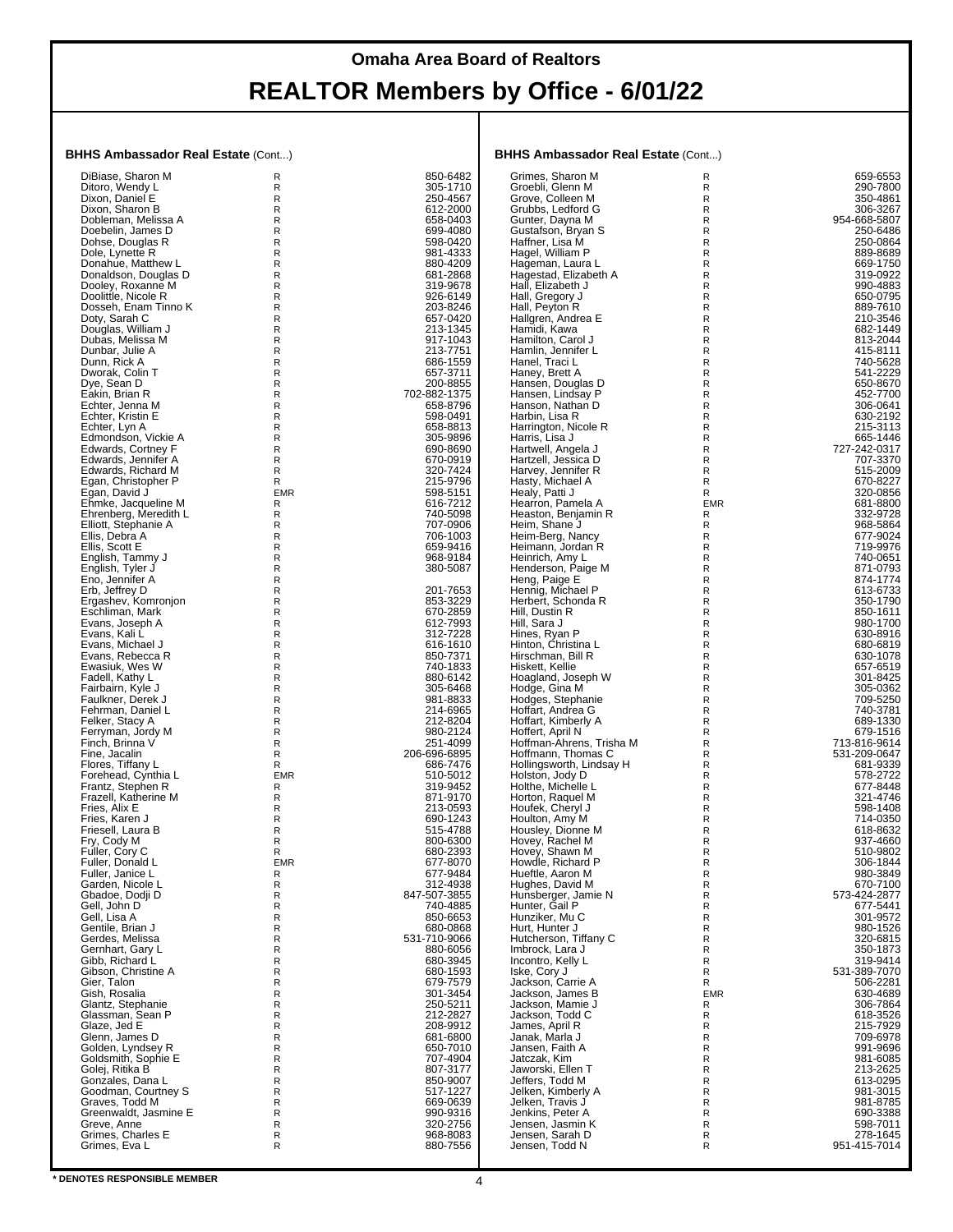#### **BHHS Ambassador Real Estate** (Cont...)

| DiBiase, Sharon M     | R          | 850-6482     | Grimes, Sharon M         | R          | 659-6553     |
|-----------------------|------------|--------------|--------------------------|------------|--------------|
| Ditoro, Wendy L       | R          | 305-1710     | Groebli, Glenn M         | R          | 290-7800     |
| Dixon, Daniel E       | R          | 250-4567     | Grove, Colleen M         | R          | 350-4861     |
|                       |            |              |                          |            |              |
| Dixon, Sharon B       | R          | 612-2000     | Grubbs, Ledford G        | R          | 306-3267     |
| Dobleman, Melissa A   | R          | 658-0403     | Gunter, Dayna M          | R          | 954-668-5807 |
| Doebelin, James D     | R          | 699-4080     | Gustafson, Bryan S       | R          | 250-6486     |
| Dohse, Douglas R      | R          | 598-0420     | Haffner, Lisa M          | R          | 250-0864     |
|                       |            |              |                          |            |              |
| Dole, Lynette R       | R          | 981-4333     | Hagel, William P         | R          | 889-8689     |
| Donahue. Matthew L    | R          | 880-4209     | Hageman, Laura L         | R          | 669-1750     |
| Donaldson, Douglas D  | R          | 681-2868     | Hagestad, Elizabeth A    | R          | 319-0922     |
| Dooley, Roxanne M     | R          | 319-9678     | Hall, Elizabeth J        | R          | 990-4883     |
|                       |            |              |                          |            |              |
| Doolittle, Nicole R   | R          | 926-6149     | Hall, Gregory J          | R          | 650-0795     |
| Dosseh, Enam Tinno K  | R          | 203-8246     | Hall, Peyton R           | R          | 889-7610     |
| Doty, Sarah C         | R          | 657-0420     | Hallgren, Andrea E       | R          | 210-3546     |
|                       |            |              |                          |            |              |
| Douglas, William J    | R          | 213-1345     | Hamidi, Kawa             | R          | 682-1449     |
| Dubas, Melissa M      | R          | 917-1043     | Hamilton, Carol J        | R          | 813-2044     |
| Dunbar, Julie A       | R          | 213-7751     | Hamlin, Jennifer L       | R          | 415-8111     |
| Dunn, Rick A          | R          | 686-1559     |                          | R          | 740-5628     |
|                       |            |              | Hanel, Traci L           |            |              |
| Dworak, Colin T       | R          | 657-3711     | Haney, Brett A           | R          | 541-2229     |
| Dye, Sean D           | R          | 200-8855     | Hansen, Douglas D        | R          | 650-8670     |
| Eakin, Brian R        | R          | 702-882-1375 | Hansen, Lindsay P        | R          | 452-7700     |
|                       |            | 658-8796     | Hanson, Nathan D         | R          | 306-0641     |
| Echter, Jenna M       | R          |              |                          |            |              |
| Echter, Kristin E     | R          | 598-0491     | Harbin, Lisa R           | R          | 630-2192     |
| Echter, Lyn A         | R          | 658-8813     | Harrington, Nicole R     | R          | 215-3113     |
| Edmondson, Vickie A   | R          | 305-9896     | Harris, Lisa J           | R          | 665-1446     |
|                       |            |              |                          |            |              |
| Edwards, Cortney F    | R          | 690-8690     | Hartwell, Angela J       | R          | 727-242-0317 |
| Edwards, Jennifer A   | R          | 670-0919     | Hartzell, Jessica D      | R          | 707-3370     |
| Edwards, Richard M    | R          | 320-7424     | Harvey, Jennifer R       | R          | 515-2009     |
| Egan, Christopher P   | R          | 215-9796     | Hasty, Michael A         | R          | 670-8227     |
|                       |            |              |                          |            |              |
| Egan, David J         | <b>EMR</b> | 598-5151     | Healy, Patti J           | R          | 320-0856     |
| Ehmke, Jacqueline M   | R          | 616-7212     | Hearron, Pamela A        | <b>EMR</b> | 681-8800     |
| Ehrenberg, Meredith L | R          | 740-5098     | Heaston, Benjamin R      | R          | 332-9728     |
|                       | R          | 707-0906     | Heim, Shane J            | R          | 968-5864     |
| Elliott, Stephanie A  |            |              |                          |            |              |
| Ellis, Debra A        | R          | 706-1003     | Heim-Berg, Nancy         | R          | 677-9024     |
| Ellis, Scott E        | R          | 659-9416     | Heimann, Jordan R        | R          | 719-9976     |
| English, Tammy J      | R          | 968-9184     | Heinrich, Amy L          | R          | 740-0651     |
| English, Tyler J      | R          | 380-5087     | Henderson, Paige M       | R          | 871-0793     |
|                       |            |              |                          |            |              |
| Eno, Jennifer A       | R          |              | Heng, Paige E            | R          | 874-1774     |
| Erb, Jeffrey D        | R          | 201-7653     | Hennig, Michael P        | R          | 613-6733     |
| Ergashev, Komronjon   | R          | 853-3229     | Herbert. Schonda R       | R          | 350-1790     |
| Eschliman, Mark       | R          | 670-2859     | Hill, Dustin R           | R          | 850-1611     |
|                       |            |              |                          |            |              |
| Evans, Joseph A       | R          | 612-7993     | Hill, Sara J             | R          | 980-1700     |
| Evans, Kali L         | R          | 312-7228     | Hines, Ryan P            | R          | 630-8916     |
| Evans, Michael J      | R          | 616-1610     | Hinton, Christina L      | R          | 680-6819     |
| Evans, Rebecca R      | R          | 850-7371     | Hirschman, Bill R        | R          | 630-1078     |
| Ewasiuk, Wes W        | R          | 740-1833     | Hiskett, Kellie          | R          | 657-6519     |
|                       |            |              |                          |            |              |
| Fadell, Kathy L       | R          | 880-6142     | Hoagland, Joseph W       | R          | 301-8425     |
| Fairbairn, Kyle J     | R          | 305-6468     | Hodge, Gina M            | R          | 305-0362     |
| Faulkner, Derek J     | R          | 981-8833     | Hodges, Stephanie        | R          | 709-5250     |
| Fehrman, Daniel L     | R          | 214-6965     | Hoffart, Andrea G        | R          | 740-3781     |
|                       |            |              |                          |            |              |
| Felker, Stacy A       | R          | 212-8204     | Hoffart, Kimberly A      | R          | 689-1330     |
| Ferryman, Jordy M     | R          | 980-2124     | Hoffert, April N         | R          | 679-1516     |
| Finch, Brinna V       | R          | 251-4099     | Hoffman-Ahrens, Trisha M | R          | 713-816-9614 |
| Fine, Jacalin         | R          | 206-696-6895 | Hoffmann, Thomas C       | R          | 531-209-0647 |
| Flores, Tiffany L     | R          | 686-7476     | Hollingsworth, Lindsay H | R          | 681-9339     |
|                       |            |              |                          |            |              |
| Forehead, Cynthia L   | <b>EMR</b> | 510-5012     | Holston, Jody D          | R          | 578-2722     |
| Frantz, Stephen R     | R          | 319-9452     | Holthe, Michelle L       | R          | 677-8448     |
| Frazell, Katherine M  | R          | 871-9170     | Horton, Raquel M         | R          | 321-4746     |
| Fries, Alix E         | R          | 213-0593     | Houfek, Cheryl J         | R          | 598-1408     |
|                       |            |              |                          |            |              |
| Fries, Karen J        | R          | 690-1243     | Houlton, Amy M           | R          | 714-0350     |
| Friesell, Laura B     | R          | 515-4788     | Housley, Dionne M        | R          | 618-8632     |
| Fry, Cody M           | R          | 800-6300     | Hovey, Rachel M          | R          | 937-4660     |
| Fuller, Cory C        | R          | 680-2393     | Hovey, Shawn M           | R          | 510-9802     |
|                       |            |              |                          |            |              |
| Fuller, Donald L      | EMR        | 677-8070     | Howdle, Richard P        | R          | 306-1844     |
| Fuller, Janice L      | R          | 677-9484     | Hueftle, Aaron M         | R          | 980-3849     |
| Garden, Nicole L      | R          | 312-4938     | Hughes, David M          | R          | 670-7100     |
| Gbadoe, Dodji D       | R          | 847-507-3855 | Hunsberger, Jamie N      | R          | 573-424-2877 |
| Gell, John D          | R          | 740-4885     | Hunter, Gail P           | R          | 677-5441     |
|                       |            |              |                          |            |              |
| Gell, Lisa A          | R          | 850-6653     | Hunziker, Mu C           | R          | 301-9572     |
| Gentile, Brian J      | R          | 680-0868     | Hurt, Hunter J           | R          | 980-1526     |
| Gerdes, Melissa       | R          | 531-710-9066 | Hutcherson, Tiffany C    | R          | 320-6815     |
| Gernhart, Gary L      | R          | 880-6056     | Imbrock, Lara J          | R          | 350-1873     |
| Gibb, Richard L       | R          | 680-3945     | Incontro, Kelly L        | R          | 319-9414     |
|                       |            |              |                          |            |              |
| Gibson, Christine A   | R          | 680-1593     | Iske, Cory J             | R          | 531-389-7070 |
| Gier, Talon           | R          | 679-7579     | Jackson, Carrie A        | R          | 506-2281     |
| Gish, Rosalia         | R          | 301-3454     | Jackson, James B         | <b>EMR</b> | 630-4689     |
| Glantz, Stephanie     | R          | 250-5211     | Jackson, Mamie J         | R          | 306-7864     |
| Glassman, Sean P      | R          | 212-2827     |                          | R          | 618-3526     |
|                       |            |              | Jackson, Todd C          |            |              |
| Glaze, Jed E          | R          | 208-9912     | James, April R           | R          | 215-7929     |
| Glenn, James D        | R          | 681-6800     | Janak, Marla J           | R          | 709-6978     |
| Golden, Lyndsey R     | R          | 650-7010     | Jansen, Faith A          | R          | 991-9696     |
| Goldsmith, Sophie E   | R          | 707-4904     | Jatczak, Kim             | R          | 981-6085     |
|                       |            |              |                          |            |              |
| Golej, Ritika B       | R          | 807-3177     | Jaworski, Ellen T        | R          | 213-2625     |
| Gonzales, Dana L      | R          | 850-9007     | Jeffers, Todd M          | R          | 613-0295     |
| Goodman, Courtney S   | R          | 517-1227     | Jelken, Kimberly A       | R          | 981-3015     |
| Graves, Todd M        | R          | 669-0639     | Jelken, Travis J         | R          | 981-8785     |
| Greenwaldt, Jasmine E | R          | 990-9316     | Jenkins, Peter A         | R          | 690-3388     |
|                       |            |              |                          |            |              |
| Greve, Anne           | R          | 320-2756     | Jensen, Jasmin K         | R          | 598-7011     |
| Grimes, Charles E     | R          | 968-8083     | Jensen, Sarah D          | R          | 278-1645     |
| Grimes, Eva L         | R          | 880-7556     | Jensen, Todd N           | R          | 951-415-7014 |
|                       |            |              |                          |            |              |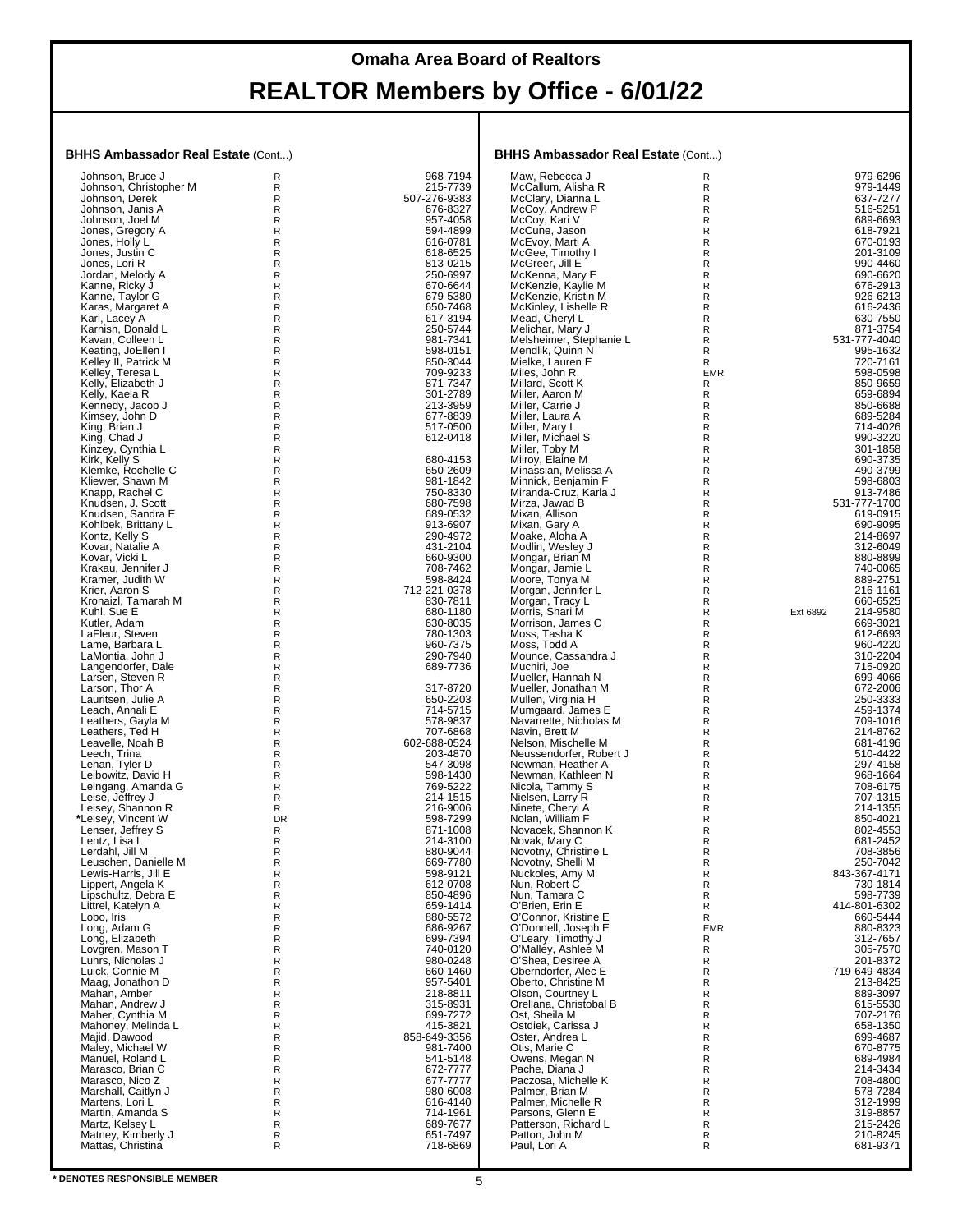#### **BHHS Ambassador Real Estate** (Cont...)

| Johnson, Bruce J       | R         | 968-7194     | Maw. Rebecca J                          | R            | 979-6296             |
|------------------------|-----------|--------------|-----------------------------------------|--------------|----------------------|
| Johnson, Christopher M | R         | 215-7739     | McCallum, Alisha R                      | R            | 979-1449             |
| Johnson, Derek         | R         | 507-276-9383 | McClary, Dianna L                       | $\mathsf R$  | 637-7277             |
|                        |           |              |                                         |              |                      |
| Johnson, Janis A       | R         | 676-8327     | McCoy, Andrew P                         | R            | 516-5251             |
| Johnson, Joel M        | R         | 957-4058     | McCoy, Kari V                           | $\mathsf R$  | 689-6693             |
| Jones, Gregory A       | R         | 594-4899     | McCune, Jason                           | $\mathsf{R}$ | 618-7921             |
| Jones, Holly L         | R         | 616-0781     | McEvoy, Marti A                         | R            | 670-0193             |
|                        |           |              |                                         |              |                      |
| Jones, Justin C        | R         | 618-6525     | McGee, Timothy I                        | ${\sf R}$    | 201-3109             |
| Jones, Lori R          | R         | 813-0215     | McGreer, Jill E                         | $\mathsf R$  | 990-4460             |
| Jordan, Melody A       | R         | 250-6997     | McKenna, Mary E                         | R            | 690-6620             |
| Kanne, Ricky J         | R         | 670-6644     | McKenzie, Kaylie M                      | ${\sf R}$    | 676-2913             |
|                        |           | 679-5380     | McKenzie, Kristin M                     | $\mathsf R$  | 926-6213             |
| Kanne, Taylor G        | R         |              |                                         |              |                      |
| Karas, Margaret A      | R         | 650-7468     | McKinley, Lishelle R                    | R            | 616-2436             |
| Karl, Lacey A          | R         | 617-3194     | Mead, Cheryl L                          | ${\sf R}$    | 630-7550             |
| Karnish, Donald L      | R         | 250-5744     | Melichar, Mary J                        | $\mathsf R$  | 871-3754             |
| Kavan, Colleen L       | R         | 981-7341     | Melsheimer, Stephanie L                 | R            | 531-777-4040         |
|                        |           |              |                                         |              |                      |
| Keating, JoEllen I     | R         | 598-0151     | Mendlik, Quinn N                        | $\mathsf R$  | 995-1632             |
| Kelley II, Patrick M   | R         | 850-3044     | Mielke, Lauren E                        | R            | 720-7161             |
| Kelley, Teresa L       | R         | 709-9233     | Miles, John R                           | <b>EMR</b>   | 598-0598             |
| Kelly, Elizabeth J     | R         | 871-7347     | Millard, Scott K                        | R            | 850-9659             |
|                        |           |              |                                         |              |                      |
| Kelly, Kaela R         | R         | 301-2789     | Miller, Aaron M                         | $\mathsf R$  | 659-6894             |
| Kennedy, Jacob J       | R         | 213-3959     | Miller, Carrie J                        | R            | 850-6688             |
| Kimsey, John D         | R         | 677-8839     | Miller, Laura A                         | ${\sf R}$    | 689-5284             |
| King, Brian J          | R         | 517-0500     | Miller, Mary L                          | $\mathsf{R}$ | 714-4026             |
|                        | R         | 612-0418     |                                         | R            | 990-3220             |
| King, Chad J           |           |              | Miller, Michael S                       |              |                      |
| Kinzey, Cynthia L      | R         |              | Miller, Toby M                          | ${\sf R}$    | 301-1858             |
| Kirk, Kelly S          | R         | 680-4153     | Milroy, Elaine M                        | $\mathsf R$  | 690-3735             |
| Klemke, Rochelle C     | R         | 650-2609     | Minassian, Melissa A                    | R            | 490-3799             |
|                        |           |              |                                         |              | 598-6803             |
| Kliewer, Shawn M       | R         | 981-1842     | Minnick, Benjamin F                     | ${\sf R}$    |                      |
| Knapp, Rachel C        | R         | 750-8330     | Miranda-Cruz. Karla J                   | $\mathsf R$  | 913-7486             |
| Knudsen, J. Scott      | R         | 680-7598     | Mirza, Jawad B                          | R            | 531-777-1700         |
| Knudsen, Sandra E      | R         | 689-0532     | Mixan, Allison                          | ${\sf R}$    | 619-0915             |
| Kohlbek, Brittany L    | R         | 913-6907     | Mixan, Gary A                           | $\mathsf R$  | 690-9095             |
|                        |           |              |                                         |              |                      |
| Kontz, Kelly S         | R         | 290-4972     | Moake, Aloha A                          | R            | 214-8697             |
| Kovar, Natalie A       | R         | 431-2104     | Modlin, Wesley J                        | ${\sf R}$    | 312-6049             |
| Kovar. Vicki L         | R         | 660-9300     | Mongar, Brian M                         | $\mathsf R$  | 880-8899             |
| Krakau, Jennifer J     | R         | 708-7462     | Mongar, Jamie L                         | R            | 740-0065             |
|                        |           |              |                                         |              |                      |
| Kramer, Judith W       | R         | 598-8424     | Moore, Tonya M                          | ${\sf R}$    | 889-2751             |
| Krier, Aaron S         | R         | 712-221-0378 | Morgan, Jennifer L                      | $\mathsf R$  | 216-1161             |
| Kronaizl, Tamarah M    | R         | 830-7811     | Morgan, Tracy L                         | R            | 660-6525             |
| Kuhl, Sue E            | R         | 680-1180     | Morris, Shari M                         | R            | Ext 6892<br>214-9580 |
| Kutler, Adam           | R         | 630-8035     | Morrison, James C                       | R            | 669-3021             |
|                        |           |              |                                         |              |                      |
| LaFleur, Steven        | R         | 780-1303     | Moss, Tasha K                           | R            | 612-6693             |
| Lame, Barbara L        | R         | 960-7375     | Moss, Todd A                            | ${\sf R}$    | 960-4220             |
| LaMontia, John J       | R         | 290-7940     | Mounce, Cassandra J                     | $\mathsf R$  | 310-2204             |
| Langendorfer, Dale     | R         | 689-7736     | Muchiri, Joe                            | R            | 715-0920             |
|                        |           |              |                                         |              |                      |
| Larsen, Steven R       | R         |              | Mueller, Hannah N                       | $\mathsf R$  | 699-4066             |
| Larson, Thor A         | R         | 317-8720     | Mueller, Jonathan M                     | R            | 672-2006             |
| Lauritsen, Julie A     | R         | 650-2203     | Mullen, Virginia H                      | R            | 250-3333             |
| Leach, Annali E        | R         | 714-5715     | Mumgaard, James E                       | ${\sf R}$    | 459-1374             |
|                        |           |              |                                         |              |                      |
| Leathers, Gayla M      | R         | 578-9837     | Navarrette, Nicholas M                  | $\mathsf R$  | 709-1016             |
| Leathers, Ted H        | R         | 707-6868     | Navin, Brett M                          | R            | 214-8762             |
| Leavelle, Noah B       | R         | 602-688-0524 | Nelson, Mischelle M                     | R            | 681-4196             |
| Leech, Trina           | R         | 203-4870     | Neussendorfer, Robert J                 | $\mathsf{R}$ | 510-4422             |
| Lehan, Tyler D         | R         | 547-3098     | Newman, Heather A                       | R            | 297-4158             |
|                        |           |              |                                         |              |                      |
| Leibowitz, David H     | R         | 598-1430     | Newman, Kathleen N                      | ${\sf R}$    | 968-1664             |
| Leingang, Amanda G     | R         | 769-5222     | Nicola, Tammy S                         | $\mathsf R$  | 708-6175             |
| Leise, Jeffrey J       | R         | 214-1515     | Nielsen, Larry R                        | R            | 707-1315             |
| Leisey, Shannon R      | R         | 216-9006     | Ninete, Cheryl A                        | R            | 214-1355             |
|                        |           |              |                                         |              | 850-4021             |
| *Leisey, Vincent W     | <b>DR</b> | 598-7299     | Nolan, William F                        | R            |                      |
| Lenser, Jeffrey S      | R         | 871-1008     | Novacek, Shannon K                      | R            | 802-4553             |
| Lentz, Lisa L          | R         | 214-3100     | Novak, Mary C                           | R            | 681-2452             |
| Lerdahl, Jill M        | R         | 880-9044     | Novotny, Christine L                    | R            | 708-3856             |
| Leuschen, Danielle M   | к         | 669-7780     | Novotny, Shelli M                       | к            | 250-7042             |
| Lewis-Harris, Jill E   | R         | 598-9121     | Nuckoles, Amy M                         | ${\sf R}$    | 843-367-4171         |
|                        |           |              |                                         |              |                      |
| Lippert, Angela K      | R         | 612-0708     | Nun, Robert C<br>Nun, Tamara C          | $\mathsf R$  | 730-1814             |
| Lipschultz, Debra E    | R         | 850-4896     |                                         | R            | 598-7739             |
| Littrel, Katelyn A     | R         | 659-1414     | O'Brien, Erin E                         | R            | 414-801-6302         |
| Lobo. Iris             | R         | 880-5572     | O'Connor, Kristine E                    | R            | 660-5444             |
| Long, Adam G           | R         | 686-9267     | O'Donnell, Joseph E                     | <b>EMR</b>   | 880-8323             |
|                        |           |              |                                         |              |                      |
| Long, Elizabeth        | R         | 699-7394     | O'Leary, Timothy J                      | R            | 312-7657             |
| Lovgren, Mason T       | R         | 740-0120     | O'Malley, Ashlee M<br>O'Shea, Desiree A | R            | 305-7570             |
| Luhrs, Nicholas J      | R         | 980-0248     |                                         | R            | 201-8372             |
| Luick, Connie M        | R         | 660-1460     | Oberndorfer, Alec E                     | ${\sf R}$    | 719-649-4834         |
| Maag, Jonathon D       | R         | 957-5401     | Oberto, Christine M                     | $\mathsf R$  | 213-8425             |
|                        |           |              |                                         |              |                      |
| Mahan, Amber           | R         | 218-8811     | Olson, Courtney L                       | R            | 889-3097             |
| Mahan, Andrew J        | R         | 315-8931     | Orellana, Christobal B                  | R            | 615-5530             |
| Maher, Cynthia M       | R         | 699-7272     | Ost, Sheila M                           | R            | 707-2176             |
| Mahoney, Melinda L     | R         | 415-3821     | Ostdiek, Carissa J                      | R            | 658-1350             |
|                        |           |              |                                         |              |                      |
| Majid, Dawood          | R         | 858-649-3356 | Oster, Andrea L                         | ${\sf R}$    | 699-4687             |
| Maley, Michael W       | R         | 981-7400     | Otis, Marie C                           | $\mathsf R$  | 670-8775             |
| Manuel, Roland L       | R         | 541-5148     | Owens, Megan N                          | R            | 689-4984             |
| Marasco, Brian C       | R         | 672-7777     | Pache, Diana J                          | R            | 214-3434             |
| Marasco, Nico Z        | R         | 677-7777     | Paczosa, Michelle K                     | R            | 708-4800             |
|                        |           |              |                                         |              |                      |
| Marshall, Caitlyn J    | R         | 980-6008     | Palmer, Brian M                         | R            | 578-7284             |
| Martens, Lori L        | R         | 616-4140     | Palmer, Michelle R                      | ${\sf R}$    | 312-1999             |
| Martin, Amanda S       | R         | 714-1961     | Parsons, Glenn E                        | $\mathsf{R}$ | 319-8857             |
| Martz, Kelsey L        | R         | 689-7677     | Patterson, Richard L                    | R            | 215-2426             |
| Matney, Kimberly J     | R         | 651-7497     | Patton, John M                          | R            | 210-8245             |
|                        |           |              |                                         |              |                      |
| Mattas, Christina      | R         | 718-6869     | Paul, Lori A                            | R            | 681-9371             |
|                        |           |              |                                         |              |                      |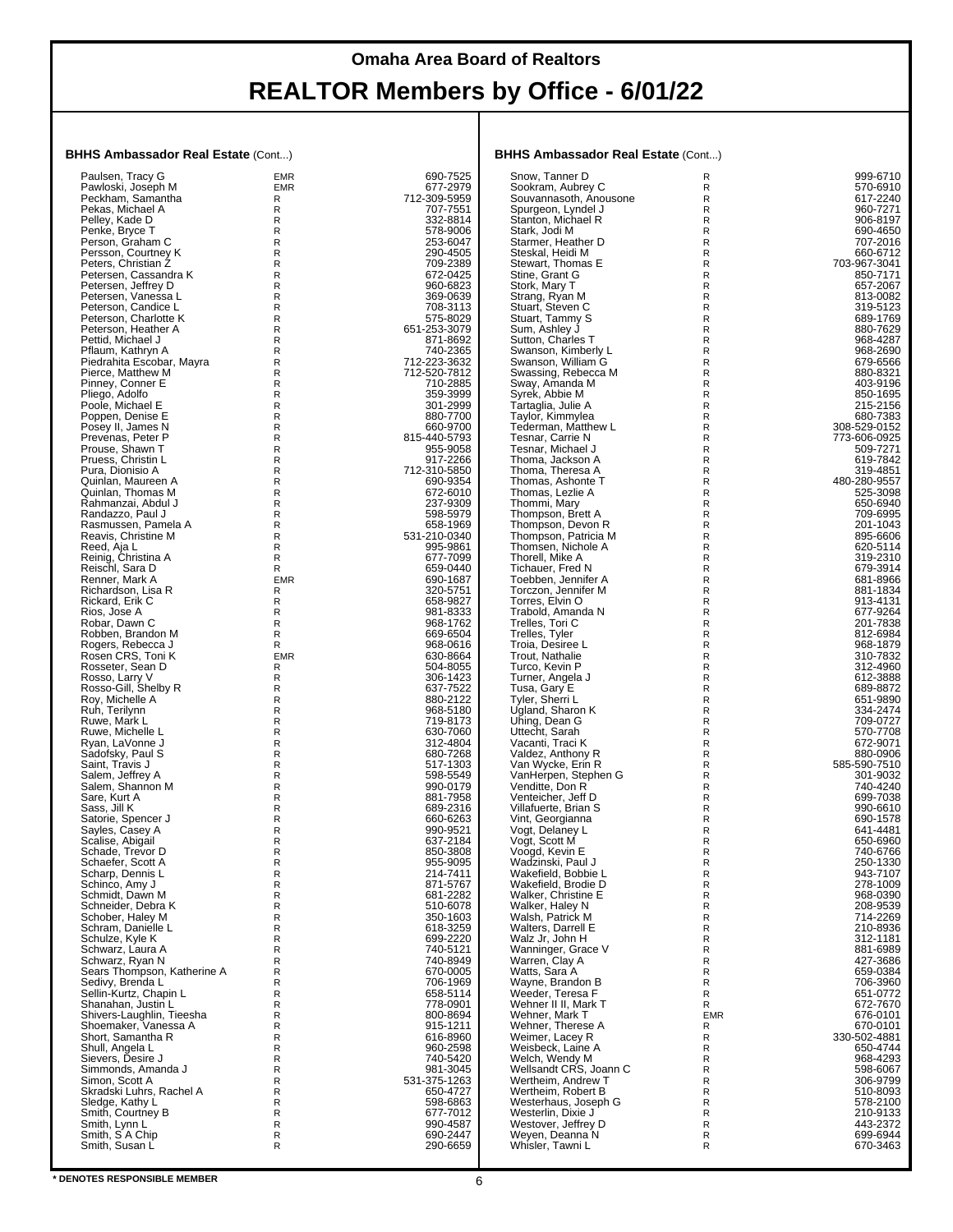#### **BHHS Ambassador Real Estate** (Cont...)

| Paulsen, Tracy G                        | <b>EMR</b> | 690-7525     | Snow, Tanner D                   | R            | 999-6710             |
|-----------------------------------------|------------|--------------|----------------------------------|--------------|----------------------|
| Pawloski, Joseph M                      | <b>EMR</b> | 677-2979     | Sookram, Aubrey C                | R            | 570-6910             |
| Peckham, Samantha                       | R          | 712-309-5959 | Souvannasoth, Anousone           | R            | 617-2240             |
| Pekas, Michael A                        | R          | 707-7551     | Spurgeon, Lyndel J               | R            | 960-7271             |
| Pelley, Kade D                          | R          | 332-8814     | Stanton, Michael R               | R            | 906-8197             |
| Penke, Bryce T                          | R          | 578-9006     | Stark, Jodi M                    | R            | 690-4650             |
| Person, Graham C                        | R          | 253-6047     | Starmer, Heather D               | R            | 707-2016             |
| Persson, Courtney K                     | R          | 290-4505     | Steskal, Heidi M                 | R            | 660-6712             |
| Peters. Christian Z                     | R          | 709-2389     | Stewart, Thomas E                | R            | 703-967-3041         |
| Petersen, Cassandra K                   | R          | 672-0425     | Stine, Grant G                   | R            | 850-7171             |
| Petersen, Jeffrey D                     | R          | 960-6823     | Stork, Mary T                    | R            | 657-2067             |
| Petersen, Vanessa L                     | R          | 369-0639     | Strang, Ryan M                   | R            | 813-0082             |
| Peterson, Candice L                     | R          | 708-3113     | Stuart, Steven C                 | R            | 319-5123             |
| Peterson, Charlotte K                   | R          | 575-8029     | Stuart, Tammy S                  | R            | 689-1769             |
| Peterson, Heather A                     | R          | 651-253-3079 | Sum, Ashley J                    | $\mathsf{R}$ | 880-7629             |
| Pettid. Michael J                       | R          | 871-8692     | Sutton, Charles T                | R            | 968-4287             |
| Pflaum, Kathryn A                       | R          | 740-2365     | Swanson, Kimberly L              | R            | 968-2690             |
| Piedrahita Escobar, Mayra               | R          | 712-223-3632 | Swanson, William G               | R            | 679-6566             |
| Pierce, Matthew M                       | R          | 712-520-7812 | Swassing, Rebecca M              | R            | 880-8321             |
| Pinney, Conner E                        | R          | 710-2885     | Sway, Amanda M                   | R            | 403-9196             |
| Pliego, Adolfo                          | R          | 359-3999     | Syrek, Abbie M                   | R            | 850-1695             |
| Poole, Michael E                        | R          | 301-2999     | Tartaglia, Julie A               | R            | 215-2156             |
| Poppen, Denise E                        | R          | 880-7700     | Taylor, Kimmylea                 | R            | 680-7383             |
| Posey II, James N                       | R          | 660-9700     | Tederman, Matthew L              | R            | 308-529-0152         |
| Prevenas, Peter P                       | R          | 815-440-5793 | Tesnar, Carrie N                 | R            | 773-606-0925         |
| Prouse, Shawn T                         | R          | 955-9058     | Tesnar, Michael J                | R            | 509-7271             |
| Pruess, Christin L                      | R          | 917-2266     | Thoma, Jackson A                 | R            | 619-7842             |
| Pura, Dionisio A                        | R          | 712-310-5850 | Thoma, Theresa A                 | R            | 319-4851             |
| Quinlan. Maureen A                      | R          | 690-9354     | Thomas, Ashonte T                | R            | 480-280-9557         |
|                                         |            | 672-6010     |                                  |              |                      |
| Quinlan, Thomas M<br>Rahmanzai, Abdul J | R<br>R     | 237-9309     | Thomas, Lezlie A<br>Thommi, Mary | R<br>R       | 525-3098<br>650-6940 |
|                                         |            |              |                                  |              |                      |
| Randazzo, Paul J                        | R          | 598-5979     | Thompson, Brett A                | R            | 709-6995             |
| Rasmussen, Pamela A                     | R          | 658-1969     | Thompson, Devon R                | R            | 201-1043             |
| Reavis, Christine M                     | R          | 531-210-0340 | Thompson, Patricia M             | R            | 895-6606             |
| Reed, Aja L                             | R          | 995-9861     | Thomsen, Nichole A               | R            | 620-5114             |
| Reinig, Christina A                     | R          | 677-7099     | Thorell, Mike A                  | R            | 319-2310             |
| Reischl, Sara D                         | R          | 659-0440     | Tichauer, Fred N                 | R            | 679-3914             |
| Renner, Mark A                          | <b>EMR</b> | 690-1687     | Toebben, Jennifer A              | R            | 681-8966             |
| Richardson, Lisa R                      | R          | 320-5751     | Torczon, Jennifer M              | R            | 881-1834             |
| Rickard, Erik C                         | R          | 658-9827     | Torres, Elvin O                  | R            | 913-4131             |
| Rios, Jose A                            | R          | 981-8333     | Trabold, Amanda N                | R            | 677-9264             |
| Robar, Dawn C                           | R          | 968-1762     | Trelles, Tori C                  | R            | 201-7838             |
| Robben, Brandon M                       | R          | 669-6504     | Trelles, Tyler                   | R            | 812-6984             |
| Rogers, Rebecca J                       | R          | 968-0616     | Troia, Desiree L                 | R            | 968-1879             |
| Rosen CRS, Toni K                       | <b>EMR</b> | 630-8664     | Trout, Nathalie                  | R            | 310-7832             |
| Rosseter, Sean D                        | R          | 504-8055     | Turco, Kevin P                   | R            | 312-4960             |
| Rosso, Larry V                          | R          | 306-1423     | Turner, Angela J                 | R            | 612-3888             |
| Rosso-Gill, Shelby R                    | R          | 637-7522     | Tusa, Gary E                     | R            | 689-8872             |
| Roy, Michelle A                         | R          | 880-2122     | Tyler, Sherri L                  | R            | 651-9890             |
| Ruh, Terilynn                           | R          | 968-5180     | Ugland, Sharon K                 | R            | 334-2474             |
| Ruwe, Mark L                            | R          | 719-8173     | Uhing, Dean G                    | R            | 709-0727             |
| Ruwe, Michelle L                        | R          | 630-7060     | Uttecht, Sarah                   | R            | 570-7708             |
| Ryan, LaVonne J                         | R          | 312-4804     | Vacanti, Traci K                 | R            | 672-9071             |
| Sadofsky, Paul S                        | R          | 680-7268     | Valdez, Anthony R                | R            | 880-0906             |
| Saint, Travis J                         | R          | 517-1303     | Van Wycke, Erin R                | R            | 585-590-7510         |
| Salem, Jeffrey A                        | R          | 598-5549     | VanHerpen, Stephen G             | R            | 301-9032             |
| Salem, Shannon M                        | R          | 990-0179     | Venditte, Don R                  | R            | 740-4240             |
| Sare, Kurt A                            | R          | 881-7958     | Venteicher, Jeff D               | R            | 699-7038             |
| Sass, Jill K                            | R          | 689-2316     | Villafuerte, Brian S             | R            | 990-6610             |
| Satorie, Spencer J                      | R          | 660-6263     | Vint, Georgianna                 | R            | 690-1578             |
| Sayles, Casey A                         | R          | 990-9521     | Vogt, Delaney L                  | R            | 641-4481             |
| Scalise, Abigail                        | R          | 637-2184     | Vogt, Scott M                    | R            | 650-6960             |
| Schade, Trevor D                        | R          | 850-3808     | Voogd, Kevin E                   | R            | 740-6766             |
| Schaefer, Scott A                       | R          | 955-9095     | Wadzinski, Paul J                | R            | 250-1330             |
| Scharp, Dennis L                        | R          | 214-7411     | Wakefield, Bobbie L              | R            | 943-7107             |
| Schinco, Amy J                          | R          | 871-5767     | Wakefield, Brodie D              | R            | 278-1009             |
| Schmidt. Dawn M                         | R          | 681-2282     | Walker, Christine E              | R            | 968-0390             |
| Schneider, Debra K                      | R          | 510-6078     | Walker, Haley N                  | R            | 208-9539             |
| Schober, Haley M                        | R          | 350-1603     | Walsh, Patrick M                 | R            | 714-2269             |
| Schram, Danielle L                      | R          | 618-3259     | Walters, Darrell E               | R            | 210-8936             |
| Schulze, Kyle K                         | R          | 699-2220     | Walz Jr, John H                  | R            | 312-1181             |
| Schwarz, Laura A                        | R          | 740-5121     | Wanninger, Grace V               | R            | 881-6989             |
| Schwarz, Ryan N                         | R          | 740-8949     | Warren, Clay A                   | R            | 427-3686             |
| Sears Thompson, Katherine A             | R          | 670-0005     | Watts, Sara A                    | R            | 659-0384             |
| Sedivy, Brenda L                        | R          | 706-1969     | Wayne, Brandon B                 | R            | 706-3960             |
| Sellin-Kurtz, Chapin L                  | R          | 658-5114     | Weeder, Teresa F                 | R            | 651-0772             |
| Shanahan, Justin L                      | R          | 778-0901     | Wehner II II, Mark T             | R            | 672-7670             |
| Shivers-Laughlin, Tieesha               | R          | 800-8694     | Wehner, Mark T                   | <b>EMR</b>   | 676-0101             |
| Shoemaker, Vanessa A                    | R          | 915-1211     | Wehner, Therese A                | R            | 670-0101             |
| Short, Samantha R                       | R          | 616-8960     | Weimer, Lacey R                  | R            | 330-502-4881         |
| Shull, Angela L                         | R          | 960-2598     | Weisbeck, Laine A                | R            | 650-4744             |
| Sievers, Desire J                       | R          | 740-5420     | Welch, Wendy M                   | R            | 968-4293             |
| Simmonds, Amanda J                      | R          | 981-3045     | Wellsandt CRS, Joann C           | R            | 598-6067             |
| Simon, Scott A                          | R          | 531-375-1263 | Wertheim, Andrew T               | R            | 306-9799             |
| Skradski Luhrs, Rachel A                | R          | 650-4727     | Wertheim, Robert B               | R            | 510-8093             |
| Sledge, Kathy L                         | R          | 598-6863     | Westerhaus, Joseph G             | R            | 578-2100             |
| Smith, Courtney B                       | R          | 677-7012     | Westerlin, Dixie J               | R            | 210-9133             |
| Smith, Lynn L                           | R          | 990-4587     | Westover, Jeffrey D              | R            | 443-2372             |
| Smith, S A Chip                         | R          | 690-2447     | Weyen, Deanna N                  | R            | 699-6944             |
| Smith, Susan L                          | R          | 290-6659     | Whisler, Tawni L                 | R            | 670-3463             |
|                                         |            |              |                                  |              |                      |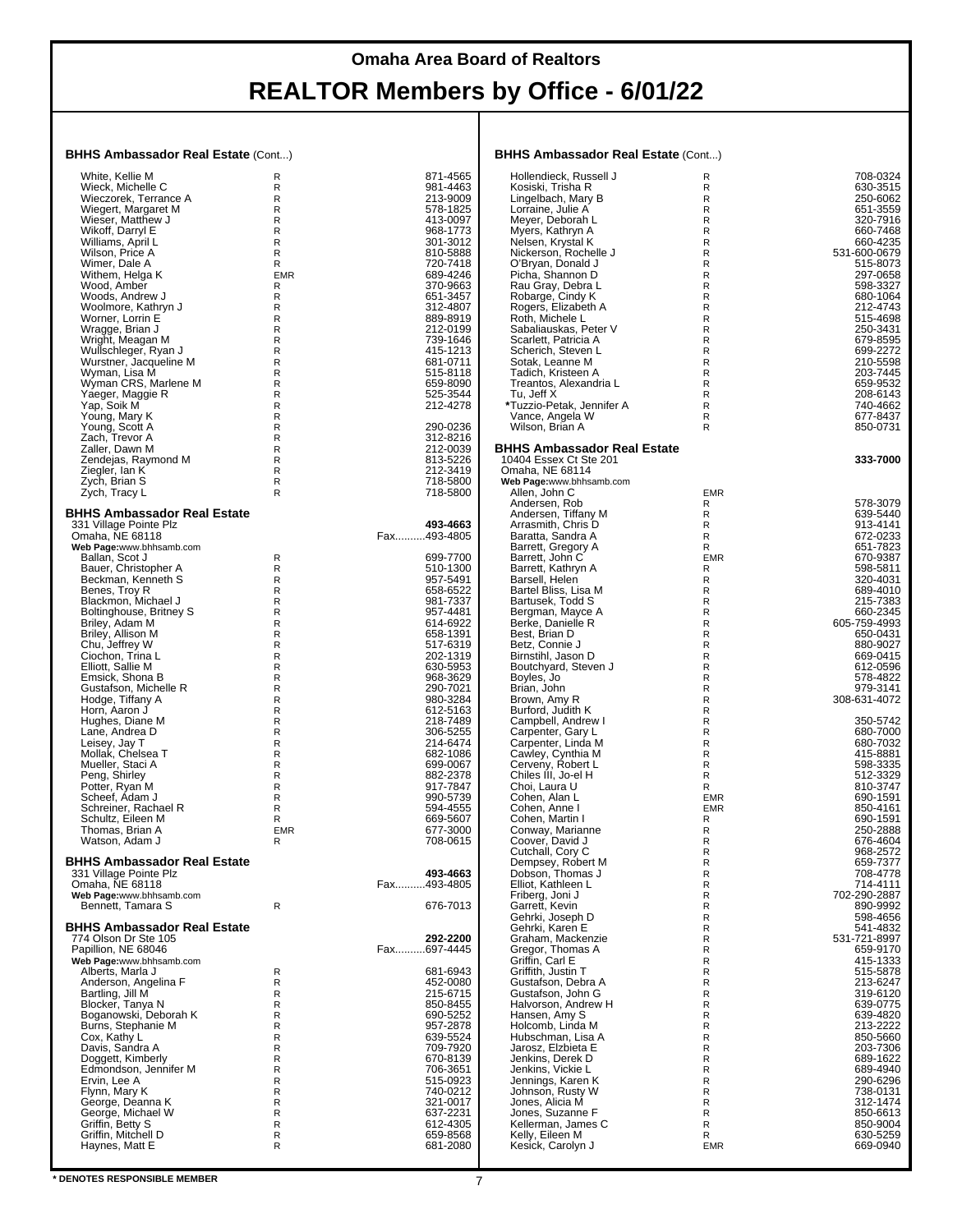#### **BHHS Ambassador Real Estate** (Cont...)

| <b>DNNO AIIIDASSAUVI REALESLALE (CONILI)</b>               |                            |                         | <b>DNNJ AIIIDASSAUVI KEAI ESIAIE</b> (CONI)  |                 |                          |
|------------------------------------------------------------|----------------------------|-------------------------|----------------------------------------------|-----------------|--------------------------|
| White, Kellie M                                            | R                          | 871-4565                | Hollendieck, Russell J                       | R               | 708-0324                 |
| Wieck, Michelle C                                          | R                          | 981-4463                | Kosiski, Trisha R                            | R               | 630-3515                 |
| Wieczorek, Terrance A<br>Wiegert, Margaret M               | $\mathsf{R}$<br>R          | 213-9009<br>578-1825    | Lingelbach, Mary B                           | R<br>R          | 250-6062<br>651-3559     |
| Wieser, Matthew J                                          | $\mathsf R$                | 413-0097                | Lorraine, Julie A<br>Meyer, Deborah L        | R               | 320-7916                 |
| Wikoff, Darryl E                                           | $\mathsf R$                | 968-1773                | Myers, Kathryn A                             | R               | 660-7468                 |
| Williams, April L                                          | R                          | 301-3012                | Nelsen, Krystal K                            | R               | 660-4235                 |
| Wilson, Price A                                            | R                          | 810-5888                | Nickerson, Rochelle J                        | R               | 531-600-0679             |
| Wimer, Dale A<br>Withem, Helga K                           | R<br><b>EMR</b>            | 720-7418<br>689-4246    | O'Bryan, Donald J<br>Picha, Shannon D        | R<br>R          | 515-8073<br>297-0658     |
| Wood, Amber                                                | R                          | 370-9663                | Rau Gray, Debra L                            | R               | 598-3327                 |
| Woods, Andrew J                                            | R                          | 651-3457                | Robarge, Cindy K                             | R               | 680-1064                 |
| Woolmore, Kathryn J                                        | R                          | 312-4807                | Rogers, Elizabeth A                          | R               | 212-4743                 |
| Worner, Lorrin E                                           | R<br>${\sf R}$             | 889-8919<br>212-0199    | Roth, Michele L<br>Sabaliauskas, Peter V     | R<br>R          | 515-4698<br>250-3431     |
| Wragge, Brian J<br>Wright, Meagan M                        | $\mathsf R$                | 739-1646                | Scarlett, Patricia A                         | R               | 679-8595                 |
| Wullschleger, Ryan J                                       | $\mathsf R$                | 415-1213                | Scherich, Steven L                           | R               | 699-2272                 |
| Wurstner, Jacqueline M                                     | $\mathsf R$                | 681-0711                | Sotak, Leanne M                              | R               | 210-5598                 |
| Wyman, Lisa M<br>Wyman CRS, Marlene M                      | $\mathsf R$<br>R           | 515-8118<br>659-8090    | Tadich, Kristeen A<br>Treantos, Alexandria L | R<br>R          | 203-7445<br>659-9532     |
| Yaeger, Maggie R                                           | $\mathsf R$                | 525-3544                | Tu, Jeff X                                   | R               | 208-6143                 |
| Yap, Soik M                                                | $\mathsf R$                | 212-4278                | *Tuzzio-Petak, Jennifer A                    | R               | 740-4662                 |
| Young, Mary K                                              | $\mathsf R$                |                         | Vance, Angela W                              | R               | 677-8437                 |
| Young, Scott A<br>Zach, Trevor A                           | $\mathsf R$                | 290-0236                | Wilson, Brian A                              | R               | 850-0731                 |
| Zaller, Dawn M                                             | $\mathsf R$<br>R           | 312-8216<br>212-0039    | <b>BHHS Ambassador Real Estate</b>           |                 |                          |
| Zendejas, Raymond M                                        | $\mathsf R$                | 813-5226                | 10404 Essex Ct Ste 201                       |                 | 333-7000                 |
| Ziegler, Ian K                                             | R                          | 212-3419                | Omaha, NE 68114                              |                 |                          |
| Zych, Brian S                                              | R                          | 718-5800                | Web Page:www.bhhsamb.com                     |                 |                          |
| Zych, Tracy L                                              | $\mathsf{R}$               | 718-5800                | Allen, John C<br>Andersen, Rob               | <b>EMR</b><br>R | 578-3079                 |
| <b>BHHS Ambassador Real Estate</b>                         |                            |                         | Andersen, Tiffany M                          | R               | 639-5440                 |
| 331 Village Pointe Plz                                     |                            | 493-4663                | Arrasmith, Chris D                           | R               | 913-4141                 |
| Omaha, NE 68118                                            |                            | Fax493-4805             | Baratta, Sandra A                            | R               | 672-0233                 |
| Web Page:www.bhhsamb.com<br>Ballan, Scot J                 | R                          | 699-7700                | Barrett, Gregory A<br>Barrett, John C        | R<br><b>EMR</b> | 651-7823<br>670-9387     |
| Bauer, Christopher A                                       | R                          | 510-1300                | Barrett, Kathryn A                           | R               | 598-5811                 |
| Beckman, Kenneth S                                         | R                          | 957-5491                | Barsell, Helen                               | R               | 320-4031                 |
| Benes, Troy R                                              | ${\sf R}$                  | 658-6522                | Bartel Bliss, Lisa M                         | R               | 689-4010                 |
| Blackmon, Michael J<br>Boltinghouse, Britney S             | $\mathsf R$<br>$\mathsf R$ | 981-7337<br>957-4481    | Bartusek, Todd S<br>Bergman, Mayce A         | R<br>R          | 215-7383<br>660-2345     |
| Briley, Adam M                                             | ${\sf R}$                  | 614-6922                | Berke, Danielle R                            | R               | 605-759-4993             |
| Briley, Allison M                                          | $\mathsf R$                | 658-1391                | Best, Brian D                                | R               | 650-0431                 |
| Chu, Jeffrey W                                             | $\mathsf R$                | 517-6319                | Betz, Connie J                               | R               | 880-9027                 |
| Ciochon, Trina L<br>Elliott, Sallie M                      | ${\sf R}$<br>$\mathsf R$   | 202-1319<br>630-5953    | Birnstihl, Jason D                           | R<br>R          | 669-0415<br>612-0596     |
| Emsick, Shona B                                            | $\mathsf R$                | 968-3629                | Boutchyard, Steven J<br>Boyles, Jo           | R               | 578-4822                 |
| Gustafson, Michelle R                                      | $\mathsf R$                | 290-7021                | Brian, John                                  | R               | 979-3141                 |
| Hodge, Tiffany A                                           | $\mathsf R$                | 980-3284                | Brown, Amy R                                 | R               | 308-631-4072             |
| Horn, Aaron J                                              | $\mathsf R$                | 612-5163                | Burford, Judith K                            | R               |                          |
| Hughes, Diane M<br>Lane, Andrea D                          | ${\sf R}$<br>$\mathsf R$   | 218-7489<br>306-5255    | Campbell, Andrew I<br>Carpenter, Gary L      | R<br>R          | 350-5742<br>680-7000     |
| Leisey, Jay T                                              | $\mathsf R$                | 214-6474                | Carpenter, Linda M                           | R               | 680-7032                 |
| Mollak, Chelsea T                                          | ${\sf R}$                  | 682-1086                | Cawley, Cynthia M                            | R               | 415-8881                 |
| Mueller, Staci A                                           | $\mathsf R$                | 699-0067                | Cerveny, Robert L                            | R               | 598-3335                 |
| Peng, Shirley<br>Potter, Ryan M                            | $\mathsf R$<br>${\sf R}$   | 882-2378<br>917-7847    | Chiles III, Jo-el H<br>Choi, Laura U         | R<br>R          | 512-3329<br>810-3747     |
| Scheef, Adam J                                             | $\mathsf R$                | 990-5739                | Cohen, Alan L                                | <b>EMR</b>      | 690-1591                 |
| Schreiner, Rachael R                                       | R                          | 594-4555                | Cohen, Anne I                                | <b>EMR</b>      | 850-4161                 |
| Schultz, Eileen M<br>Thomas, Brian A                       | R<br><b>EMR</b>            | 669-5607<br>677-3000    | Cohen, Martin I<br>Conway, Marianne          | R<br>R          | 690-1591<br>250-2888     |
| Watson, Adam J                                             | R                          | 708-0615                | Coover, David J                              | R               | 676-4604                 |
|                                                            |                            |                         | Cutchall, Cory C                             | R               | 968-2572                 |
| <b>BHHS Ambassador Real Estate</b>                         |                            |                         | Dempsey, Robert M                            | R               | 659-7377                 |
| 331 Village Pointe Plz<br>Omaha, NE 68118                  |                            | 493-4663<br>Fax493-4805 | Dobson, Thomas J<br>Elliot, Kathleen L       | R<br>R          | 708-4778<br>714-4111     |
| Web Page:www.bhhsamb.com                                   |                            |                         | Friberg, Joni J                              | R               | 702-290-2887             |
| Bennett, Tamara S                                          | R                          | 676-7013                | Garrett, Kevin                               | R               | 890-9992                 |
|                                                            |                            |                         | Gehrki, Joseph D                             | R               | 598-4656                 |
| <b>BHHS Ambassador Real Estate</b><br>774 Olson Dr Ste 105 |                            | 292-2200                | Gehrki, Karen E<br>Graham, Mackenzie         | R<br>R          | 541-4832<br>531-721-8997 |
| Papillion, NE 68046                                        |                            | Fax697-4445             | Gregor, Thomas A                             | R               | 659-9170                 |
| Web Page:www.bhhsamb.com                                   |                            |                         | Griffin, Carl E                              | R               | 415-1333                 |
| Alberts, Marla J                                           | R                          | 681-6943                | Griffith, Justin T                           | R               | 515-5878                 |
| Anderson, Angelina F                                       | R<br>$\mathsf R$           | 452-0080<br>215-6715    | Gustafson, Debra A<br>Gustafson, John G      | R<br>R          | 213-6247<br>319-6120     |
| Bartling, Jill M<br>Blocker, Tanya N                       | $\mathsf R$                | 850-8455                | Halvorson, Andrew H                          | R               | 639-0775                 |
| Boganowski, Deborah K                                      | $\mathsf R$                | 690-5252                | Hansen, Amy S                                | R               | 639-4820                 |
| Burns, Stephanie M                                         | R                          | 957-2878                | Holcomb, Linda M                             | R               | 213-2222                 |
| Cox, Kathy L                                               | R                          | 639-5524                | Hubschman, Lisa A<br>Jarosz. Elzbieta E      | R               | 850-5660                 |
| Davis, Sandra A<br>Doggett, Kimberly                       | ${\sf R}$<br>$\mathsf R$   | 709-7920<br>670-8139    | Jenkins, Derek D                             | R<br>R          | 203-7306<br>689-1622     |
| Edmondson, Jennifer M                                      | R                          | 706-3651                | Jenkins, Vickie L                            | R               | 689-4940                 |
| Ervin, Lee A                                               | $\mathsf R$                | 515-0923                | Jennings, Karen K                            | R               | 290-6296                 |
| Flynn, Mary K                                              | R                          | 740-0212                | Johnson, Rusty W                             | R               | 738-0131                 |
| George, Deanna K<br>George, Michael W                      | R<br>R                     | 321-0017<br>637-2231    | Jones, Alicia M<br>Jones, Suzanne F          | R<br>R          | 312-1474<br>850-6613     |
| Griffin, Betty S                                           | R                          | 612-4305                | Kellerman, James C                           | R               | 850-9004                 |
| Griffin, Mitchell D                                        | R                          | 659-8568                | Kelly, Eileen M                              | R               | 630-5259                 |
| Haynes, Matt E                                             | $\mathsf R$                | 681-2080                | Kesick, Carolyn J                            | <b>EMR</b>      | 669-0940                 |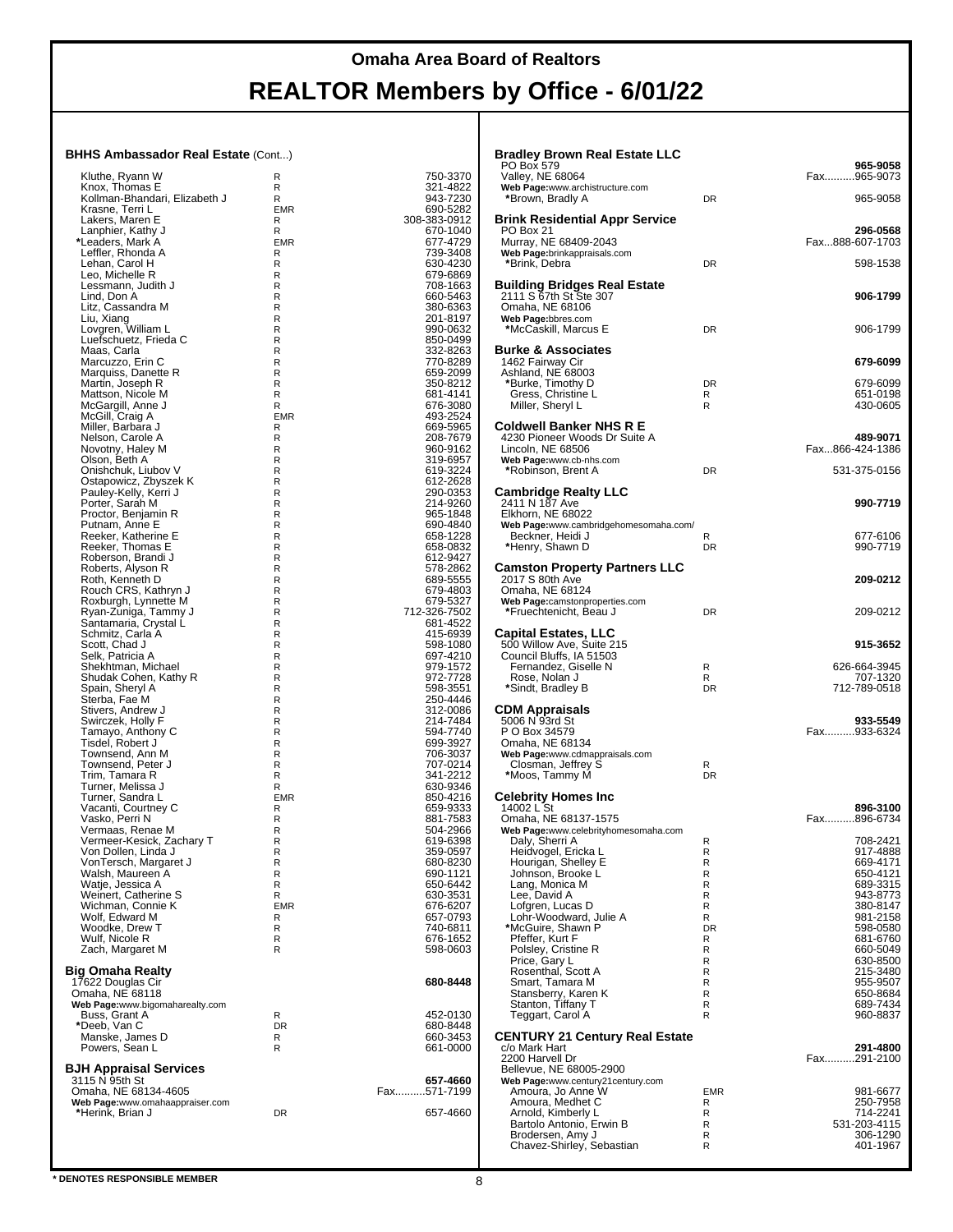| Kluthe, Ryann W                           | R          | 750-3370             |
|-------------------------------------------|------------|----------------------|
| Knox, Thomas E                            | R          | 321-4822             |
| Kollman-Bhandari, Elizabeth J             | R          | 943-7230             |
| Krasne, Terri L                           | <b>EMR</b> | 690-5282             |
| Lakers, Maren E                           | R          | 308-383-0912         |
| Lanphier, Kathy J                         | R          | 670-1040             |
| *Leaders, Mark A                          | EMR        | 677-4729             |
| Leffler, Rhonda A                         | R          | 739-3408             |
| Lehan, Carol H                            | R          | 630-4230             |
| Leo, Michelle R                           | R          | 679-6869             |
| Lessmann, Judith J                        | R          | 708-1663             |
| Lind, Don A<br>Litz, Cassandra M          | R<br>R     | 660-5463<br>380-6363 |
| Liu, Xiang                                | R          | 201-8197             |
| Lovgren, William L                        | R          | 990-0632             |
| Luefschuetz, Frieda C                     | R          | 850-0499             |
| Maas, Carla                               | R          | 332-8263             |
| Marcuzzo, Erin C                          | R          | 770-8289             |
| Marquiss, Danette R                       | R          | 659-2099             |
| Martin, Joseph R                          | R          | 350-8212             |
| Mattson, Nicole M                         | R          | 681-4141             |
| McGargill, Anne J                         | R          | 676-3080             |
| McGill, Craig A                           | EMR        | 493-2524             |
| Miller, Barbara J                         | R          | 669-5965             |
| Nelson, Carole A                          | R          | 208-7679             |
| Novotny, Haley M                          | R          | 960-9162             |
| Olson, Beth A                             | R          | 319-6957             |
| Onishchuk, Liubov V                       | R          | 619-3224             |
| Ostapowicz, Zbyszek K                     | R          | 612-2628             |
| Pauley-Kelly, Kerri J                     | R          | 290-0353             |
| Porter, Sarah M                           | R          | 214-9260             |
| Proctor, Benjamin R<br>Putnam, Anne E     | R<br>R     | 965-1848<br>690-4840 |
| Reeker, Katherine E                       | R          | 658-1228             |
| Reeker, Thomas E                          | R          | 658-0832             |
| Roberson, Brandi J                        | R          | 612-9427             |
| Roberts, Alyson R                         | R          | 578-2862             |
| Roth, Kenneth D                           | R          | 689-5555             |
| Rouch CRS, Kathryn J                      | R          | 679-4803             |
| Roxburgh, Lynnette M                      | R          | 679-5327             |
| Ryan-Zuniga, Tammy J                      | R          | 712-326-7502         |
| Santamaria, Crystal L                     | R          | 681-4522             |
| Schmitz, Carla A                          | R          | 415-6939             |
| Scott, Chad J                             | R          | 598-1080             |
| Selk, Patricia A                          | R          | 697-4210             |
| Shekhtman, Michael                        | R          | 979-1572             |
| Shudak Cohen, Kathy R                     | R          | 972-7728             |
| Spain, Sheryl A<br>Sterba, Fae M          | R<br>R     | 598-3551<br>250-4446 |
| Stivers, Andrew J                         | R          | 312-0086             |
| Swirczek, Holly F                         | R          | 214-7484             |
| Tamayo, Anthony C                         | R          | 594-7740             |
| Tisdel, Robert J                          | R          | 699-3927             |
| Townsend, Ann M                           | R          | 706-3037             |
| Townsend, Peter J                         | R          | 707-0214             |
| Trim, Tamara R                            | R          | 341-2212             |
| Turner, Melissa J                         | R          | 630-9346             |
| Turner, Sandra L                          | EMR        | 850-4216             |
| Vacanti, Courtney C                       | R          | 659-9333             |
| Vasko, Perri N                            | R          | 881-7583             |
| Vermaas, Renae M                          | R          | 504-2966             |
| Vermeer-Kesick, Zachary T                 | R          | 619-6398             |
| Von Dollen, Linda J                       | R          | 359-0597             |
| VonTersch, Margaret J                     | R          | 680-8230             |
| Walsh, Maureen A                          | R          | 690-1121             |
| Watje, Jessica A                          | R<br>R     | 650-6442             |
| Weinert, Catherine S<br>Wichman, Connie K | EMR        | 630-3531<br>676-6207 |
| Wolf, Edward M                            | R          | 657-0793             |
| Woodke, Drew T                            | R          | 740-6811             |
| Wulf, Nicole R                            | R          | 676-1652             |
| Zach, Margaret M                          | R          | 598-0603             |
|                                           |            |                      |
| Big Omaha Realty                          |            |                      |
| 17622 Douglas Cir                         |            | 680-8448             |
| Omaha, NE 68118                           |            |                      |
| Web Page:www.bigomaharealty.com           |            |                      |
| Buss, Grant A                             | R          | 452-0130             |
| *Deeb, Van C                              | DR         | 680-8448             |
| Manske, James D                           | R<br>R     | 660-3453             |
| Powers, Sean L                            |            | 661-0000             |
| <b>BJH Appraisal Services</b>             |            |                      |
| 3115 N 95th St                            |            | 657-4660             |
| Omaha, NE 68134-4605                      |            | Fax571-7199          |
| Web Page:www.omahaappraiser.com           |            |                      |
| *Herink, Brian J                          | DR         | 657-4660             |
|                                           |            |                      |
|                                           |            |                      |

| <b>Bradley Brown Real Estate LLC</b>                      |                 |                             |
|-----------------------------------------------------------|-----------------|-----------------------------|
| PO Box 579                                                |                 | 965-9058                    |
| Valley, NE 68064<br>Web Page:www.archistructure.com       |                 | Fax965-9073                 |
| *Brown, Bradly A                                          | DR              | 965-9058                    |
| <b>Brink Residential Appr Service</b>                     |                 |                             |
| PO Box 21<br>Murray, NE 68409-2043                        |                 | 296-0568<br>Fax888-607-1703 |
| Web Page:brinkappraisals.com                              |                 |                             |
| *Brink, Debra                                             | DR              | 598-1538                    |
| Building Bridges Real Estate                              |                 |                             |
| 2111 S 67th St Ste 307<br>Omaha, NE 68106                 |                 | 906-1799                    |
| Web Page:bbres.com                                        |                 |                             |
| *McCaskill, Marcus E                                      | DR              | 906-1799                    |
| <b>Burke &amp; Associates</b><br>1462 Fairway Cir         |                 | 679-6099                    |
| Ashland, NE 68003                                         |                 |                             |
| *Burke, Timothy D<br>Gress, Christine L                   | <b>DR</b><br>R  | 679-6099<br>651-0198        |
| Miller, Sheryl L                                          | R               | 430-0605                    |
| <b>Coldwell Banker NHS R E</b>                            |                 |                             |
| 4230 Pioneer Woods Dr Suite A<br>Lincoln, NE 68506        |                 | 489-9071<br>Fax866-424-1386 |
| Web Page:www.cb-nhs.com                                   |                 |                             |
| *Robinson, Brent A                                        | <b>DR</b>       | 531-375-0156                |
| Cambridge Realty LLC                                      |                 |                             |
| 2411 N 187 Ave<br>Elkhorn, NE 68022                       |                 | 990-7719                    |
| Web Page:www.cambridgehomesomaha.com/<br>Beckner, Heidi J | R               | 677-6106                    |
| *Henry, Shawn D                                           | DR              | 990-7719                    |
| <b>Camston Property Partners LLC</b>                      |                 |                             |
| 2017 S 80th Ave                                           |                 | 209-0212                    |
| Omaha, NE 68124<br>Web Page:camstonproperties.com         |                 |                             |
| *Fruechtenicht, Beau J                                    | DR              | 209-0212                    |
| Capital Estates, LLC                                      |                 |                             |
| 500 Willow Ave, Suite 215<br>Council Bluffs, IA 51503     |                 | 915-3652                    |
| Fernandez, Giselle N                                      | R               | 626-664-3945                |
| Rose, Nolan J<br>*Sindt, Bradley B                        | R<br>DR         | 707-1320<br>712-789-0518    |
|                                                           |                 |                             |
| <b>CDM Appraisals</b><br>5006 N 93rd St                   |                 | 933-5549                    |
| P O Box 34579                                             |                 | Fax933-6324                 |
| Omaha, NE 68134<br>Web Page:www.cdmappraisals.com         |                 |                             |
| Closman, Jeffrey S<br>*Moos, Tammy M                      | R<br><b>DR</b>  |                             |
|                                                           |                 |                             |
| <b>Celebrity Homes Inc</b><br>14002 L St                  |                 | 896-3100                    |
| Omaha, NE 68137-1575                                      |                 | Fax896-6734                 |
| Web Page:www.celebrityhomesomaha.com<br>Daly, Sherri A    | R               | 708-2421                    |
| Heidvogel, Ericka L                                       | R<br>R          | 917-4888<br>669-4171        |
| Hourigan, Shelley E<br>Johnson, Brooke L                  | R               | 650-4121                    |
| Lang, Monica M                                            | R<br>R          | 689-3315<br>943-8773        |
| Lee, David A<br>Lofgren, Lucas D                          | R               | 380-8147                    |
| Lohr-Woodward, Julie A                                    | R               | 981-2158                    |
| *McGuire, Shawn P<br>Pfeffer, Kurt F                      | <b>DR</b><br>R  | 598-0580<br>681-6760        |
| Polsley, Cristine R                                       | R               | 660-5049                    |
| Price, Gary L<br>Rosenthal, Scott A                       | R<br>R          | 630-8500<br>215-3480        |
| Smart, Tamara M                                           | R               | 955-9507                    |
| Stansberry, Karen K<br>Stanton, Tiffany T                 | R<br>R          | 650-8684<br>689-7434        |
| Teggart, Carol A                                          | R               | 960-8837                    |
| <b>CENTURY 21 Century Real Estate</b>                     |                 |                             |
| c/o Mark Hart                                             |                 | 291-4800                    |
| 2200 Harvell Dr<br>Bellevue, NE 68005-2900                |                 | Fax291-2100                 |
| Web Page:www.century21century.com                         |                 |                             |
| Amoura, Jo Anne W<br>Amoura, Medhet C                     | <b>EMR</b><br>R | 981-6677<br>250-7958        |
| Arnold, Kimberly L                                        | R               | 714-2241                    |
| Bartolo Antonio, Erwin B<br>Brodersen, Amy J              | R<br>R          | 531-203-4115<br>306-1290    |
| Chavez-Shirley, Sebastian                                 | R               | 401-1967                    |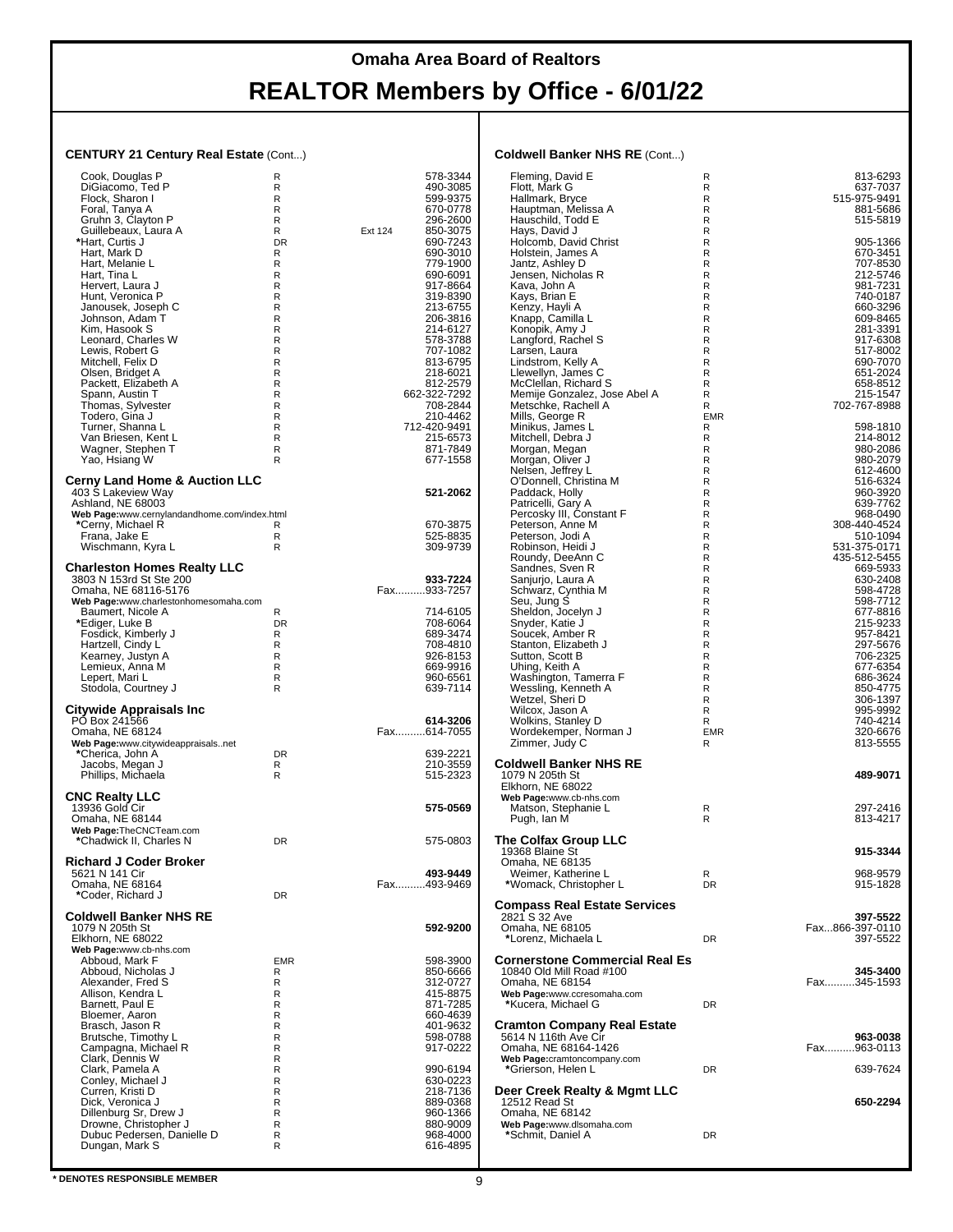### **Omaha Area Board of Realtors**

# **REALTOR Members by Office - 6/01/22**

#### **CENTURY 21 Century Real Estate** (Cont...)

| Cook, Douglas P<br>DiGiacomo, Ted P<br>Flock, Sharon I<br>Foral, Tanya A<br>Gruhn 3, Clayton P<br>Guillebeaux, Laura A<br>*Hart, Curtis J<br>Hart, Mark D<br>Hart, Melanie L<br>Hart, Tina L<br>Hervert, Laura J<br>Hunt, Veronica P<br>Janousek, Joseph C<br>Johnson, Adam T<br>Kim, Hasook S<br>Leonard, Charles W<br>Lewis, Robert G<br>Mitchell, Felix D<br>Olsen, Bridget A<br>Packett, Elizabeth A<br>Spann, Austin T<br>Thomas, Sylvester<br>Todero, Gina J<br>Turner, Shanna L<br>Van Briesen, Kent L<br>Wagner, Stephen T<br>Yao, Hsiang W | R<br>R<br>R<br>R<br>R<br>R<br><b>DR</b><br>R<br>R<br>R<br>R<br>R<br>R<br>R<br>R<br>R<br>R<br>R<br>R<br>R<br>R<br>R<br>R<br>R<br>R<br>R<br>R | 578-3344<br>490-3085<br>599-9375<br>670-0778<br>296-2600<br>850-3075<br>Ext 124<br>690-7243<br>690-3010<br>779-1900<br>690-6091<br>917-8664<br>319-8390<br>213-6755<br>206-3816<br>214-6127<br>578-3788<br>707-1082<br>813-6795<br>218-6021<br>812-2579<br>662-322-7292<br>708-2844<br>210-4462<br>712-420-9491<br>215-6573<br>871-7849<br>677-1558 |  |
|-----------------------------------------------------------------------------------------------------------------------------------------------------------------------------------------------------------------------------------------------------------------------------------------------------------------------------------------------------------------------------------------------------------------------------------------------------------------------------------------------------------------------------------------------------|---------------------------------------------------------------------------------------------------------------------------------------------|-----------------------------------------------------------------------------------------------------------------------------------------------------------------------------------------------------------------------------------------------------------------------------------------------------------------------------------------------------|--|
| <b>Cerny Land Home &amp; Auction LLC</b><br>403 Š Lakeview Way<br>Ashland, NE 68003                                                                                                                                                                                                                                                                                                                                                                                                                                                                 |                                                                                                                                             | 521-2062                                                                                                                                                                                                                                                                                                                                            |  |
| Web Page:www.cernylandandhome.com/index.html<br>*Cerny, Michael R<br>Frana, Jake E<br>Wischmann, Kyra L                                                                                                                                                                                                                                                                                                                                                                                                                                             | R<br>R                                                                                                                                      | 670-3875<br>525-8835<br>309-9739                                                                                                                                                                                                                                                                                                                    |  |
| <b>Charleston Homes Realty LLC</b><br>3803 N 153rd St Ste 200<br>Omaha, NE 68116-5176                                                                                                                                                                                                                                                                                                                                                                                                                                                               |                                                                                                                                             | 933-7224<br>Fax933-7257                                                                                                                                                                                                                                                                                                                             |  |
| Web Page:www.charlestonhomesomaha.com<br>Baumert, Nicole A<br>*Ediger, Luke B<br>Fosdick, Kimberly J<br>Hartzell, Cindy L<br>Kearney, Justyn A<br>Lemieux, Anna M<br>Lepert, Mari L<br>Stodola, Courtney J                                                                                                                                                                                                                                                                                                                                          | R<br>DR<br>R<br>R<br>R<br>R<br>R<br>R                                                                                                       | 714-6105<br>708-6064<br>689-3474<br>708-4810<br>926-8153<br>669-9916<br>960-6561<br>639-7114                                                                                                                                                                                                                                                        |  |
| Citywide Appraisals Inc<br>PO Box 241566<br>Omaha, NE 68124                                                                                                                                                                                                                                                                                                                                                                                                                                                                                         |                                                                                                                                             | 614-3206<br>Fax614-7055                                                                                                                                                                                                                                                                                                                             |  |
| Web Page:www.citywideappraisalsnet<br>*Cherica, John A<br>Jacobs, Megan J<br>Phillips, Michaela                                                                                                                                                                                                                                                                                                                                                                                                                                                     | DR<br>R<br>R                                                                                                                                | 639-2221<br>210-3559<br>515-2323                                                                                                                                                                                                                                                                                                                    |  |
| <b>CNC Realty LLC</b><br>13936 Gold Cir<br>Omaha, NE 68144<br>Web Page: The CNCTeam.com                                                                                                                                                                                                                                                                                                                                                                                                                                                             |                                                                                                                                             | 575-0569                                                                                                                                                                                                                                                                                                                                            |  |
| *Chadwick II, Charles N<br><b>Richard J Coder Broker</b>                                                                                                                                                                                                                                                                                                                                                                                                                                                                                            | DR                                                                                                                                          | 575-0803                                                                                                                                                                                                                                                                                                                                            |  |
| 5621 N 141 Cir<br>Omaha, NE 68164<br>*Coder, Richard J                                                                                                                                                                                                                                                                                                                                                                                                                                                                                              | DR                                                                                                                                          | 493-9449<br>Fax493-9469                                                                                                                                                                                                                                                                                                                             |  |
| <b>Coldwell Banker NHS RE</b><br>1079 N 205th St<br>Elkhorn, NE 68022<br>Web Page:www.cb-nhs.com                                                                                                                                                                                                                                                                                                                                                                                                                                                    |                                                                                                                                             | 592-9200                                                                                                                                                                                                                                                                                                                                            |  |
| Abboud, Mark F<br>Abboud, Nicholas J<br>Alexander, Fred S<br>Allison, Kendra L                                                                                                                                                                                                                                                                                                                                                                                                                                                                      | EMR<br>R<br>R<br>R<br>R                                                                                                                     | 598-3900<br>850-6666<br>312-0727<br>415-8875                                                                                                                                                                                                                                                                                                        |  |
| Barnett, Paul E<br>Bloemer, Aaron<br>Brasch, Jason R<br>Brutsche, Timothy L<br>Campagna, Michael R                                                                                                                                                                                                                                                                                                                                                                                                                                                  | R<br>R<br>R<br>R                                                                                                                            | 871-7285<br>660-4639<br>401-9632<br>598-0788<br>917-0222                                                                                                                                                                                                                                                                                            |  |
| Clark, Dennis W<br>Clark, Pamela A<br>Conley, Michael J<br>Curren, Kristi D<br>Dick, Veronica J<br>Dillenburg Sr, Drew J<br>Drowne, Christopher J<br>Dubuc Pedersen, Danielle D<br>Dungan, Mark S                                                                                                                                                                                                                                                                                                                                                   | R<br>R<br>R<br>R<br>R<br>R<br>R<br>R<br>R                                                                                                   | 990-6194<br>630-0223<br>218-7136<br>889-0368<br>960-1366<br>880-9009<br>968-4000<br>616-4895                                                                                                                                                                                                                                                        |  |

#### **Coldwell Banker NHS RE** (Cont...)

| Fleming, David E<br>Flott, Mark G<br>Hallmark, Bryce<br>Hauptman, Melissa A<br>Hauschild, Todd E                                                                                                                                                                                                                                         | R<br>R<br>R<br>R<br>R<br>R                                                   | 813-6293<br>637-7037<br>515-975-9491<br>881-5686<br>515-5819                                                                                                                     |
|------------------------------------------------------------------------------------------------------------------------------------------------------------------------------------------------------------------------------------------------------------------------------------------------------------------------------------------|------------------------------------------------------------------------------|----------------------------------------------------------------------------------------------------------------------------------------------------------------------------------|
| Hays, David J<br>Holcomb, David Christ<br>Holstein, James A<br>Jantz, Ashley D<br>Jensen, Nicholas R<br>Kava, John A<br>Kays, Brian E<br>Kenzy, Hayli A<br>Knapp, Camilla L<br>Konopik, Amy J<br>Langford, Rachel S<br>Larsen, Laura<br>Lindstrom, Kelly A<br>Llewellyn, James C<br>McClellan, Richard S<br>Memije Gonzalez, Jose Abel A | R<br>R<br>R<br>R<br>R<br>R<br>R<br>R<br>R<br>R<br>R<br>R<br>R<br>R<br>R<br>R | 905-1366<br>670-3451<br>707-8530<br>212-5746<br>981-7231<br>740-0187<br>660-3296<br>609-8465<br>281-3391<br>917-6308<br>517-8002<br>690-7070<br>651-2024<br>658-8512<br>215-1547 |
| Metschke, Rachell A<br>Mills, George R<br>Minikus, James L<br>Mitchell, Debra J<br>Morgan, Megan<br>Morgan, Oliver J<br>Nelsen, Jeffrey L                                                                                                                                                                                                | <b>EMR</b><br>R<br>R<br>R<br>R<br>R                                          | 702-767-8988<br>598-1810<br>214-8012<br>980-2086<br>980-2079<br>612-4600                                                                                                         |
| O'Donnell, Christina M<br>Paddack, Holly<br>Patricelli, Gary A<br>Percosky III, Constant F<br>Peterson, Anne M<br>Peterson, Jodi A<br>Robinson, Heidi J                                                                                                                                                                                  | R<br>R<br>R<br>R<br>R<br>R<br>R                                              | 516-6324<br>960-3920<br>639-7762<br>968-0490<br>308-440-4524<br>510-1094<br>531-375-0171                                                                                         |
| Roundy, DeeAnn C<br>Sandnes, Sven R<br>Sanjurjo, Laura A<br>Schwarz, Cynthia M<br>Seu, Jung S<br>Sheldon, Jocelyn J<br>Snyder, Katie J                                                                                                                                                                                                   | R<br>R<br>R<br>R<br>R<br>R<br>R                                              | 435-512-5455<br>669-5933<br>630-2408<br>598-4728<br>598-7712<br>677-8816<br>215-9233                                                                                             |
| Soucek, Amber R<br>Stanton, Elizabeth J<br>Sutton, Scott B<br>Uhing, Keith A<br>Washington, Tamerra F<br>Wessling, Kenneth A<br>Wetzel, Sheri D<br>Wilcox, Jason A<br>Wolkins, Stanley D                                                                                                                                                 | R<br>R<br>R<br>R<br>R<br>R<br>R<br>R<br>R                                    | 957-8421<br>297-5676<br>706-2325<br>677-6354<br>686-3624<br>850-4775<br>306-1397<br>995-9992<br>740-4214                                                                         |
| Wordekemper, Norman J<br>Zimmer, Judy C<br>Coldwell Banker NHS RE<br>1079 N 205th St                                                                                                                                                                                                                                                     | <b>EMR</b><br>R                                                              | 320-6676<br>813-5555<br>489-9071                                                                                                                                                 |
| Elkhorn, NE 68022<br>Web Page:www.cb-nhs.com<br>Matson, Stephanie L<br>Pugh, Ian M                                                                                                                                                                                                                                                       | R<br>R                                                                       | 297-2416<br>813-4217                                                                                                                                                             |
| The Colfax Group LLC<br>19368 Blaine St<br>Omaha, NE 68135<br>Weimer, Katherine L                                                                                                                                                                                                                                                        | R                                                                            | 915-3344<br>968-9579                                                                                                                                                             |
| *Womack, Christopher L<br>Compass Real Estate Services<br>2821 S 32 Ave<br>Omaha, NE 68105                                                                                                                                                                                                                                               | <b>DR</b>                                                                    | 915-1828<br>397-5522<br>Fax866-397-0110                                                                                                                                          |
| *Lorenz, Michaela L<br>Cornerstone Commercial Real Es<br>10840 Old Mill Road #100<br>Omaha, NE 68154                                                                                                                                                                                                                                     | <b>DR</b>                                                                    | 397-5522<br>345-3400<br>Fax345-1593                                                                                                                                              |
| Web Page:www.ccresomaha.com<br>*Kucera, Michael G<br>Cramton Company Real Estate                                                                                                                                                                                                                                                         | <b>DR</b>                                                                    |                                                                                                                                                                                  |
| 5614 N 116th Ave Cir<br>Omaha, NE 68164-1426<br>Web Page:cramtoncompany.com<br>*Grierson, Helen L                                                                                                                                                                                                                                        | <b>DR</b>                                                                    | 963-0038<br>Fax963-0113<br>639-7624                                                                                                                                              |
| Deer Creek Realty & Mgmt LLC<br>12512 Read St<br>Omaha, NE 68142<br>Web Page:www.dlsomaha.com                                                                                                                                                                                                                                            |                                                                              | 650-2294                                                                                                                                                                         |
| *Schmit, Daniel A                                                                                                                                                                                                                                                                                                                        | <b>DR</b>                                                                    |                                                                                                                                                                                  |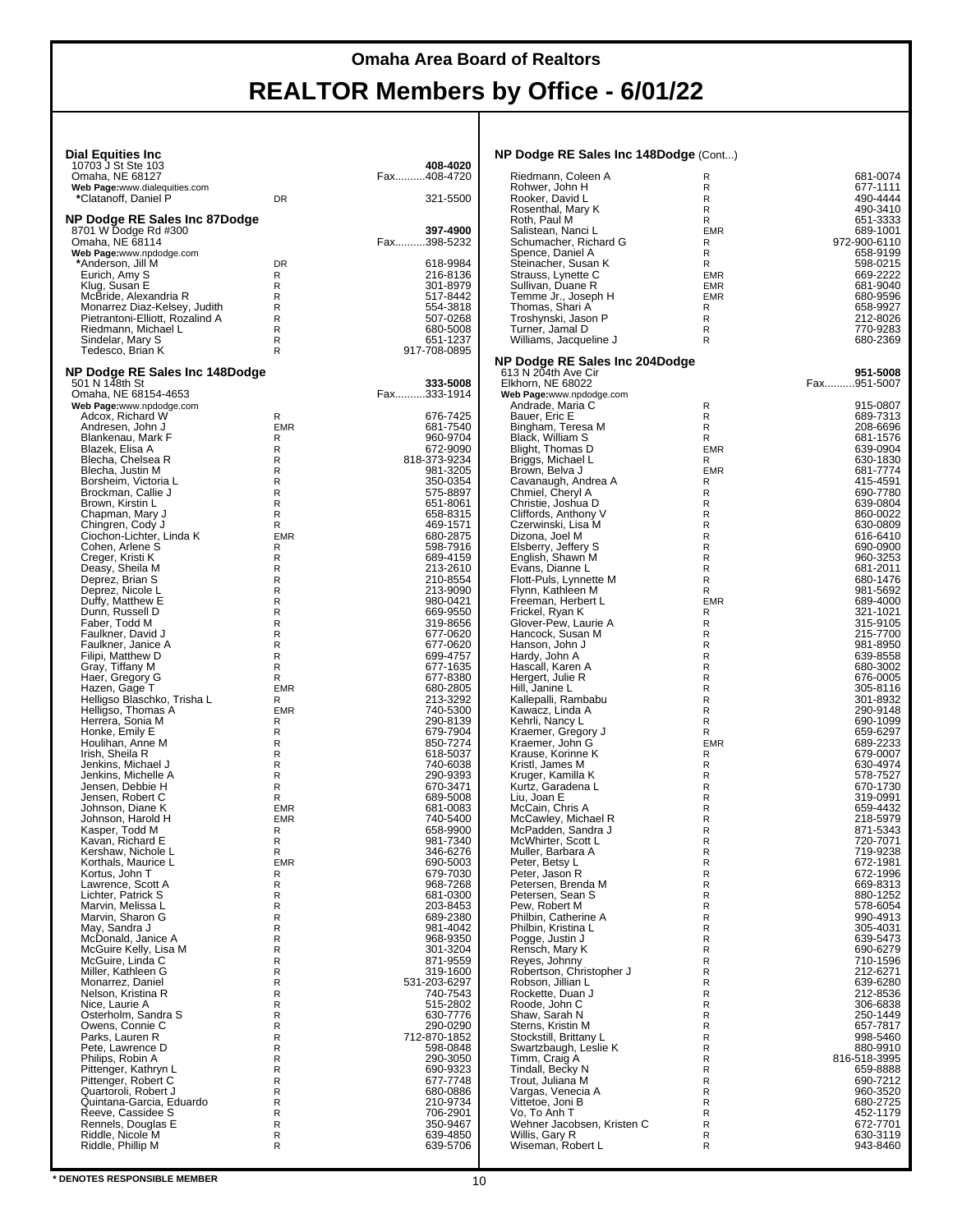| <b>Dial Equities Inc</b>                              |                   | 408-4020                 | NP Dodge RE Sales Inc 148Dodge (Cont)           |                             |                      |
|-------------------------------------------------------|-------------------|--------------------------|-------------------------------------------------|-----------------------------|----------------------|
| 10703 J St Ste 103<br>Omaha, NE 68127                 |                   | Fax408-4720              | Riedmann, Coleen A                              | R                           | 681-0074             |
| Web Page:www.dialequities.com                         |                   |                          | Rohwer, John H                                  | $\mathsf R$                 | 677-1111             |
| *Clatanoff, Daniel P                                  | <b>DR</b>         | 321-5500                 | Rooker, David L<br>Rosenthal, Mary K            | R<br>R                      | 490-4444<br>490-3410 |
| NP Dodge RE Sales Inc 87Dodge                         |                   |                          | Roth, Paul M                                    | R                           | 651-3333             |
| 8701 W Dodge Rd #300                                  |                   | 397-4900                 | Salistean, Nanci L                              | <b>EMR</b>                  | 689-1001             |
| Omaha, NE 68114                                       |                   | Fax398-5232              | Schumacher, Richard G                           | R                           | 972-900-6110         |
| Web Page:www.npdodge.com<br>*Anderson, Jill M         | <b>DR</b>         | 618-9984                 | Spence, Daniel A<br>Steinacher, Susan K         | R<br>R                      | 658-9199<br>598-0215 |
| Eurich, Amy S                                         | R                 | 216-8136                 | Strauss, Lynette C                              | <b>EMR</b>                  | 669-2222             |
| Klug, Susan E                                         | R                 | 301-8979                 | Sullivan, Duane R                               | <b>EMR</b>                  | 681-9040             |
| McBride, Alexandria R<br>Monarrez Diaz-Kelsey, Judith | R<br>R            | 517-8442<br>554-3818     | Temme Jr., Joseph H<br>Thomas, Shari A          | <b>EMR</b><br>R             | 680-9596<br>658-9927 |
| Pietrantoni-Elliott, Rozalind A                       | R                 | 507-0268                 | Troshynski, Jason P                             | $\mathsf R$                 | 212-8026             |
| Riedmann, Michael L                                   | R                 | 680-5008                 | Turner, Jamal D                                 | R                           | 770-9283             |
| Sindelar, Mary S                                      | R<br>R            | 651-1237                 | Williams, Jacqueline J                          | R                           | 680-2369             |
| Tedesco, Brian K                                      |                   | 917-708-0895             | NP Dodge RE Sales Inc 204Dodge                  |                             |                      |
| NP Dodge RE Sales Inc 148Dodge                        |                   |                          | 613 N 204th Ave Cir                             |                             | 951-5008             |
| 501 N 148th St                                        |                   | 333-5008                 | Elkhorn, NE 68022                               |                             | Fax951-5007          |
| Omaha, NE 68154-4653<br>Web Page:www.npdodge.com      |                   | Fax333-1914              | Web Page:www.npdodge.com<br>Andrade, Maria C    | R                           | 915-0807             |
| Adcox, Richard W                                      | R                 | 676-7425                 | Bauer, Eric E                                   | R                           | 689-7313             |
| Andresen, John J                                      | <b>EMR</b>        | 681-7540                 | Bingham, Teresa M                               | R                           | 208-6696             |
| Blankenau, Mark F<br>Blazek, Elisa A                  | R<br>R            | 960-9704<br>672-9090     | Black, William S<br>Blight, Thomas D            | R<br><b>EMR</b>             | 681-1576<br>639-0904 |
| Blecha, Chelsea R                                     | R                 | 818-373-9234             | Briggs, Michael L                               | R                           | 630-1830             |
| Blecha, Justin M                                      | R                 | 981-3205                 | Brown, Belva J                                  | <b>EMR</b>                  | 681-7774             |
| Borsheim. Victoria L                                  | $\mathsf R$       | 350-0354                 | Cavanaugh, Andrea A                             | R                           | 415-4591             |
| Brockman, Callie J<br>Brown, Kirstin L                | $\mathsf R$<br>R  | 575-8897<br>651-8061     | Chmiel, Cheryl A<br>Christie, Joshua D          | $\mathsf R$<br>$\mathsf R$  | 690-7780<br>639-0804 |
| Chapman, Mary J                                       | $\mathsf R$       | 658-8315                 | Cliffords, Anthony V                            | $\mathsf R$                 | 860-0022             |
| Chingren, Cody J                                      | R                 | 469-1571                 | Czerwinski, Lisa M                              | $\mathsf R$                 | 630-0809             |
| Ciochon-Lichter, Linda K<br>Cohen, Arlene S           | <b>EMR</b>        | 680-2875                 | Dizona, Joel M                                  | $\mathsf R$<br>$\mathsf R$  | 616-6410             |
| Creger, Kristi K                                      | R<br>R            | 598-7916<br>689-4159     | Elsberry, Jeffery S                             | $\mathsf R$                 | 690-0900<br>960-3253 |
| Deasy, Sheila M                                       | R                 | 213-2610                 | English, Shawn M<br>Evans, Dianne L             | $\mathsf R$                 | 681-2011             |
| Deprez. Brian S                                       | $\mathsf R$       | 210-8554                 | Flott-Puls, Lynnette M                          | $\mathsf R$                 | 680-1476             |
| Deprez, Nicole L<br>Duffy, Matthew E                  | R<br>$\mathsf{R}$ | 213-9090<br>980-0421     | Flynn, Kathleen M<br>Freeman, Herbert L         | R<br><b>EMR</b>             | 981-5692<br>689-4000 |
| Dunn, Russell D                                       | $\mathsf R$       | 669-9550                 | Frickel, Ryan K                                 | $\mathsf R$                 | 321-1021             |
| Faber, Todd M                                         | $\mathsf R$       | 319-8656                 | Glover-Pew, Laurie A                            | $\mathsf R$                 | 315-9105             |
| Faulkner, David J                                     | R                 | 677-0620                 | Hancock, Susan M                                | ${\sf R}$                   | 215-7700             |
| Faulkner, Janice A<br>Filipi, Matthew D               | $\mathsf R$<br>R  | 677-0620<br>699-4757     | Hanson, John J<br>Hardy, John A                 | $\mathsf R$<br>$\mathsf{R}$ | 981-8950<br>639-8558 |
| Gray, Tiffany M                                       | R                 | 677-1635                 | Hascall, Karen A                                | $\mathsf R$                 | 680-3002             |
| Haer, Gregory G                                       | R                 | 677-8380                 | Hergert, Julie R                                | $\mathsf R$                 | 676-0005             |
| Hazen, Gage T<br>Helligso Blaschko, Trisha L          | <b>EMR</b><br>R   | 680-2805<br>213-3292     | Hill, Janine L<br>Kallepalli, Rambabu           | $\mathsf R$<br>$\mathsf R$  | 305-8116<br>301-8932 |
| Helligso, Thomas A                                    | <b>EMR</b>        | 740-5300                 | Kawacz, Linda A                                 | $\mathsf R$                 | 290-9148             |
| Herrera, Sonia M                                      | R                 | 290-8139                 | Kehrli, Nancy L                                 | $\mathsf R$                 | 690-1099             |
| Honke, Emily E<br>Houlihan, Anne M                    | R<br>R            | 679-7904<br>850-7274     | Kraemer, Gregory J<br>Kraemer, John G           | R<br><b>EMR</b>             | 659-6297<br>689-2233 |
| Irish, Sheila R                                       | $\mathsf R$       | 618-5037                 | Krause, Korinne K                               | R                           | 679-0007             |
| Jenkins, Michael J                                    | $\mathsf R$       | 740-6038                 | Kristl, James M                                 | $\mathsf R$                 | 630-4974             |
| Jenkins, Michelle A                                   | R                 | 290-9393                 | Kruger, Kamilla K                               | $\mathsf R$                 | 578-7527             |
| Jensen, Debbie H<br>Jensen, Robert C                  | R<br>R            | 670-3471<br>689-5008     | Kurtz, Garadena L<br>Liu. Joan E                | $\mathsf R$<br>$\mathsf R$  | 670-1730<br>319-0991 |
| Johnson, Diane K                                      | <b>EMR</b>        | 681-0083                 | McCain, Chris A                                 | $\mathsf R$                 | 659-4432             |
| Johnson, Harold H                                     | <b>EMR</b>        | 740-5400                 | McCawley, Michael R                             | ${\sf R}$                   | 218-5979             |
| Kasper, Todd M                                        | R<br>R            | 658-9900<br>981-7340     | McPadden, Sandra J                              | ${\sf R}$<br>$\mathsf{R}$   | 871-5343<br>720-7071 |
| Kavan, Richard E<br>Kershaw, Nichole L                | R                 | 346-6276                 | McWhirter, Scott L<br>Muller, Barbara A         | R                           | 719-9238             |
| Korthals, Maurice L                                   | EMR               | 690-5003                 | Peter, Betsy L                                  | ${\sf R}$                   | 672-1981             |
| Kortus, John T                                        | R                 | 679-7030                 | Peter, Jason R                                  | ${\sf R}$                   | 672-1996             |
| Lawrence, Scott A<br>Lichter, Patrick S               | R<br>R            | 968-7268<br>681-0300     | Petersen, Brenda M<br>Petersen, Sean S          | ${\sf R}$<br>$\mathsf R$    | 669-8313<br>880-1252 |
| Marvin, Melissa L                                     | R                 | 203-8453                 | Pew, Robert M                                   | $\mathsf R$                 | 578-6054             |
| Marvin, Sharon G                                      | R                 | 689-2380                 | Philbin, Catherine A                            | $\mathsf R$                 | 990-4913             |
| May, Sandra J                                         | R                 | 981-4042                 | Philbin, Kristina L                             | R                           | 305-4031             |
| McDonald, Janice A<br>McGuire Kelly, Lisa M           | R<br>R            | 968-9350<br>301-3204     | Pogge, Justin J<br>Rensch, Mary K               | $\mathsf R$<br>$\mathsf R$  | 639-5473<br>690-6279 |
| McGuire, Linda C                                      | R                 | 871-9559                 | Reyes, Johnny                                   | $\mathsf R$                 | 710-1596             |
| Miller, Kathleen G                                    | R                 | 319-1600                 | Robertson, Christopher J                        | $\mathsf R$                 | 212-6271             |
| Monarrez, Daniel<br>Nelson, Kristina R                | R<br>R            | 531-203-6297<br>740-7543 | Robson, Jillian L<br>Rockette, Duan J           | $\mathsf R$<br>R            | 639-6280<br>212-8536 |
| Nice. Laurie A                                        | R                 | 515-2802                 | Roode, John C                                   | $\mathsf R$                 | 306-6838             |
| Osterholm, Sandra S                                   | R                 | 630-7776                 | Shaw, Sarah N                                   | $\mathsf R$                 | 250-1449             |
| Owens, Connie C                                       | R                 | 290-0290                 | Sterns, Kristin M                               | $\mathsf R$                 | 657-7817             |
| Parks. Lauren R<br>Pete, Lawrence D                   | R<br>R            | 712-870-1852<br>598-0848 | Stockstill, Brittany L<br>Swartzbaugh, Leslie K | $\mathsf R$<br>$\mathsf R$  | 998-5460<br>880-9910 |
| Philips, Robin A                                      | R                 | 290-3050                 | Timm, Craig A                                   | R                           | 816-518-3995         |
| Pittenger, Kathryn L                                  | R                 | 690-9323                 | Tindall, Becky N                                | $\mathsf R$                 | 659-8888             |
| Pittenger, Robert C                                   | R                 | 677-7748                 | Trout, Juliana M                                | $\mathsf R$                 | 690-7212             |
| Quartoroli, Robert J<br>Quintana-Garcia, Eduardo      | R<br>$\mathsf R$  | 680-0886<br>210-9734     | Vargas, Venecia A<br>Vittetoe, Joni B           | $\mathsf R$<br>$\mathsf R$  | 960-3520<br>680-2725 |
| Reeve, Cassidee S                                     | R                 | 706-2901                 | Vo, To Anh T                                    | R                           | 452-1179             |
| Rennels, Douglas E                                    | R                 | 350-9467                 | Wehner Jacobsen, Kristen C                      | $\mathsf R$                 | 672-7701             |
| Riddle, Nicole M<br>Riddle, Phillip M                 | R<br>R            | 639-4850<br>639-5706     | Willis, Gary R<br>Wiseman, Robert L             | $\mathsf R$<br>R            | 630-3119<br>943-8460 |
|                                                       |                   |                          |                                                 |                             |                      |
|                                                       |                   |                          |                                                 |                             |                      |

| NP Dodge RE Sales Inc 148Dodge (Cont)         |                 |                          |
|-----------------------------------------------|-----------------|--------------------------|
| Riedmann, Coleen A                            | R               | 681-0074                 |
| Rohwer, John H                                | R               | 677-1111                 |
| Rooker, David L                               | R               | 490-4444                 |
| Rosenthal, Mary K                             | R               | 490-3410                 |
| Roth, Paul M                                  | R               | 651-3333                 |
| Salistean, Nanci L                            | <b>EMR</b>      | 689-1001                 |
| Schumacher, Richard G<br>Spence, Daniel A     | R<br>R          | 972-900-6110<br>658-9199 |
| Steinacher, Susan K                           | R               | 598-0215                 |
| Strauss, Lynette C                            | <b>EMR</b>      | 669-2222                 |
| Sullivan, Duane R                             | <b>EMR</b>      | 681-9040                 |
| Temme Jr., Joseph H                           | <b>EMR</b>      | 680-9596                 |
| Thomas, Shari A                               | R               | 658-9927                 |
| Troshynski, Jason P                           | R<br>R          | 212-8026<br>770-9283     |
| Turner, Jamal D<br>Williams, Jacqueline J     | R               | 680-2369                 |
| NP Dodge RE Sales Inc 204Dodge                |                 |                          |
| 613 N 204th Ave Cir                           |                 | 951-5008                 |
| Elkhorn, NE 68022<br>Web Page:www.npdodge.com |                 | Fax951-5007              |
| Andrade, Maria C                              | R               | 915-0807                 |
| Bauer, Eric E                                 | R               | 689-7313                 |
| Bingham, Teresa M                             | R               | 208-6696                 |
| Black, William S                              | R               | 681-1576                 |
| Blight, Thomas D                              | <b>EMR</b>      | 639-0904                 |
| Briggs, Michael L                             | R<br><b>EMR</b> | 630-1830<br>681-7774     |
| Brown, Belva J<br>Cavanaugh, Andrea A         | R               | 415-4591                 |
| Chmiel, Cheryl A                              | R               | 690-7780                 |
| Christie, Joshua D                            | R               | 639-0804                 |
| Cliffords, Anthony V                          | R               | 860-0022                 |
| Czerwinski, Lisa M                            | R               | 630-0809                 |
| Dizona, Joel M                                | R               | 616-6410                 |
| Elsberry, Jeffery S<br>English, Shawn M       | R               | 690-0900                 |
|                                               | R<br>R          | 960-3253                 |
| Evans, Dianne L<br>Flott-Puls, Lynnette M     | R               | 681-2011<br>680-1476     |
| Flynn, Kathleen M                             | R               | 981-5692                 |
| Freeman, Herbert L                            | <b>EMR</b>      | 689-4000                 |
| Frickel, Ryan K                               | R               | 321-1021                 |
| Glover-Pew, Laurie A                          | R               | 315-9105                 |
| Hancock, Susan M                              | R               | 215-7700                 |
| Hanson, John J                                | R               | 981-8950                 |
| Hardy, John A<br>Hascall, Karen A             | R<br>R          | 639-8558<br>680-3002     |
| Hergert, Julie R                              | R               | 676-0005                 |
| Hill, Janine L                                | R               | 305-8116                 |
| Kallepalli, Rambabu                           | R               | 301-8932                 |
| Kawacz, Linda A                               | R               | 290-9148                 |
| Kehrli, Nancy L                               | R               | 690-1099                 |
| Kraemer, Gregory J                            | R               | 659-6297                 |
| Kraemer, John G<br>Krause, Korinne K          | <b>EMR</b>      | 689-2233                 |
| Kristl, James M                               | R<br>R          | 679-0007<br>630-4974     |
| Kruger, Kamilla K                             | R               | 578-7527                 |
| Kurtz, Garadena L                             | R               | 670-1730                 |
| Liu, Joan E                                   | R               | 319-0991                 |
| McCain, Chris A                               | R               | 659-4432                 |
| McCawley, Michael R                           | R               | 218-5979                 |
| McPadden, Sandra J                            | R               | 871-5343                 |
| McWhirter, Scott L<br>Muller, Barbara A       | R<br>R          | 720-7071<br>719-9238     |
| Peter, Betsy L                                | R               | 672-1981                 |
| Peter, Jason R                                | R               | 672-1996                 |
| Petersen, Brenda M                            | R               | 669-8313                 |
| Petersen, Sean S                              | R               | 880-1252                 |
| Pew, Robert M                                 | R               | 578-6054                 |
| Philbin, Catherine A                          | R               | 990-4913                 |
| Philbin, Kristina L                           | R               | 305-4031                 |
| Pogge, Justin J<br>Rensch, Mary K             | R<br>R          | 639-5473                 |
| Reyes, Johnny                                 | R               | 690-6279<br>710-1596     |
| Robertson, Christopher J                      | R               | 212-6271                 |
| Robson, Jillian L                             | R               | 639-6280                 |
| Rockette, Duan J                              | R               | 212-8536                 |
| Roode, John C<br>Shaw, Sarah N                | R               | 306-6838                 |
|                                               | R               | 250-1449                 |
| Sterns, Kristin M                             | R               | 657-7817                 |
| Stockstill, Brittany L                        | R               | 998-5460                 |
| Swartzbaugh, Leslie K<br>Timm, Craig A        | R<br>R          | 880-9910<br>816-518-3995 |
| Tindall, Becky N                              | R               | 659-8888                 |
| Trout, Juliana M                              | R               | 690-7212                 |
| Vargas, Venecia A                             | R               | 960-3520                 |
| Vittetoe, Joni B                              | R               | 680-2725                 |
| Vo, To Anh T                                  | R               | 452-1179                 |
| Wehner Jacobsen, Kristen C                    | R               | 672-7701                 |
| Willis, Gary R<br>Wiseman, Robert L           | R<br>R          | 630-3119<br>943-8460     |
|                                               |                 |                          |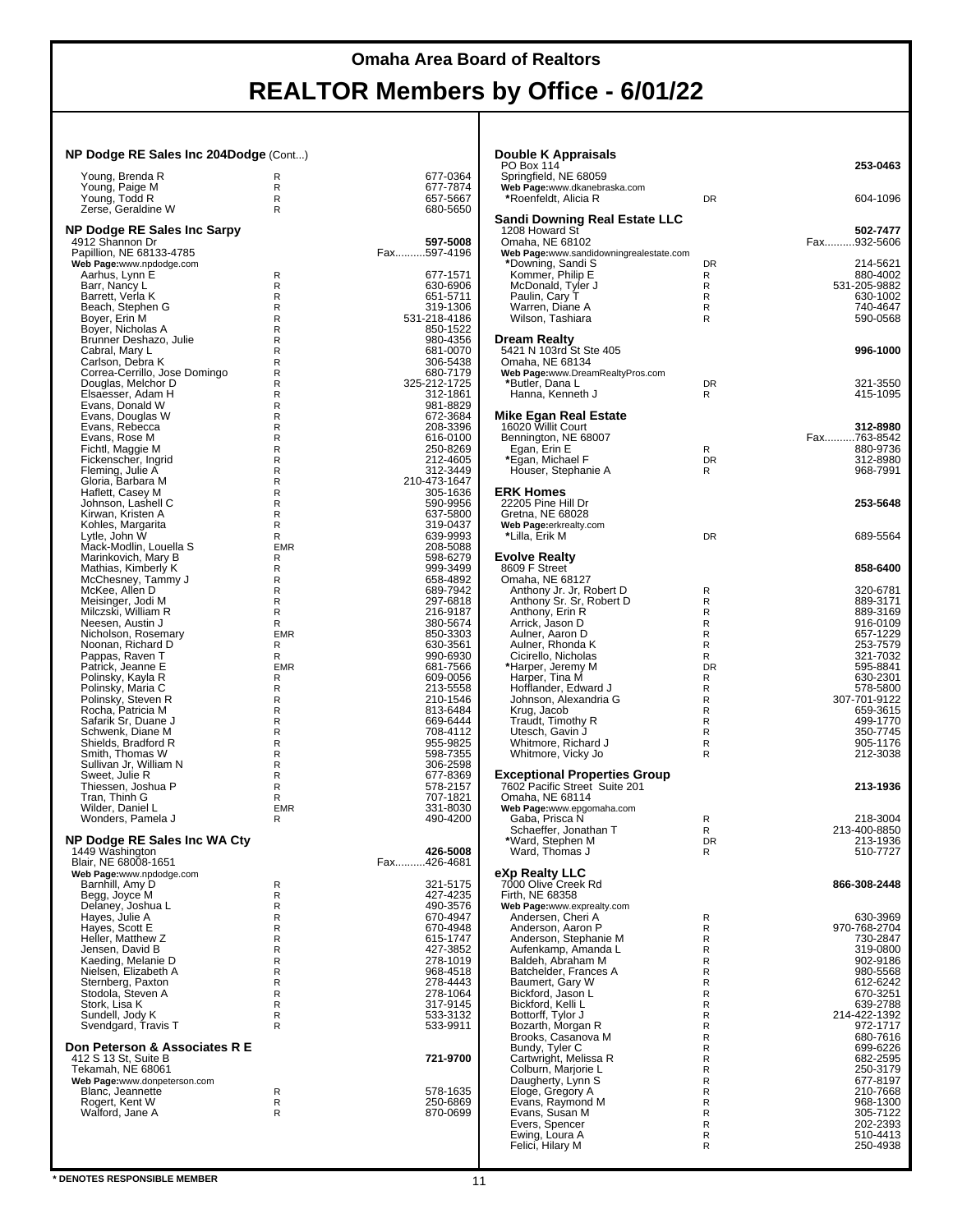### **Omaha Area Board of Realtors**

# **REALTOR Members by Office - 6/01/22**

#### **NP Dodge RE Sales Inc 204Dodge** (Cont...)

| Young, Brenda R                  | R          | 677-0364     |
|----------------------------------|------------|--------------|
|                                  | R          | 677-7874     |
| Young, Paige M<br>Young, Todd R  | R          | 657-5667     |
| Zerse, Geraldine W               | R          | 680-5650     |
|                                  |            |              |
| NP Dodge RE Sales Inc Sarpy      |            |              |
| 4912 Shannon Dr                  |            | 597-5008     |
| Papillion, NE 68133-4785         |            | Fax597-4196  |
| Web Page:www.npdodge.com         |            |              |
| Aarhus, Lynn E                   | R          | 677-1571     |
| Barr, Nancy L                    | R          | 630-6906     |
| Barrett, Verla K                 | R          | 651-5711     |
| Beach, Stephen G                 | R          | 319-1306     |
|                                  | R          |              |
| Boyer, Erin M                    |            | 531-218-4186 |
| Boyer, Nicholas A                | R          | 850-1522     |
| Brunner Deshazo, Julie           | R          | 980-4356     |
| Cabral, Mary L                   | R          | 681-0070     |
| Carlson, Debra K                 | R          | 306-5438     |
| Correa-Cerrillo, Jose Domingo    | R          | 680-7179     |
| Douglas, Melchor D               | R          | 325-212-1725 |
| Elsaesser, Adam H                | R          | 312-1861     |
| Evans, Donald W                  | R          | 981-8829     |
| Evans, Douglas W                 | R          | 672-3684     |
| Evans, Rebecca                   | R          | 208-3396     |
| Evans, Rose M                    | R          | 616-0100     |
| Fichtl, Maggie M                 | R          | 250-8269     |
| Fickenscher, Ingrid              | R          | 212-4605     |
| Fleming, Julie A                 | R          | 312-3449     |
| Gloria, Barbara M                | R          | 210-473-1647 |
|                                  |            |              |
| Haflett, Casey M                 | R          | 305-1636     |
| Johnson, Lashell C               | R          | 590-9956     |
| Kirwan, Kristen A                | R          | 637-5800     |
| Kohles, Margarita                | R          | 319-0437     |
| Lytle, John W                    | R          | 639-9993     |
| Mack-Modlin, Louella S           | <b>EMR</b> | 208-5088     |
| Marinkovich, Mary B              | R          | 598-6279     |
| Mathias, Kimberly K              | R          | 999-3499     |
| McChesney, Tammy J               | R          | 658-4892     |
| McKee, Allen D                   | R          | 689-7942     |
| Meisinger, Jodi M                | R          | 297-6818     |
| Milczski, William R              | R          | 216-9187     |
| Neesen, Austin J                 | R          | 380-5674     |
| Nicholson, Rosemary              | <b>EMR</b> | 850-3303     |
|                                  | R          |              |
| Noonan, Richard D                |            | 630-3561     |
| Pappas, Raven T                  | R          | 990-6930     |
| Patrick, Jeanne E                | <b>EMR</b> | 681-7566     |
| Polinsky, Kayla R                | R          | 609-0056     |
| Polinsky, Maria C                | R          | 213-5558     |
| Polinsky, Steven R               | R          | 210-1546     |
| Rocha, Patricia M                | R          | 813-6484     |
| Safarik Sr, Duane J              | R          | 669-6444     |
| Schwenk, Diane M                 | R          | 708-4112     |
| Shields, Bradford R              | R          | 955-9825     |
| Smith, Thomas W                  | R          | 598-7355     |
| Sullivan Jr, William N           | R          | 306-2598     |
| Sweet, Julie R                   | R          | 677-8369     |
| Thiessen, Joshua P               | R          | 578-2157     |
| Tran, Thinh G                    | R          | 707-1821     |
| Wilder, Daniel L                 | <b>EMR</b> | 331-8030     |
|                                  |            |              |
| Wonders, Pamela J                | R          | 490-4200     |
|                                  |            |              |
| NP Dodge RE Sales Inc WA Cty     |            |              |
| 1449 Washington                  |            | 426-5008     |
| Blair, NE 68008-1651             |            | Fax426-4681  |
| Web Page:www.npdodge.com         |            |              |
| Barnhill, Amy D                  | R          | 321-5175     |
| Begg, Joyce M                    | R          | 427-4235     |
| Delaney, Joshua L                | R          | 490-3576     |
| Hayes, Julie A<br>Hayes, Scott E | R          | 670-4947     |
|                                  | R          | 670-4948     |
| Heller, Matthew Z                | R          | 615-1747     |
| Jensen, David B                  | R          | 427-3852     |
| Kaeding, Melanie D               | R          | 278-1019     |
| Nielsen, Elizabeth A             | R          | 968-4518     |
| Sternberg, Paxton                | R          | 278-4443     |
| Stodola, Steven A                | R          | 278-1064     |
|                                  | R          |              |
| Stork, Lisa K                    |            | 317-9145     |
| Sundell, Jody K                  | R          | 533-3132     |
| Svendgard, Travis T              | R          | 533-9911     |
|                                  |            |              |
| Don Peterson & Associates R E    |            |              |
| 412 S 13 St, Suite B             |            | 721-9700     |
| Tekamah, NE 68061                |            |              |
| Web Page:www.donpeterson.com     |            |              |
| Blanc, Jeannette                 | R          | 578-1635     |
| Rogert, Kent W                   | R          | 250-6869     |
| Walford, Jane A                  | R          | 870-0699     |
|                                  |            |              |
|                                  |            |              |
|                                  |            |              |

| Double K Appraisals                                                                            |           |                          |
|------------------------------------------------------------------------------------------------|-----------|--------------------------|
| PO Box 114<br>Springfield, NE 68059<br>Web Page:www.dkanebraska.com                            |           | 253-0463                 |
| *Roenfeldt, Alicia R                                                                           | DR        | 604-1096                 |
| Sandi Downing Real Estate LLC<br>1208 Howard St<br>Omaha, NE 68102                             |           | 502-7477<br>Fax932-5606  |
| Web Page:www.sandidowningrealestate.com                                                        | DR        | 214-5621                 |
| *Downing, Sandi S<br>Kommer, Philip E                                                          | R         | 880-4002                 |
| McDonald, Tyler J                                                                              | R<br>R    | 531-205-9882<br>630-1002 |
| Paulin, Cary T<br>Warren, Diane A                                                              | R         | 740-4647                 |
| Wilson, Tashiara                                                                               | R         | 590-0568                 |
| Dream Realty<br>5421 N 103rd St Ste 405<br>Omaha, NE 68134<br>Web Page:www.DreamRealtyPros.com |           | 996-1000                 |
| *Butler, Dana L                                                                                | DR        | 321-3550                 |
| Hanna, Kenneth J                                                                               | R         | 415-1095                 |
| Mike Egan Real Estate<br>16020 Willit Court                                                    |           | 312-8980                 |
| Bennington, NE 68007                                                                           |           | Fax763-8542              |
| Egan, Erin E<br>*Egan, Michael F                                                               | R<br>DR   | 880-9736<br>312-8980     |
| Houser, Stephanie A                                                                            | R         | 968-7991                 |
| <b>ERK Homes</b><br>22205 Pine Hill Dr                                                         |           | 253-5648                 |
| Gretna, NE 68028<br>Web Page:erkrealty.com                                                     |           |                          |
| *Lilla, Erik M                                                                                 | DR        | 689-5564                 |
| <b>Evolve Realty</b><br>8609 F Street<br>Omaha, NE 68127                                       |           | 858-6400                 |
| Anthony Jr. Jr, Robert D                                                                       | R         | 320-6781                 |
| Anthony Sr. Sr. Robert D<br>Anthony, Erin R                                                    | R<br>R    | 889-3171<br>889-3169     |
| Arrick, Jason D                                                                                | R         | 916-0109                 |
| Aulner, Aaron D<br>Aulner, Rhonda K                                                            | R<br>R    | 657-1229<br>253-7579     |
| Cicirello, Nicholas                                                                            | R         | 321-7032                 |
| *Harper, Jeremy M                                                                              | <b>DR</b> | 595-8841                 |
| Harper, Tina M<br>Hofflander, Edward J                                                         | R<br>R    | 630-2301<br>578-5800     |
| Johnson, Alexandria G                                                                          | R         | 307-701-9122             |
| Krug, Jacob<br>Traudt, Timothy R                                                               | R<br>R    | 659-3615<br>499-1770     |
| Utesch, Gavin J                                                                                | R         | 350-7745                 |
| Whitmore, Richard J<br>Whitmore, Vicky Jo                                                      | R<br>R    | 905-1176<br>212-3038     |
| <b>Exceptional Properties Group</b><br>7602 Pacific Street Suite 201<br>Omaha, NE 68114        |           | 213-1936                 |
| Web Page:www.epgomaha.com<br>Gaba, Prisca N                                                    | R         | 218-3004                 |
| Schaeffer, Jonathan T                                                                          | R         | 213-400-8850             |
| *Ward, Stephen M<br>Ward, Thomas J                                                             | DR<br>R   | 213-1936<br>510-7727     |
| eXp Realty LLC<br>7000 Olive Creek Rd<br>Firth, NE 68358                                       |           | 866-308-2448             |
| Web Page:www.exprealty.com                                                                     |           |                          |
| Andersen, Cheri A                                                                              | R         | 630-3969                 |
| Anderson, Aaron P<br>Anderson, Stephanie M                                                     | R<br>R    | 970-768-2704<br>730-2847 |
| Aufenkamp, Amanda L                                                                            | R         | 319-0800                 |
| Baldeh, Abraham M<br>Batchelder, Frances A                                                     | R<br>R    | 902-9186<br>980-5568     |
| Baumert, Gary W                                                                                | R         | 612-6242                 |
| Bickford, Jason L<br>Bickford, Kelli L                                                         | R<br>R    | 670-3251<br>639-2788     |
| Bottorff, Tylor J                                                                              | R         | 214-422-1392             |
| Bozarth, Morgan R<br>Brooks, Casanova M                                                        | R<br>R    | 972-1717<br>680-7616     |
| Bundy, Tyler C                                                                                 | R         | 699-6226                 |
| Cartwright, Melissa R<br>Colburn, Marjorie L                                                   | R<br>R    | 682-2595<br>250-3179     |
| Daugherty, Lynn S                                                                              | R         | 677-8197                 |
| Eloge, Gregory A                                                                               | R<br>R    | 210-7668                 |
| Evans, Raymond M<br>Evans, Susan M                                                             | R         | 968-1300<br>305-7122     |
| Evers, Spencer                                                                                 | R         | 202-2393                 |
| Ewing, Loura A<br>Felici, Hilary M                                                             | R<br>R    | 510-4413<br>250-4938     |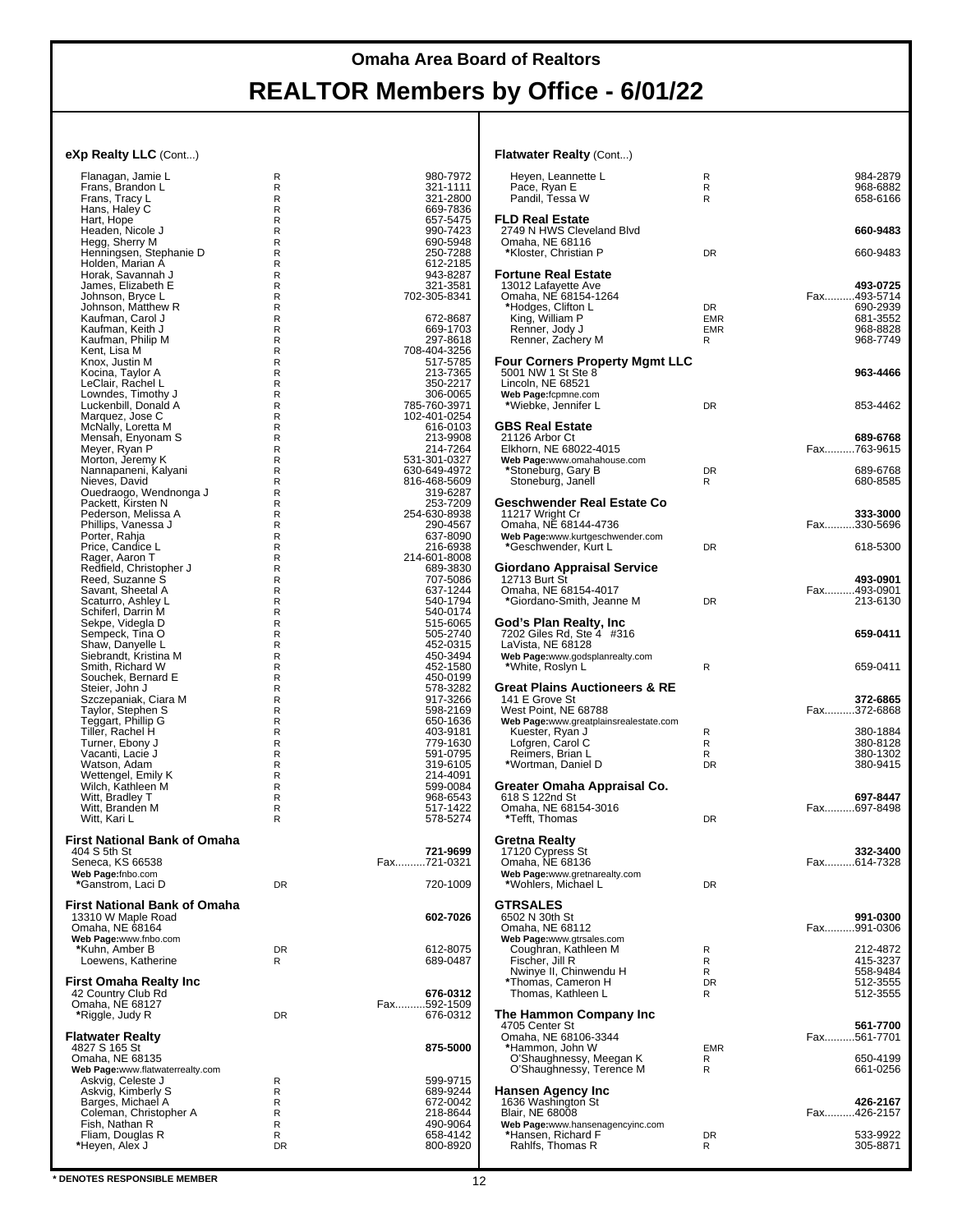**Flatwater Realty** (Cont...)

#### **eXp Realty LLC** (Cont...)

| Flanagan, Jamie L                      | R       | 980-7972                     |
|----------------------------------------|---------|------------------------------|
| Frans, Brandon L                       | R       | 321-1111                     |
| Frans, Tracy L                         | R       | 321-2800                     |
| Hans, Haley C                          | R       | 669-7836                     |
| Hart, Hope                             | R       | 657-5475                     |
| Headen, Nicole J                       | R       | 990-7423                     |
| Hegg, Sherry M                         | R       | 690-5948                     |
| Henningsen, Stephanie D                | R       | 250-7288                     |
| Holden, Marian A                       | R       | 612-2185                     |
| Horak, Savannah J                      | R       | 943-8287                     |
| James, Elizabeth E                     | R       | 321-3581                     |
| Johnson, Bryce L<br>Johnson, Matthew R | R<br>R  | 702-305-8341                 |
| Kaufman, Carol J                       | R       | 672-8687                     |
| Kaufman, Keith J                       | R       | 669-1703                     |
| Kaufman, Philip M                      | R       | 297-8618                     |
| Kent, Lisa M                           | R       | 708-404-3256                 |
| Knox, Justin M                         | R       | 517-5785                     |
| Kocina, Taylor A                       | R       | 213-7365                     |
| LeClair, Rachel L                      | R       | 350-2217                     |
| Lowndes, Timothy J                     | R       | 306-0065                     |
| Luckenbill, Donald A                   | R       | 785-760-3971                 |
| Marquez, Jose C                        | R       | 102-401-0254                 |
| McNally, Loretta M                     | R       | 616-0103                     |
| Mensah, Enyonam S                      | R       | 213-9908                     |
| Meyer, Ryan P                          | R       | 214-7264                     |
| Morton, Jeremy K                       | R<br>R  | 531-301-0327<br>630-649-4972 |
| Nannapaneni, Kalyani<br>Nieves, David  | R       | 816-468-5609                 |
| Ouedraogo, Wendnonga J                 | R       | 319-6287                     |
| Packett, Kirsten N                     | R       | 253-7209                     |
| Pederson, Melissa A                    | R       | 254-630-8938                 |
| Phillips, Vanessa J                    | R       | 290-4567                     |
| Porter, Rahja                          | R       | 637-8090                     |
| Price, Candice L                       | R       | 216-6938                     |
| Rager, Aaron T                         | R       | 214-601-8008                 |
| Redfield, Christopher J                | R       | 689-3830                     |
| Reed, Suzanne S                        | R       | 707-5086                     |
| Savant, Sheetal A                      | R       | 637-1244                     |
| Scaturro, Ashley L                     | R       | 540-1794                     |
| Schiferl, Darrin M                     | R       | 540-0174                     |
| Sekpe, Videgla D                       | R<br>R  | 515-6065                     |
| Sempeck, Tina O<br>Shaw, Danyelle L    | R       | 505-2740<br>452-0315         |
| Siebrandt, Kristina M                  | R       | 450-3494                     |
| Smith, Richard W                       | R       | 452-1580                     |
| Souchek, Bernard E                     | R       | 450-0199                     |
| Steier, John J                         | R       | 578-3282                     |
| Szczepaniak, Ciara M                   | R       | 917-3266                     |
| Taylor, Stephen S                      | R       | 598-2169                     |
| Teggart, Phillip G                     | R       | 650-1636                     |
| Tiller, Rachel H                       | R       | 403-9181                     |
| Turner, Ebony J                        | R       | 779-1630                     |
| Vacanti, Lacie J                       | R       | 591-0795                     |
| Watson, Adam                           | R       | 319-6105                     |
| Wettengel, Emily K                     | R       | 214-4091                     |
| Wilch, Kathleen M                      | R       | 599-0084                     |
| Witt, Bradley T                        | R<br>R  | 968-6543<br>517-1422         |
| Witt, Branden M<br>Witt, Kari L        | R       | 578-5274                     |
|                                        |         |                              |
| First National Bank of Omaha           |         |                              |
| 404 S 5th St                           |         | 721-9699                     |
| Seneca, KS 66538                       |         | Fax.<br>721-0321             |
| Web Page:fnbo.com                      |         |                              |
| *Ganstrom, Laci D                      | DR      | 720-1009                     |
|                                        |         |                              |
| First National Bank of Omaha           |         |                              |
| 13310 W Maple Road                     |         | 602-7026                     |
| Omaha, NE 68164                        |         |                              |
| Web Page:www.fnbo.com                  |         |                              |
| *Kuhn, Amber B<br>Loewens, Katherine   | DR<br>R | 612-8075<br>689-0487         |
|                                        |         |                              |
| First Omaha Realty Inc                 |         |                              |
| 42 Country Club Rd                     |         | 676-0312                     |
| Omaha, NE 68127                        |         | Fax592-1509                  |
| *Riggle, Judy R                        | DR      | 676-0312                     |
|                                        |         |                              |
| Flatwater Realty                       |         |                              |
| 4827 S 165 St                          |         | 875-5000                     |
| Omaha, NE 68135                        |         |                              |
| Web Page:www.flatwaterrealty.com       |         |                              |
| Askvig, Celeste J                      | R       | 599-9715                     |
| Askvig, Kimberly S                     | R       | 689-9244                     |
| Barges, Michael A                      | R       | 672-0042                     |
| Coleman, Christopher A                 |         |                              |
|                                        | R       | 218-8644                     |
| Fish, Nathan R                         | R       | 490-9064                     |
| Fliam, Douglas R<br>*Heyen, Alex J     | R<br>DR | 658-4142<br>800-8920         |

#### Heyen, Leannette L R 984-2879 Pace, Ryan E R 968-6882 Pandil, Tessa W R 658-6166 **FLD Real Estate** 2749 N HWS Cleveland Blvd **660-9483** Omaha, NE 68116 **\***Kloster, Christian P DR 660-9483 **Fortune Real Estate** 13012 Lafayette Ave **493-0725** Omaha, NE 68154-1264 Fax..........493-5714 **\***Hodges, Clifton L DR 690-2939 King, William P EMR 681-3552 Renner, Jody J EMR 968-8828 Renner, Zachery M R R 968-7749 **Four Corners Property Mgmt LLC** 5001 NW 1 St Ste 8 **963-4466** Lincoln, NE 68521 **Web Page:**fcpmne.com **\***Wiebke, Jennifer L DR 853-4462 **GBS Real Estate** 21126 Arbor Ct **689-6768** Elkhorn, NE 68022-4015 Fax..........763-9615 **Web Page:**www.omahahouse.com **\***Stoneburg, Gary B DR 689-6768 Stoneburg, Janell R **Geschwender Real Estate Co** 11217 Wright Cr **333-3000** Omaha, NE 68144-4736 Fax..........330-5696 **Web Page:**www.kurtgeschwender.com **\***Geschwender, Kurt L DR 618-5300 **Giordano Appraisal Service** 12713 Burt St **493-0901** Omaha, NE 68154-4017 Fax..........493-0901 \*Giordano-Smith, Jeanne M **God's Plan Realty, Inc** 7202 Giles Rd, Ste 4 #316 **659-0411** LaVista, NE 68128 **Web Page:**www.godsplanrealty.com **\***White, Roslyn L R 659-0411 **Great Plains Auctioneers & RE** 141 E Grove St **372-6865** West Point, NE 68788 **Web Page:**www.greatplainsrealestate.com Kuester, Ryan J<br>
Lofgren, Carol C<br>
R
R
380-8128<br>
R
R
380-8128 Lofgren, Carol C R 380-8128 Reimers, Brian L R 380-1302 **\***Wortman, Daniel D DR 380-9415 **Greater Omaha Appraisal Co.** 618 S 122nd St **697-8447**<br>
Omaha, NE 68154-3016<br>
Omaha, NE 68154-3016 Omaha, NE 68154-3016 Fax..........697-8498 **\***Tefft, Thomas DR **Gretna Realty** 17120 Cypress St **332-3400** Omaha, NE 68136 Fax..........614-7328 **Web Page:**www.gretnarealty.com<br>\*Wohlers, Michael L **GTRSALES** 6502 N 30th St **991-0300** Omaha, NE 68112 Fax..........991-0306 **Web Page:**www.gtrsales.com<br> Coughran, Kathleen M R 212-4872 Fischer, Jill R R 415-3237 Nwinye II, Chinwendu H R 558-9484 **\***Thomas, Cameron H DR 512-3555 Thomas, Kathleen L R 612-3555 **The Hammon Company Inc** 4705 Center St **561-7700** Omaha, NE 68106-3344 Fax..........561-7701 **\***Hammon, John W<br> **C** C'Shaughnessy, Meegan K B R<br>
C'Shaughnessy. Terence M R R O'Shaughnessy, Meegan K R 650-4199<br>O'Shaughnessy, Terence M R 661-0256 **Hansen Agency Inc** 1636 Washington St **426-2167** Blair, NE 68008 Fax..........426-2157 **Web Page:**www.hansenagencyinc.com **\***Hansen, Richard F DR 533-9922 Rahlfs, Thomas R R 305-8871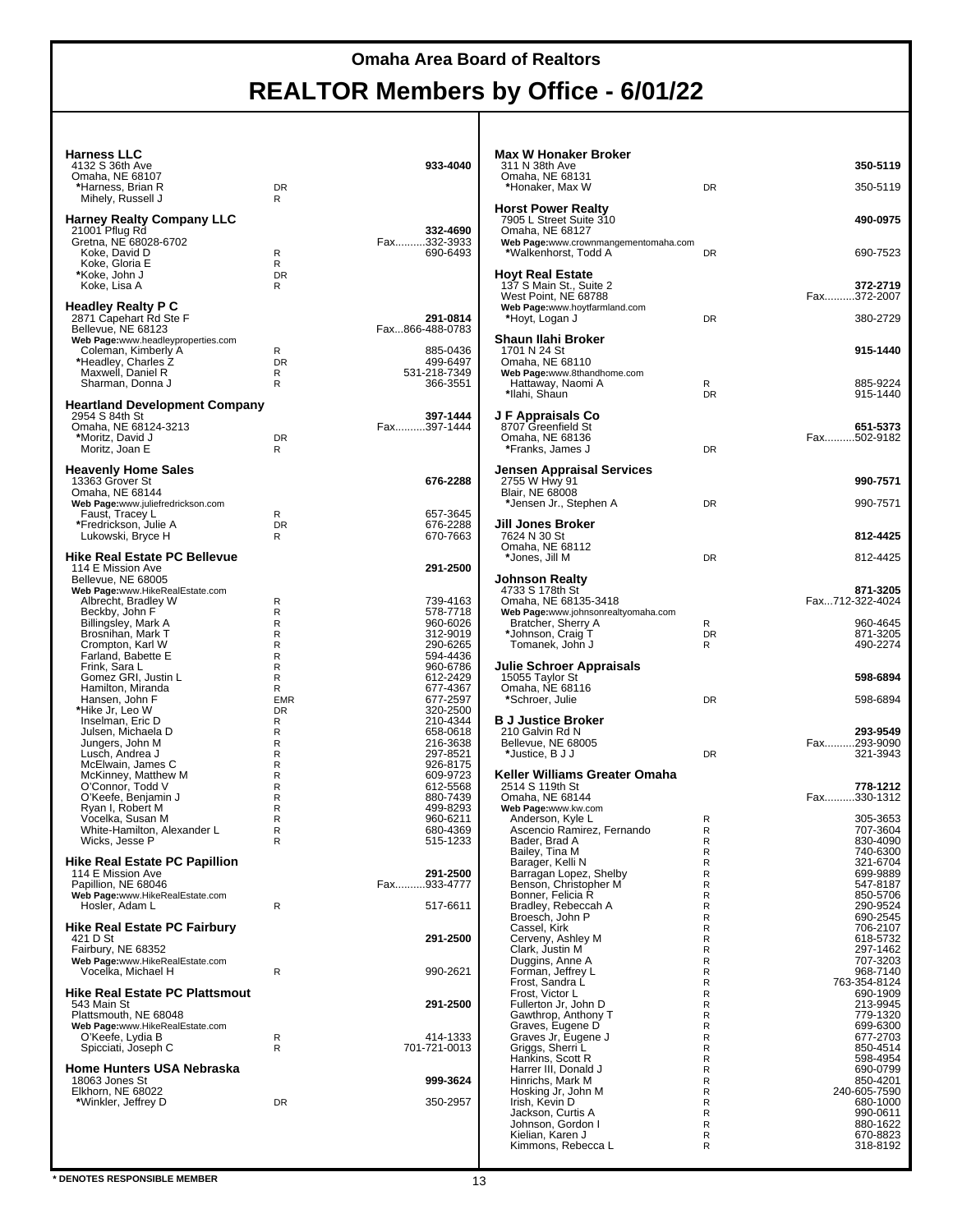### **Harness LLC**

| Harness LLC<br>4132 S 36th Ave<br>Omaha, NE 68107<br>*Harness, Brian R<br>Mihely, Russell J                                                                                                                                                                                                                                                                                                                                                                                                                                                            | <b>DR</b><br>R                                                                                                            | 933-4040                                                                                                                                                                                                                                                                         |
|--------------------------------------------------------------------------------------------------------------------------------------------------------------------------------------------------------------------------------------------------------------------------------------------------------------------------------------------------------------------------------------------------------------------------------------------------------------------------------------------------------------------------------------------------------|---------------------------------------------------------------------------------------------------------------------------|----------------------------------------------------------------------------------------------------------------------------------------------------------------------------------------------------------------------------------------------------------------------------------|
| Harney Realty Company LLC<br>21001 Pflug Rd<br>Gretna, NE 68028-6702<br>Koke, David D<br>Koke, Gloria E<br>*Koke, John J<br>Koke, Lisa A                                                                                                                                                                                                                                                                                                                                                                                                               | R<br>R<br><b>DR</b><br>R                                                                                                  | 332-4690<br>Fax332-3933<br>690-6493                                                                                                                                                                                                                                              |
| Headley Realty P C<br>2871 Capehart Rd Ste F<br>Bellevue, NE 68123<br>Web Page:www.headleyproperties.com<br>Coleman, Kimberly A<br>*Headley, Charles Z<br>Maxwell, Daniel R<br>Sharman, Donna J                                                                                                                                                                                                                                                                                                                                                        | R<br><b>DR</b><br>R<br>R                                                                                                  | 291-0814<br>Fax866-488-0783<br>885-0436<br>499-6497<br>531-218-7349<br>366-3551                                                                                                                                                                                                  |
| <b>Heartland Development Company</b><br>2954 S 84th St<br>Omaha, NE 68124-3213<br>*Moritz, David J<br>Moritz, Joan E                                                                                                                                                                                                                                                                                                                                                                                                                                   | <b>DR</b><br>R                                                                                                            | 397-1444<br>Fax397-1444                                                                                                                                                                                                                                                          |
| <b>Heavenly Home Sales</b><br>13363 Grover St<br>Omaha, NE 68144<br>Web Page:www.juliefredrickson.com<br>Faust, Tracey L<br>*Fredrickson, Julie A<br>Lukowski, Bryce H                                                                                                                                                                                                                                                                                                                                                                                 | R<br>DR<br>R                                                                                                              | 676-2288<br>657-3645<br>676-2288<br>670-7663                                                                                                                                                                                                                                     |
| Hike Real Estate PC Bellevue<br>114 E Mission Ave                                                                                                                                                                                                                                                                                                                                                                                                                                                                                                      |                                                                                                                           | 291-2500                                                                                                                                                                                                                                                                         |
| Bellevue, NE 68005<br>Web Page:www.HikeRealEstate.com<br>Albrecht, Bradley W<br>Beckby, John F<br>Billingsley, Mark A<br>Brosnihan, Mark T<br>Crompton, Karl W<br>Farland, Babette E<br>Frink, Sara L<br>Gomez GRI, Justin L<br>Hamilton, Miranda<br>Hansen, John F<br>*Hike Jr, Leo W<br>Inselman, Eric D<br>Julsen, Michaela D<br>Jungers, John M<br>Lusch, Andrea J<br>McElwain, James C<br>McKinney, Matthew M<br>O'Connor, Todd V<br>O'Keefe, Benjamin J<br>Ryan I, Robert M<br>Vocelka, Susan M<br>White-Hamilton, Alexander L<br>Wicks, Jesse P | R<br>R<br>R<br>R<br>R<br>R<br>R<br>R<br>R<br><b>EMR</b><br>DR<br>R<br>R<br>R<br>R<br>R<br>R<br>R<br>R<br>R<br>R<br>R<br>R | 739-4163<br>578-7718<br>960-6026<br>312-9019<br>290-6265<br>594-4436<br>960-6786<br>612-2429<br>677-4367<br>677-2597<br>320-2500<br>210-4344<br>658-0618<br>216-3638<br>297-8521<br>926-8175<br>609-9723<br>612-5568<br>880-7439<br>499-8293<br>960-6211<br>680-4369<br>515-1233 |
| Hike Real Estate PC Papillion<br>114 E Mission Ave<br>Papillion, NE 68046<br>Web Page:www.HikeRealEstate.com<br>Hosler, Adam L                                                                                                                                                                                                                                                                                                                                                                                                                         | R                                                                                                                         | 291-2500<br>Fax933-4777<br>517-6611                                                                                                                                                                                                                                              |
| Hike Real Estate PC Fairbury<br>421 D St<br>Fairbury, NE 68352<br>Web Page:www.HikeRealEstate.com<br>Vocelka, Michael H                                                                                                                                                                                                                                                                                                                                                                                                                                | R                                                                                                                         | 291-2500<br>990-2621                                                                                                                                                                                                                                                             |
| Hike Real Estate PC Plattsmout<br>543 Main St<br>Plattsmouth, NE 68048<br>Web Page:www.HikeRealEstate.com<br>O'Keefe, Lydia B<br>Spicciati, Joseph C                                                                                                                                                                                                                                                                                                                                                                                                   | R<br>R                                                                                                                    | 291-2500<br>414-1333<br>701-721-0013                                                                                                                                                                                                                                             |
| Home Hunters USA Nebraska<br>18063 Jones St<br>Elkhorn, NE 68022<br>*Winkler, Jeffrey D                                                                                                                                                                                                                                                                                                                                                                                                                                                                | DR                                                                                                                        | 999-3624<br>350-2957                                                                                                                                                                                                                                                             |
|                                                                                                                                                                                                                                                                                                                                                                                                                                                                                                                                                        |                                                                                                                           |                                                                                                                                                                                                                                                                                  |

| <b>Max W Honaker Broker</b>                                                                                            |              |                                     |
|------------------------------------------------------------------------------------------------------------------------|--------------|-------------------------------------|
| 311 N 38th Ave<br>Omaha, NE 68131<br>*Honaker, Max W                                                                   | DR           | 350-5119<br>350-5119                |
| <b>Horst Power Realty</b><br>7905 L Street Suite 310                                                                   |              | 490-0975                            |
| Omaha, NE 68127<br>Web Page:www.crownmangementomaha.com<br>*Walkenhorst, Todd A                                        | DR           | 690-7523                            |
| Hoyt Real Estate<br>137 S Main St., Suite 2<br>West Point, NE 68788<br>Web Page:www.hoytfarmland.com<br>*Hoyt, Logan J | DR           | 372-2719<br>Fax372-2007<br>380-2729 |
| Shaun Ilahi Broker<br>1701 N 24 St                                                                                     |              | 915-1440                            |
| Omaha, NE 68110<br>Web Page:www.8thandhome.com<br>Hattaway, Naomi A<br>*Ilahi, Shaun                                   | R<br>DR      | 885-9224<br>915-1440                |
| J F Appraisals Co<br>8707 Greenfield St<br>Omaha, NE 68136<br>*Franks, James J                                         | DR           | 651-5373<br>Fax502-9182             |
| Jensen Appraisal Services                                                                                              |              |                                     |
| 2755 W Hwy 91<br>Blair, NE 68008<br>*Jensen Jr., Stephen A                                                             | DR           | 990-7571<br>990-7571                |
| Jill Jones Broker                                                                                                      |              |                                     |
| 7624 N 30 St<br>Omaha, NE 68112                                                                                        |              | 812-4425                            |
| *Jones, Jill M                                                                                                         | <b>DR</b>    | 812-4425                            |
| Johnson Realty<br>4733 S 178th St<br>Omaha, NE 68135-3418                                                              |              | 871-3205<br>Fax712-322-4024         |
| Web Page:www.johnsonrealtyomaha.com<br>Bratcher, Sherry A<br>*Johnson, Craig T<br>Tomanek, John J                      | R<br>DR<br>R | 960-4645<br>871-3205<br>490-2274    |
|                                                                                                                        |              |                                     |
| Julie Schroer Appraisals                                                                                               |              |                                     |
| 15055 Taylor St<br>Omaha, NE 68116                                                                                     |              | 598-6894                            |
| *Schroer, Julie                                                                                                        | <b>DR</b>    | 598-6894                            |
| <b>B J Justice Broker</b><br>210 Galvin Rd N                                                                           |              | 293-9549                            |
| Bellevue, NE 68005<br>*Justice, B J J                                                                                  | <b>DR</b>    | Fax293-9090<br>321-3943             |
| Keller Williams Greater Omaha<br>2514 S 119th St<br>Omaha, NE 68144                                                    |              | 778-1212<br>Fax330-1312             |
| Web Page:www.kw.com<br>Anderson, Kyle L                                                                                | R            | 305-3653                            |
| Ascencio Ramirez, Fernando<br>Bader, Brad A                                                                            | R<br>R       | 707-3604<br>830-4090                |
| Bailey, Tina M                                                                                                         | R<br>R       | 740-6300<br>321-6704                |
| Barager, Kelli N<br>Barragan Lopez, Shelby                                                                             | R            | 699-9889                            |
| Benson, Christopher M<br>Bonner, Felicia R                                                                             | R<br>R       | 547-8187<br>850-5706                |
| Bradley, Rebeccah A<br>Broesch, John P                                                                                 | R<br>R       | 290-9524<br>690-2545                |
| Cassel, Kirk<br>Cerveny, Ashley M                                                                                      | R<br>R       | 706-2107<br>618-5732                |
| Clark, Justin M                                                                                                        | R<br>R       | 297-1462                            |
| Duggins, Anne A<br>Forman, Jeffrey L                                                                                   | R            | 707-3203<br>968-7140                |
| Frost, Sandra L<br>Frost. Victor L                                                                                     | R<br>R       | 763-354-8124<br>690-1909            |
| Fullerton Jr, John D<br>Gawthrop, Anthony T                                                                            | R<br>R       | 213-9945<br>779-1320                |
| Graves, Eugene D<br>Graves Jr, Eugene J                                                                                | R<br>R       | 699-6300<br>677-2703                |
| Griggs, Sherri L                                                                                                       | R<br>R       | 850-4514                            |
| Hankins, Scott R<br>Harrer III, Donald J                                                                               | R            | 598-4954<br>690-0799                |
| Hinrichs, Mark M<br>Hosking Jr, John M                                                                                 | R<br>R       | 850-4201<br>240-605-7590            |
| Irish, Kevin D<br>Jackson, Curtis A                                                                                    | R<br>R       | 680-1000<br>990-0611                |
| Johnson, Gordon I<br>Kielian, Karen J                                                                                  | R<br>R       | 880-1622<br>670-8823                |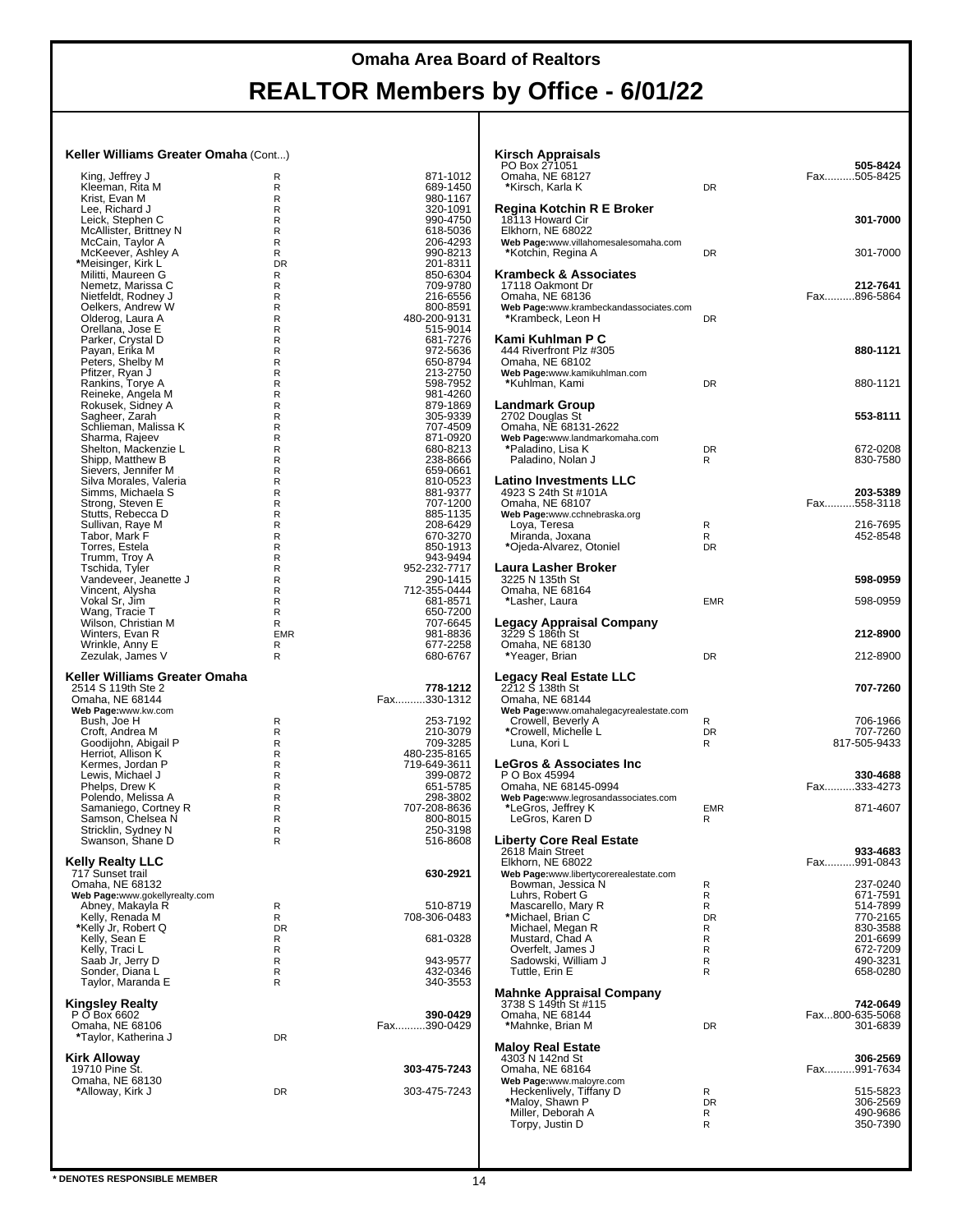#### **Keller Williams Greater Omaha** (Cont...)

| King, Jeffrey J                                    | R               | 871-1012                 |
|----------------------------------------------------|-----------------|--------------------------|
| Kleeman, Rita M<br>Krist, Evan M                   | R<br>R          | 689-1450<br>980-1167     |
| Lee, Richard J                                     | R               | 320-1091                 |
| Leick, Stephen C                                   | R               | 990-4750                 |
| McAllister, Brittney N                             | R               | 618-5036                 |
| McCain, Taylor A<br>McKeever, Ashley A             | R<br>R          | 206-4293<br>990-8213     |
| *Meisinger, Kirk L                                 | <b>DR</b>       | 201-8311                 |
| Militti, Maureen G                                 | R               | 850-6304                 |
| Nemetz, Marissa C                                  | R               | 709-9780                 |
| Nietfeldt, Rodney J                                | R               | 216-6556                 |
| Oelkers, Andrew W<br>Olderog, Laura A              | R<br>R          | 800-8591<br>480-200-9131 |
|                                                    | R               | 515-9014                 |
| Orellana, Jose E<br>Parker, Crystal D              | R               | 681-7276                 |
| Payan, Erika M                                     | R               | 972-5636                 |
| Peters, Shelby M<br>Pfitzer, Ryan J                | R<br>R          | 650-8794<br>213-2750     |
| Rankins, Torye A                                   | R               | 598-7952                 |
| Reineke, Angela M                                  | R               | 981-4260                 |
| Rokusek, Sidney A                                  | R               | 879-1869                 |
| Sagheer, Zarah                                     | R               | 305-9339                 |
| Schlieman, Malissa K<br>Sharma, Rajeev             | R<br>R          | 707-4509<br>871-0920     |
| Shelton, Mackenzie L                               | R               | 680-8213                 |
| Shipp, Matthew B                                   | R               | 238-8666                 |
| Sievers, Jennifer M                                | R               | 659-0661                 |
| Silva Morales, Valeria                             | R               | 810-0523                 |
| Simms, Michaela S                                  | R               | 881-9377                 |
| Strong, Steven E<br>Stutts, Rebecca D              | R<br>R          | 707-1200<br>885-1135     |
|                                                    | R               | 208-6429                 |
| Sullivan, Raye M<br>Tabor, Mark F                  | R               | 670-3270                 |
| Torres, Estela                                     | R               | 850-1913                 |
| Trumm, Troy A                                      | R               | 943-9494                 |
| Tschida, Tyler<br>Vandeveer, Jeanette J            | R<br>R          | 952-232-7717<br>290-1415 |
| Vincent, Alysha                                    | R               | 712-355-0444             |
| Vokal Sr, Jim                                      | R               | 681-8571                 |
| Wang, Tracie T                                     | R               | 650-7200                 |
| Wilson, Christian M                                | R               | 707-6645                 |
| Winters, Evan R<br>Wrinkle, Anny E                 | <b>EMR</b><br>R | 981-8836<br>677-2258     |
| Zezulak, James V                                   | R               | 680-6767                 |
|                                                    |                 |                          |
| Keller Williams Greater Omaha                      |                 |                          |
|                                                    |                 |                          |
| 2514 S 119th Ste 2                                 |                 | 778-1212                 |
| Omaha, NE 68144                                    |                 | Fax330-1312              |
| Web Page:www.kw.com<br>Bush, Joe H                 | R               | 253-7192                 |
| Croft, Andrea M                                    | R               | 210-3079                 |
| Goodijohn, Abigail P                               | R               | 709-3285                 |
| Herriot, Allison K                                 | R               | 480-235-8165             |
| Kermes, Jordan P                                   | R<br>R          | 719-649-3611<br>399-0872 |
| Lewis, Michael J<br>Phelps, Drew K                 | R               | 651-5785                 |
| Polendo, Melissa A                                 | R               | 298-3802                 |
| Samaniego, Cortney R                               | R               | 707-208-8636             |
| Samson, Chelsea N                                  | R               | 800-8015                 |
| Stricklin, Sydney N                                | R<br>R          | 250-3198<br>516-8608     |
| Swanson, Shane D                                   |                 |                          |
| <b>Kelly Realty LLC</b>                            |                 |                          |
| 717 Sunset trail                                   |                 | 630-2921                 |
| Omaha, NE 68132                                    |                 |                          |
| Web Page:www.gokellyrealty.com<br>Abney, Makayla R | R               | 510-8719                 |
| Kelly, Renada M                                    | R               | 708-306-0483             |
| *Kelly Jr, Robert Q                                | <b>DR</b>       |                          |
| Kelly, Sean E                                      | R               | 681-0328                 |
| Kelly, Traci L                                     | R<br>R          | 943-9577                 |
| Saab Jr, Jerry D<br>Sonder, Diana L                | R               | 432-0346                 |
| Taylor, Maranda E                                  | R               | 340-3553                 |
|                                                    |                 |                          |
| Kingsley Realty                                    |                 | 390-0429                 |
| P O Box 6602<br>Omaha, NE 68106                    |                 | Fax390-0429              |
| *Taylor, Katherina J                               | DR              |                          |
|                                                    |                 |                          |
| Kirk Alloway<br>19710 Pine St.                     |                 | 303-475-7243             |
| Omaha, NE 68130                                    |                 |                          |
| *Alloway, Kirk J                                   | DR              | 303-475-7243             |
|                                                    |                 |                          |

| Kirsch Appraisals<br>PO Box 271051<br>Omaha, NE 68127<br>*Kirsch, Karla K                                                                                                            | DR                                         | 505-8424<br>Fax505-8425                                                                                  |
|--------------------------------------------------------------------------------------------------------------------------------------------------------------------------------------|--------------------------------------------|----------------------------------------------------------------------------------------------------------|
| Regina Kotchin R E Broker<br>18113 Howard Cir<br>Elkhorn, NE 68022<br>Web Page:www.villahomesalesomaha.com<br>*Kotchin, Regina A                                                     | DR                                         | 301-7000<br>301-7000                                                                                     |
| Krambeck & Associates<br>17118 Oakmont Dr<br>Omaha, NE 68136<br>Web Page:www.krambeckandassociates.com<br>*Krambeck, Leon H                                                          | DR                                         | 212-7641<br>Fax896-5864                                                                                  |
| Kami Kuhlman P C<br>444 Riverfront Plz #305<br>Omaha, NE 68102<br>Web Page:www.kamikuhlman.com<br>*Kuhlman, Kami                                                                     | DR                                         | 880-1121<br>880-1121                                                                                     |
| Landmark Group<br>2702 Douglas St<br>Omaha, NE 68131-2622<br>Web Page:www.landmarkomaha.com<br>*Paladino, Lisa K                                                                     | <b>DR</b>                                  | 553-8111<br>672-0208                                                                                     |
| Paladino, Nolan J<br>Latino Investments LLC<br>4923 S 24th St #101A<br>Omaha, NE 68107                                                                                               | R                                          | 830-7580<br>203-5389<br>Fax558-3118                                                                      |
| Web Page:www.cchnebraska.org<br>Loya, Teresa<br>Miranda, Joxana<br>*Ojeda-Alvarez, Otoniel                                                                                           | R<br>R<br><b>DR</b>                        | 216-7695<br>452-8548                                                                                     |
| Laura Lasher Broker<br>3225 N 135th St<br>Omaha, NE 68164<br>*Lasher, Laura                                                                                                          | <b>EMR</b>                                 | 598-0959<br>598-0959                                                                                     |
| <b>Legacy Appraisal Company</b><br>ಾ3229 S 186th St<br>Omaha, NE 68130<br>*Yeager, Brian                                                                                             | DR                                         | 212-8900<br>212-8900                                                                                     |
| Legacy Real Estate LLC<br>2212 Š 138th St<br>Omaha, NE 68144<br>Web Page:www.omahalegacyrealestate.com<br>Crowell, Beverly A<br>*Crowell, Michelle L                                 | R<br><b>DR</b>                             | 707-7260<br>706-1966<br>707-7260                                                                         |
| Luna, Kori L<br><b>LeGros &amp; Associates Inc</b><br>P O Box 45994                                                                                                                  | R                                          | 817-505-9433<br>330-4688                                                                                 |
| Omaha, NE 68145-0994<br>Web Page:www.legrosandassociates.com<br>*LeGros, Jeffrey K<br>LeGros, Karen D                                                                                | <b>EMR</b><br>R                            | Fax333-4273<br>871-4607                                                                                  |
| Liberty Core Real Estate<br>2618 Main Street<br>Elkhorn, NE 68022<br>Web Page:www.libertycorerealestate.com                                                                          |                                            | 933-4683<br>Fax991-0843                                                                                  |
| Bowman, Jessica N<br>Luhrs, Robert G<br>Mascarello, Mary R<br>*Michael, Brian C<br>Michael, Megan R<br>Mustard, Chad A<br>Overfelt, James J<br>Sadowski, William J<br>Tuttle, Erin E | R<br>R<br>R<br>DR<br>R<br>R<br>R<br>R<br>R | 237-0240<br>671-7591<br>514-7899<br>770-2165<br>830-3588<br>201-6699<br>672-7209<br>490-3231<br>658-0280 |
| Mahnke Appraisal Company<br>3738 S 149th St #115<br>Omaha, NE 68144<br>*Mahnke, Brian M                                                                                              | DR                                         | 742-0649<br>Fax800-635-5068<br>301-6839                                                                  |
| <b>Maloy Real Estate</b><br>4303 N 142nd St<br>Omaha, NE 68164<br>Web Page:www.maloyre.com                                                                                           |                                            | 306-2569<br>Fax991-7634                                                                                  |
| Heckenlively, Tiffany D<br>*Maloy, Shawn P<br>Miller, Deborah A<br>Torpy, Justin D                                                                                                   | R<br><b>DR</b><br>R<br>R                   | 515-5823<br>306-2569<br>490-9686<br>350-7390                                                             |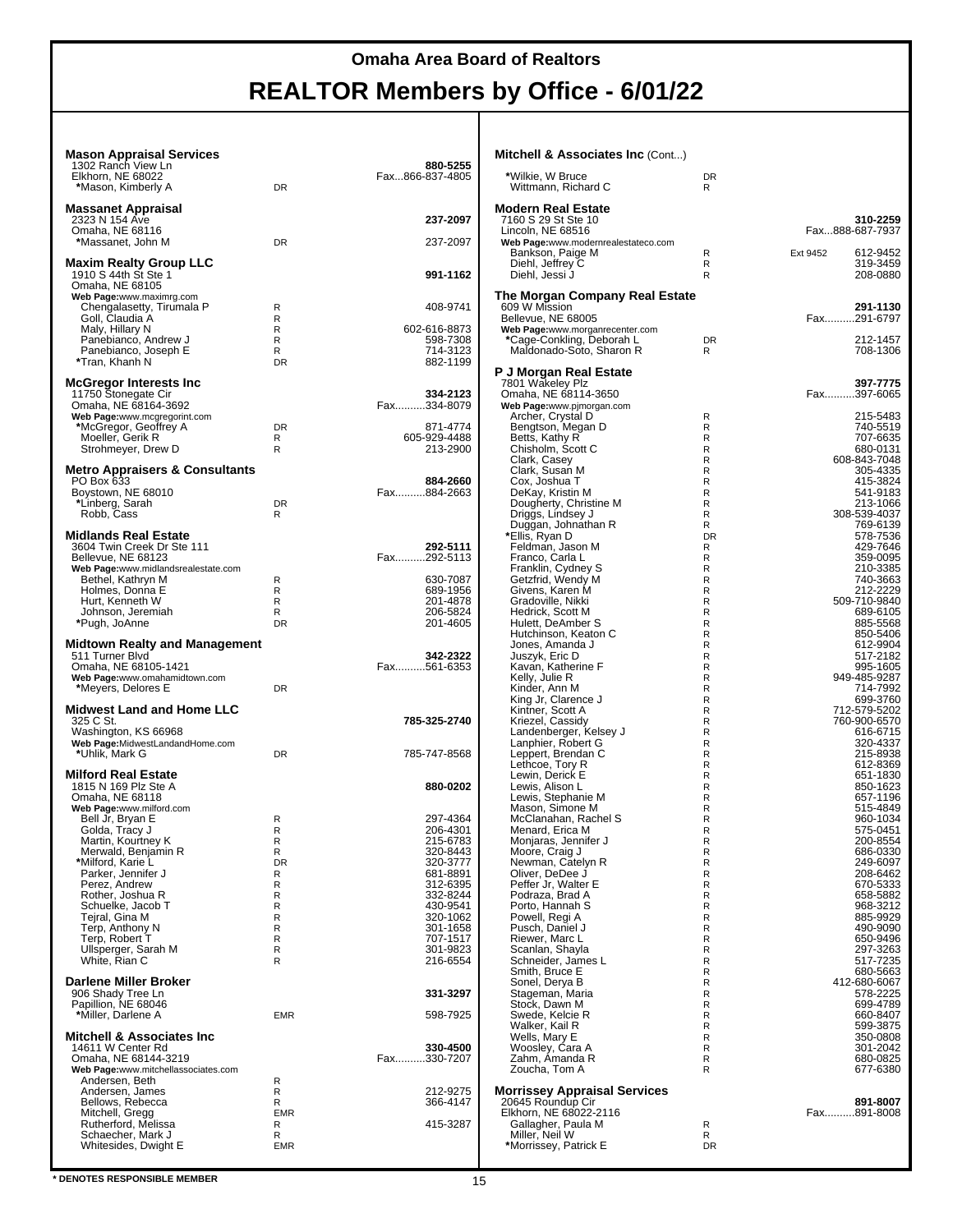| <b>Mason Appraisal Services</b><br>1302 Ranch View Ln<br>Elkhorn, NE 68022                                       |                          | 880-5255<br>Fax866-837-4805                      |
|------------------------------------------------------------------------------------------------------------------|--------------------------|--------------------------------------------------|
| *Mason, Kimberly A                                                                                               | DR                       |                                                  |
| <b>Massanet Appraisal</b><br>2323 N 154 Ave                                                                      |                          | 237-2097                                         |
| Omaha, NE 68116<br>*Massanet, John M                                                                             | <b>DR</b>                | 237-2097                                         |
| <b>Maxim Realty Group LLC</b><br>1910 S 44th St Ste 1<br>Omaha, NE 68105                                         |                          | 991-1162                                         |
| Web Page:www.maximrg.com<br>Chengalasetty, Tirumala P<br>Goll, Claudia A                                         | R<br>R                   | 408-9741                                         |
| Maly, Hillary N<br>Panebianco, Andrew J<br>Panebianco, Joseph E<br>*Tran, Khanh N                                | R<br>R<br>R<br><b>DR</b> | 602-616-8873<br>598-7308<br>714-3123<br>882-1199 |
| McGregor Interests Inc<br>11750 Stonegate Cir                                                                    |                          | 334-2123                                         |
| Omaha, NE 68164-3692<br>Web Page:www.mcgregorint.com                                                             |                          | Fax334-8079                                      |
| *McGregor, Geoffrey A<br>Moeller, Gerik R<br>Strohmeyer, Drew D                                                  | DR.<br>R<br>R            | 871-4774<br>605-929-4488<br>213-2900             |
| <b>Metro Appraisers &amp; Consultants</b>                                                                        |                          |                                                  |
| PO Box 633<br>Boystown, NE 68010<br>*Linberg, Sarah<br>Robb, Cass                                                | DR.<br>R                 | 884-2660<br>Fax884-2663                          |
| Midlands Real Estate                                                                                             |                          |                                                  |
| 3604 Twin Creek Dr Ste 111<br>Bellevue, NE 68123<br>Web Page:www.midlandsrealestate.com                          |                          | 292-5111<br>Fax292-5113                          |
| Bethel, Kathryn M<br>Holmes, Donna E                                                                             | R<br>R                   | 630-7087<br>689-1956                             |
| Hurt, Kenneth W<br>Johnson, Jeremiah                                                                             | R<br>R                   | 201-4878<br>206-5824                             |
| *Pugh, JoAnne                                                                                                    | <b>DR</b>                | 201-4605                                         |
| <b>Midtown Realty and Management</b><br>511 Turner Blvd<br>Omaha, NE 68105-1421<br>Web Page:www.omahamidtown.com |                          | 342-2322<br>Fax561-6353                          |
| *Meyers, Delores E                                                                                               | DR                       |                                                  |
| <b>Midwest Land and Home LLC</b><br>325 C St.                                                                    |                          | 785-325-2740                                     |
|                                                                                                                  |                          |                                                  |
| Washington, KS 66968<br>Web Page:MidwestLandandHome.com<br>*Uhlik, Mark G                                        | DR                       | 785-747-8568                                     |
| <b>Milford Real Estate</b><br>1815 N 169 Plz Ste A<br>Omaha, NE 68118                                            |                          | 880-0202                                         |
| Web Page:www.milford.com<br>Bell Jr, Bryan E                                                                     | R                        | 297-4364                                         |
| Golda, Tracy J<br>Martin, Kourtney K                                                                             | R<br>R                   | 206-4301<br>215-6783                             |
| Merwald, Benjamin R<br>*Milford, Karie L                                                                         | R<br>DR                  | 320-8443<br>320-3777                             |
| Parker, Jennifer J<br>Perez, Andrew                                                                              | R<br>R                   | 681-8891<br>312-6395                             |
| Rother, Joshua R                                                                                                 | R                        | 332-8244                                         |
| Schuelke, Jacob T<br>Tejral, Gina M                                                                              | R<br>R                   | 430-9541<br>320-1062                             |
| Terp, Anthony N<br>Terp, Robert T                                                                                | R<br>R                   | 301-1658<br>707-1517                             |
| Ullsperger, Sarah M<br>White, Rian C                                                                             | R<br>R                   | 301-9823<br>216-6554                             |
| <b>Darlene Miller Broker</b>                                                                                     |                          |                                                  |
| 906 Shady Tree Ln<br>Papillion, NE 68046                                                                         | <b>EMR</b>               | 331-3297<br>598-7925                             |
| *Miller, Darlene A<br><b>Mitchell &amp; Associates Inc</b>                                                       |                          |                                                  |
| 14611 W Center Rd<br>Omaha, NE 68144-3219                                                                        |                          | 330-4500<br>Fax330-7207                          |
| Web Page:www.mitchellassociates.com<br>Andersen, Beth                                                            | R                        |                                                  |
| Andersen, James                                                                                                  | R                        | 212-9275                                         |
| Bellows, Rebecca<br>Mitchell, Gregg                                                                              | R<br><b>EMR</b>          | 366-4147                                         |
| Rutherford, Melissa<br>Schaecher, Mark J                                                                         | R<br>R                   | 415-3287                                         |

| <b>Mitchell &amp; Associates Inc (Cont)</b>              |                |                              |
|----------------------------------------------------------|----------------|------------------------------|
| *Wilkie, W Bruce<br>Wittmann, Richard C                  | DR<br>R        |                              |
| Modern Real Estate                                       |                |                              |
| 7160 S 29 St Ste 10<br>Lincoln, NE 68516                 |                | 310-2259<br>Fax888-687-7937  |
| Web Page:www.modernrealestateco.com<br>Bankson, Paige M  | R              | 612-9452<br>Ext 9452         |
| Diehl, Jeffrey C<br>Diehl, Jessi J                       | R<br>R         | 319-3459<br>208-0880         |
| The Morgan Company Real Estate                           |                |                              |
| 609 W Mission                                            |                | 291-1130                     |
| Bellevue, NE 68005<br>Web Page:www.morganrecenter.com    |                | Fax291-6797                  |
| *Cage-Conkling, Deborah L<br>Maldonado-Soto, Sharon R    | <b>DR</b><br>R | 212-1457<br>708-1306         |
| P J Morgan Real Estate                                   |                |                              |
| 7801 Wakeley Plz<br>Omaha, NE 68114-3650                 |                | 397-7775<br>Fax397-6065      |
| Web Page:www.pjmorgan.com                                |                |                              |
| Archer, Crystal D<br>Bengtson, Megan D                   | R<br>R         | 215-5483<br>740-5519         |
| Betts, Kathy R                                           | R              | 707-6635                     |
| Chisholm, Scott C                                        | R<br>R         | 680-0131<br>608-843-7048     |
| Clark, Casey<br>Clark, Susan M                           | R              | 305-4335                     |
| Cox, Joshua T                                            | R              | 415-3824                     |
| DeKay, Kristin M<br>Dougherty, Christine M               | R<br>R         | 541-9183<br>213-1066         |
| Driggs, Lindsey J                                        | R              | 308-539-4037                 |
| Duggan, Johnathan R<br>*Ellis, Ryan D                    | R<br>DR        | 769-6139<br>578-7536         |
| Feldman, Jason M                                         | R              | 429-7646                     |
| Franco, Carla L                                          | R              | 359-0095                     |
| Franklin, Cydney S<br>Getzfrid, Wendy M                  | R<br>R         | 210-3385<br>740-3663         |
| Givens, Karen M                                          | R              | 212-2229                     |
| Gradoville, Nikki<br>Hedrick, Scott M                    | R<br>R         | 509-710-9840<br>689-6105     |
| Hulett, DeAmber S                                        | R              | 885-5568                     |
| Hutchinson, Keaton C<br>Jones, Amanda J                  | R<br>R         | 850-5406<br>612-9904         |
| Juszyk, Eric D                                           | R              | 517-2182                     |
| Kavan, Katherine F                                       | R              | 995-1605                     |
| Kelly, Julie R<br>Kinder, Ann M                          | R<br>R         | 949-485-9287<br>714-7992     |
| King Jr, Clarence J                                      | R              | 699-3760                     |
| Kintner, Scott A<br>Kriezel, Cassidy                     | R<br>R         | 712-579-5202<br>760-900-6570 |
| Landenberger, Kelsey J                                   | R              | 616-6715                     |
| Lanphier, Robert G<br>Leppert, Brendan C                 | R<br>R         | 320-4337<br>215-8938         |
| Lethcoe, Tory R                                          | R              | 612-8369                     |
| Lewin, Derick E                                          | R<br>R         | 651-1830                     |
| Lewis, Alison L<br>Lewis, Stephanie M                    | R              | 850-1623<br>657-1196         |
| Mason, Simone M                                          | R              | 515-4849                     |
| McClanahan, Rachel S<br>Menard, Erica M                  | R<br>R         | 960-1034<br>575-0451         |
| Monjaras, Jennifer J                                     | R              | 200-8554                     |
| Moore, Craig J<br>Newman, Catelyn R                      | R<br>R         | 686-0330<br>249-6097         |
| Oliver, DeDee J                                          | R              | 208-6462                     |
| Peffer Jr, Walter E<br>Podraza, Brad A                   | R<br>R         | 670-5333<br>658-5882         |
| Porto, Hannah S                                          | R              | 968-3212                     |
| Powell, Regi A<br>Pusch, Daniel J                        | R<br>R         | 885-9929                     |
| Riewer, Marc L                                           | R              | 490-9090<br>650-9496         |
| Scanlan, Shayla                                          | R              | 297-3263                     |
| Schneider, James L<br>Smith, Bruce E                     | R<br>R         | 517-7235<br>680-5663         |
| Sonel, Derya B                                           | R              | 412-680-6067                 |
| Stageman, Maria<br>Stock, Dawn M                         | R<br>R         | 578-2225<br>699-4789         |
| Swede, Kelcie R                                          | R              | 660-8407                     |
| Walker, Kail R                                           | R<br>R         | 599-3875                     |
| Wells, Mary E<br>Woosley, Cara A                         | R              | 350-0808<br>301-2042         |
| Zahm, Amanda R                                           | R              | 680-0825                     |
| Zoucha, Tom A                                            | R              | 677-6380                     |
| <b>Morrissey Appraisal Services</b><br>20645 Roundup Cir |                | 891-8007                     |
| Elkhorn, NE 68022-2116                                   |                | Fax891-8008                  |
| Gallagher, Paula M<br>Miller, Neil W                     | R<br>R         |                              |
| *Morrissey, Patrick E                                    | DR             |                              |
|                                                          |                |                              |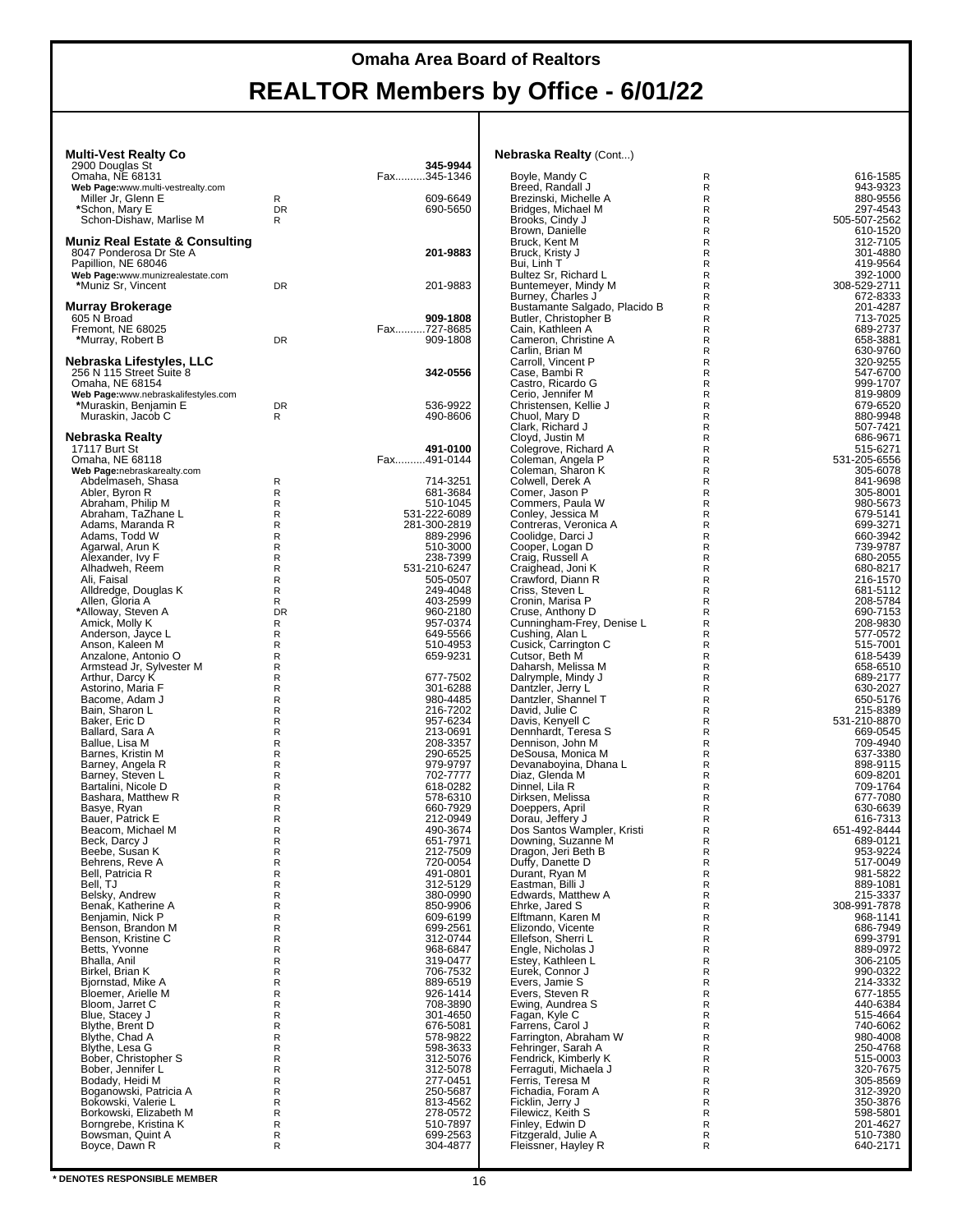#### **Multi-Vest Realty Co**

| MUILI-VESL REAILY CO                      |           | 345-9944             | inebiaska Keally      |
|-------------------------------------------|-----------|----------------------|-----------------------|
| 2900 Douglas St<br>Omaha, NE 68131        |           | Fax345-1346          | Boyle, Mandy C        |
| Web Page:www.multi-vestrealty.com         |           |                      | Breed, Randall,       |
| Miller Jr, Glenn E                        | R         | 609-6649             | Brezinski, Miche      |
| *Schon, Mary E                            | <b>DR</b> | 690-5650             | Bridges, Michae       |
| Schon-Dishaw, Marlise M                   | R         |                      | Brooks, Cindy J       |
|                                           |           |                      | Brown, Danielle       |
| <b>Muniz Real Estate &amp; Consulting</b> |           |                      | Bruck, Kent M         |
| 8047 Ponderosa Dr Ste A                   |           | 201-9883             | Bruck, Kristy J       |
| Papillion, NE 68046                       |           |                      | Bui, Linh T           |
| Web Page:www.munizrealestate.com          |           |                      | Bultez Sr, Richa      |
| *Muniz Sr, Vincent                        | DR        | 201-9883             | Buntemeyer, Mi        |
|                                           |           |                      | Burney, Charles       |
| <b>Murray Brokerage</b>                   |           |                      | <b>Bustamante Sal</b> |
| 605 N Broad                               |           | 909-1808             | Butler, Christopl     |
| Fremont, NE 68025                         |           | Fax727-8685          | Cain, Kathleen        |
| *Murray, Robert B                         | <b>DR</b> | 909-1808             | Cameron, Chris        |
|                                           |           |                      | Carlin, Brian M       |
| Nebraska Lifestyles, LLC                  |           |                      | Carroll, Vincent      |
| 256 N 115 Street Suite 8                  |           | 342-0556             | Case, Bambi R         |
| Omaha, NE 68154                           |           |                      | Castro, Ricardo       |
| Web Page:www.nebraskalifestyles.com       |           |                      | Cerio, Jennifer I     |
| *Muraskin, Benjamin E                     | DR        | 536-9922             | Christensen, Ke       |
| Muraskin, Jacob C                         | R         | 490-8606             | Chuol, Mary D         |
|                                           |           |                      | Clark, Richard J      |
| Nebraska Realty                           |           |                      | Cloyd, Justin M       |
| 17117 Burt St                             |           | 491-0100             | Colegrove, Rich       |
| Omaha, NE 68118                           |           |                      |                       |
|                                           |           | Fax491-0144          | Coleman, Angel        |
| Web Page:nebraskarealty.com               |           |                      | Coleman, Shard        |
| Abdelmaseh, Shasa                         | R         | 714-3251             | Colwell, Derek /      |
| Abler, Byron R                            | R         | 681-3684             | Comer, Jason F        |
| Abraham, Philip M                         | R         | 510-1045             | Commers, Paula        |
| Abraham, TaZhane L                        | R         | 531-222-6089         | Conley, Jessica       |
| Adams, Maranda R                          | R         | 281-300-2819         | Contreras, Vero       |
| Adams, Todd W                             | R         | 889-2996             | Coolidge, Darci       |
| Agarwal, Arun K                           | R         | 510-3000             | Cooper, Logan         |
| Alexander, Ivy F                          | R         | 238-7399             | Craig, Russell A      |
| Alhadweh, Reem                            | R         | 531-210-6247         | Craighead, Joni       |
| Ali, Faisal                               | R         | 505-0507             | Crawford, Dianr       |
| Alldredge, Douglas K                      | R         | 249-4048             | Criss, Steven L       |
| Allen, Gloria A                           | R         | 403-2599             | Cronin, Marisa I      |
| *Alloway, Steven A                        | <b>DR</b> | 960-2180             | Cruse, Anthony        |
| Amick, Molly K                            | R         | 957-0374             | Cunningham-Fr         |
| Anderson, Jayce L                         | R         | 649-5566             | Cushing, Alan L       |
| Anson, Kaleen M                           | R         | 510-4953             | Cusick, Carringt      |
| Anzalone, Antonio O                       | R         | 659-9231             | Cutsor, Beth M        |
| Armstead Jr, Sylvester M                  | R         |                      | Daharsh, Meliss       |
| Arthur, Darcy K                           | R         | 677-7502             | Dalrymple, Minc       |
| Astorino, Maria F                         | R         | 301-6288             | Dantzler, Jerry I     |
| Bacome, Adam J                            | R         | 980-4485             | Dantzler, Shanr       |
| Bain, Sharon L                            | R         | 216-7202             | David, Julie C        |
|                                           | R         |                      |                       |
| Baker, Eric D<br>Ballard, Sara A          | R         | 957-6234<br>213-0691 | Davis, Kenyell (      |
|                                           |           |                      | Dennhardt, Tere       |
| Ballue, Lisa M                            | R         | 208-3357             | Dennison, John        |
| Barnes, Kristin M                         | R         | 290-6525             | DeSousa, Monio        |
| Barney, Angela R                          | R         | 979-9797             | Devanaboyina,         |
| Barney, Steven L                          | R         | 702-7777             | Diaz, Glenda M        |
| Bartalini, Nicole D                       | R         | 618-0282             | Dinnel, Lila R        |
| Bashara, Matthew R                        | R         | 578-6310             | Dirksen, Melissa      |
| Basye, Ryan                               | R         | 660-7929             | Doeppers, April       |
| Bauer, Patrick E                          | R         | 212-0949             | Dorau, Jeffery J      |
| Beacom, Michael M                         | R         | 490-3674             | Dos Santos Wa         |
| Beck, Darcy J                             | R         | 651-7971             | Downing, Suzar        |
| Beebe, Susan K                            | R         | 212-7509             | Dragon, Jeri Be       |
| Behrens, Reve A                           | R         | 720-0054             | Duffy, Danette I      |
| Bell, Patricia R                          | R         | 491-0801             | Durant, Ryan M        |
| Bell, TJ                                  | R         | 312-5129             | Eastman, Billi J      |
| Belsky, Andrew                            | R         | 380-0990             | Edwards, Matth        |
| Benak, Katherine A                        | R         | 850-9906             | Ehrke, Jared S        |
| Benjamin, Nick P                          | R         | 609-6199             | Elftmann, Karer       |
| Benson, Brandon M                         | R         | 699-2561             | Elizondo, Vicent      |
| Benson, Kristine C                        | R         | 312-0744             | Ellefson, Sherri      |
| Betts, Yvonne                             | R         | 968-6847             | Engle, Nicholas       |
| Bhalla, Anil                              | R         | 319-0477             | Estey, Kathleen       |
| Birkel, Brian K                           | R         | 706-7532             | Eurek, Connor .       |
| Bjornstad, Mike A                         | R         | 889-6519             | Evers, Jamie S        |
| Bloemer, Arielle M                        | R         | 926-1414             | Evers, Steven R       |
| Bloom, Jarret C                           | R         | 708-3890             | Ewing, Aundrea        |
| Blue, Stacey J                            | R         | 301-4650             | Fagan, Kyle C         |
| Blythe, Brent D                           | R         | 676-5081             | Farrens, Carol J      |
| Blythe, Chad A                            | R         | 578-9822             | Farrington, Abra      |
|                                           | R         |                      | Fehringer, Sara       |
| Blythe, Lesa G                            |           | 598-3633             |                       |
| Bober, Christopher S                      | R         | 312-5076             | Fendrick, Kimbe       |
| Bober, Jennifer L                         | R         | 312-5078             | Ferraguti, Micha      |
| Bodady, Heidi M                           | R         | 277-0451             | Ferris, Teresa M      |
| Boganowski, Patricia A                    | R         | 250-5687             | Fichadia, Foram       |
| Bokowski, Valerie L                       | R         | 813-4562             | Ficklin, Jerry J      |
| Borkowski, Elizabeth M                    | R         | 278-0572             | Filewicz, Keith S     |
| Borngrebe, Kristina K                     | R         | 510-7897             | Finley, Edwin D       |
| Bowsman, Quint A                          | R         | 699-2563             | Fitzgerald, Julie     |
| Boyce, Dawn R                             | R         | 304-4877             | Fleissner, Hayle      |
|                                           |           |                      |                       |
|                                           |           |                      |                       |

#### **\*** DENOTES RESPONSIBLE MEMBER 16

| <b>DI ASNA INGAILY</b> (CONILLI)        |        |                      |
|-----------------------------------------|--------|----------------------|
| Boyle, Mandy C                          | R      | 616-1585             |
| Breed, Randall J                        | R      | 943-9323             |
| Brezinski, Michelle A                   | R      | 880-9556             |
| Bridges, Michael M                      | R      | 297-4543             |
| Brooks, Cindy J                         | R      | 505-507-2562         |
| Brown, Danielle                         | R      | 610-1520             |
| Bruck, Kent M                           | R      | 312-7105             |
| Bruck, Kristy J<br>Bui, Linh T          | R<br>R | 301-4880<br>419-9564 |
| Bultez Sr, Richard L                    | R      | 392-1000             |
| Buntemeyer, Mindy M                     | R      | 308-529-2711         |
| Burney, Charles J                       | R      | 672-8333             |
| Bustamante Salgado, Placido B           | R      | 201-4287             |
| Butler, Christopher B                   | R      | 713-7025             |
| Cain, Kathleen A                        | R      | 689-2737             |
| Cameron, Christine A                    | R      | 658-3881             |
| Carlin, Brian M                         | R      | 630-9760             |
| Carroll, Vincent P                      | R      | 320-9255             |
| Case, Bambi R                           | R      | 547-6700             |
| Castro, Ricardo G                       | R      | 999-1707             |
| Cerio, Jennifer M                       | R      | 819-9809             |
| Christensen, Kellie J                   | R      | 679-6520             |
| Chuol, Mary D                           | R      | 880-9948             |
| Clark, Richard J<br>Cloyd, Justin M     | R<br>R | 507-7421<br>686-9671 |
| Colegrove, Richard A                    | R      | 515-6271             |
| Coleman, Angela P                       | R      | 531-205-6556         |
| Coleman, Sharon K                       | R      | 305-6078             |
| Colwell, Derek A                        | R      | 841-9698             |
| Comer, Jason P                          | R      | 305-8001             |
| Commers, Paula W                        | R      | 980-5673             |
| Conley, Jessica M                       | R      | 679-5141             |
| Contreras, Veronica A                   | R      | 699-3271             |
| Coolidge, Darci J                       | R      | 660-3942             |
| Cooper, Logan D                         | R      | 739-9787             |
| Craig, Russell A                        | R      | 680-2055             |
| Craighead, Joni K                       | R      | 680-8217             |
| Crawford, Diann R                       | R<br>R | 216-1570             |
| Criss, Steven L<br>Cronin, Marisa P     | R      | 681-5112<br>208-5784 |
| Cruse, Anthony D                        | R      | 690-7153             |
| Cunningham-Frey, Denise L               | R      | 208-9830             |
| Cushing, Alan L                         | R      | 577-0572             |
| Cusick, Carrington C                    | R      | 515-7001             |
| Cutsor, Beth M                          | R      | 618-5439             |
| Daharsh, Melissa M                      | R      | 658-6510             |
| Dalrymple, Mindy J                      | R      | 689-2177             |
| Dantzler, Jerry L                       | R      | 630-2027             |
| Dantzler, Shannel T                     | R      | 650-5176             |
| David, Julie C                          | R      | 215-8389             |
| Davis, Kenyell C                        | R      | 531-210-8870         |
| Dennhardt, Teresa S<br>Dennison, John M | R<br>R | 669-0545<br>709-4940 |
| DeSousa, Monica M                       | R      | 637-3380             |
| Devanaboyina, Dhana L                   | R      | 898-9115             |
| Diaz, Glenda M                          | R      | 609-8201             |
| Dinnel, Lila R                          | R      | 709-1764             |
| Dirksen, Melissa                        | R      | 677-7080             |
| Doeppers, April                         | R      | 630-6639             |
| Dorau, Jeffery J                        | R      | 616-7313             |
| Dos Santos Wampler, Kristi              | R      | 651-492-8444         |
| Downing, Suzanne M                      | R      | 689-0121             |
| Dragon. Jeri Beth B                     | R      | 953-9224             |
| Duffy, Danette D<br>Durant, Ryan M      | R<br>R | 517-0049<br>981-5822 |
| Eastman, Billi J                        | R      | 889-1081             |
| Edwards, Matthew A                      | R      | 215-3337             |
| Ehrke, Jared S                          | R      | 308-991-7878         |
| Elftmann, Karen M                       | R      | 968-1141             |
|                                         | R      | 686-7949             |
| Elizondo, Vicente<br>Ellefson, Sherri L | R      | 699-3791             |
| Engle, Nicholas J                       | R      | 889-0972             |
| Estey, Kathleen L                       | R      | 306-2105             |
| Eurek, Connor J                         | R      | 990-0322             |
| Evers, Jamie S                          | R      | 214-3332             |
| Evers, Steven R                         | R      | 677-1855             |
| Ewing, Aundrea S                        | R      | 440-6384             |
| Fagan, Kyle C<br>Farrens, Carol J       | R<br>R | 515-4664<br>740-6062 |
| Farrington, Abraham W                   | R      | 980-4008             |
| Fehringer, Sarah A                      | R      | 250-4768             |
| Fendrick, Kimberly K                    | R      | 515-0003             |
| Ferraguti, Michaeİa J                   | R      | 320-7675             |
| Ferris, Teresa M                        | R      | 305-8569             |
| Fichadia, Foram A                       | R      | 312-3920             |
| Ficklin, Jerry J                        | R      | 350-3876             |
| Filewicz, Keith S                       | R      | 598-5801             |
| Finley, Edwin D                         | R      | 201-4627             |
| Fitzgerald, Julie A                     | R      | 510-7380             |
| Fleissner, Hayley R                     | R      | 640-2171             |
|                                         |        |                      |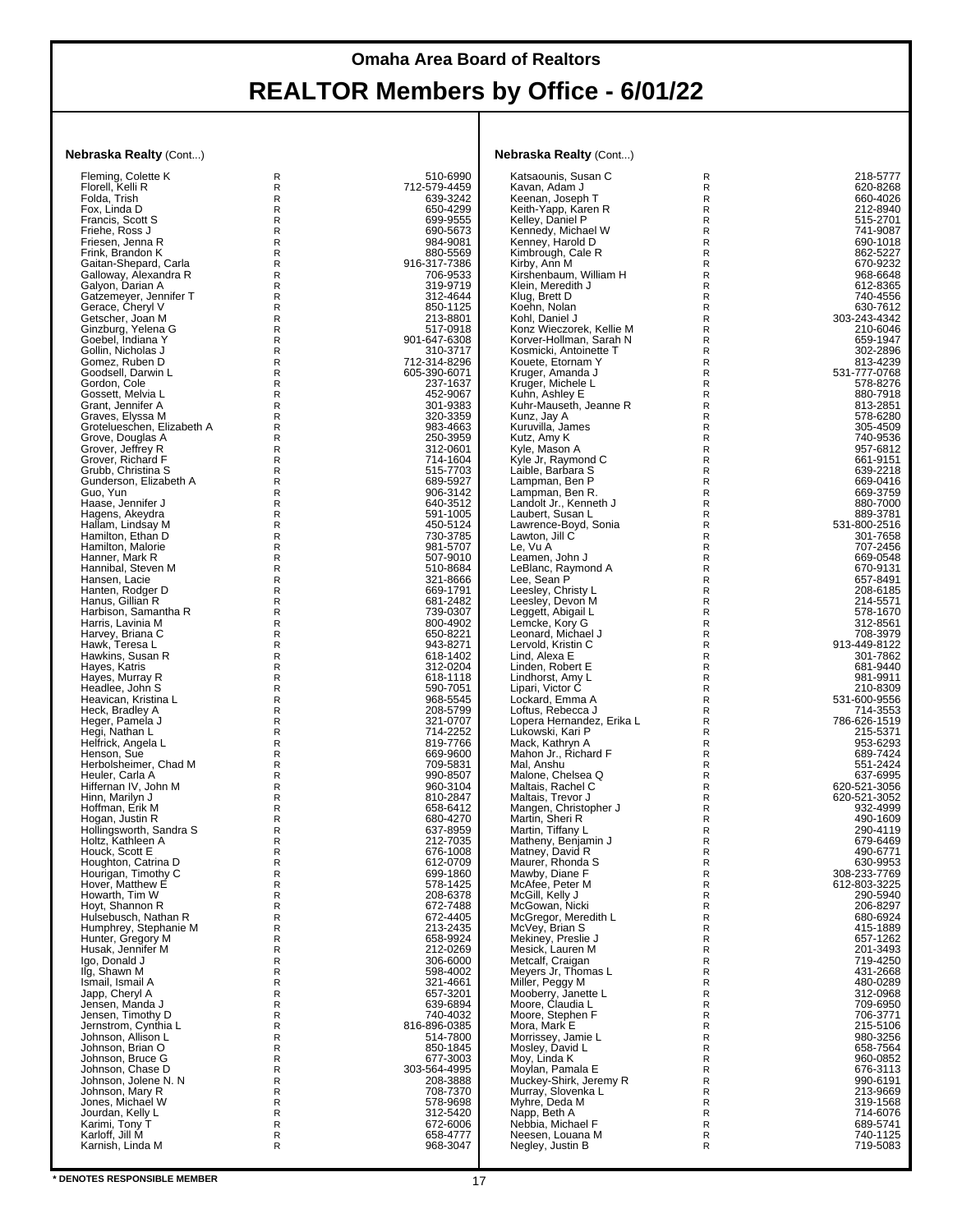| lebraska Realty (Cont)                         |        |                          | <b>Nebraska Realty (Cont)</b>                       |                              |                              |
|------------------------------------------------|--------|--------------------------|-----------------------------------------------------|------------------------------|------------------------------|
| Fleming, Colette K                             | R      | 510-6990                 | Katsaounis, Susan C                                 | $\mathsf{R}$                 | 218-5777                     |
| Florell, Kelli R                               | R      | 712-579-4459             | Kavan, Adam J                                       | $\mathsf{R}$                 | 620-8268                     |
| Folda, Trish<br>Fox, Linda D                   | R<br>R | 639-3242<br>650-4299     | Keenan, Joseph T<br>Keith-Yapp, Karen R             | $\mathsf{R}$<br>$\mathsf R$  | 660-4026<br>212-8940         |
| Francis, Scott S                               | R      | 699-9555                 | Kelley, Daniel P                                    | $\mathsf{R}$                 | 515-2701                     |
| Friehe, Ross J                                 | R      | 690-5673                 | Kennedy, Michael W                                  | $\mathsf{R}$                 | 741-9087                     |
| Friesen, Jenna R<br>Frink, Brandon K           | R<br>R | 984-9081<br>880-5569     | Kenney, Harold D<br>Kimbrough, Cale R               | $\mathsf{R}$<br>$\mathsf{R}$ | 690-1018<br>862-5227         |
| Gaitan-Shepard, Carla                          | R      | 916-317-7386             | Kirby, Ann M                                        | $\mathsf{R}$                 | 670-9232                     |
| Galloway, Alexandra R                          | R      | 706-9533                 | Kirshenbaum, William H                              | $\mathsf{R}$                 | 968-6648                     |
| Galyon, Darian A<br>Gatzemeyer, Jennifer T     | R<br>R | 319-9719<br>312-4644     | Klein, Meredith J<br>Klug, Brett D                  | $\mathsf{R}$<br>$\mathsf{R}$ | 612-8365<br>740-4556         |
| Gerace, Cheryl V                               | R      | 850-1125                 | Koehn, Nolan                                        | $\mathsf{R}$                 | 630-7612                     |
| Getscher, Joan M                               | R      | 213-8801                 | Kohl, Daniel J                                      | $\mathsf{R}$                 | 303-243-4342                 |
| Ginzburg, Yelena G<br>Goebel, Indiana Y        | R<br>R | 517-0918<br>901-647-6308 | Konz Wieczorek, Kellie M<br>Korver-Hollman, Sarah N | $\mathsf{R}$<br>$\mathsf R$  | 210-6046<br>659-1947         |
| Gollin, Nicholas J                             | R      | 310-3717                 | Kosmicki, Antoinette T                              | $\mathsf{R}$                 | 302-2896                     |
| Gomez, Ruben D                                 | R      | 712-314-8296             | Kouete, Etornam Y                                   | $\mathsf{R}$                 | 813-4239                     |
| Goodsell, Darwin L<br>Gordon, Cole             | R<br>R | 605-390-6071<br>237-1637 | Kruger, Amanda J<br>Kruger, Michele L               | $\mathsf{R}$<br>$\mathsf{R}$ | 531-777-0768<br>578-8276     |
| Gossett, Melvia L                              | R      | 452-9067                 | Kuhn, Ashley E                                      | $\mathsf{R}$                 | 880-7918                     |
| Grant, Jennifer A                              | R      | 301-9383                 | Kuhr-Mauseth, Jeanne R                              | $\mathsf{R}$                 | 813-2851                     |
| Graves, Elyssa M                               | R      | 320-3359                 | Kunz, Jay A                                         | $\mathsf{R}$                 | 578-6280                     |
| Grotelueschen, Elizabeth A<br>Grove, Douglas A | R<br>R | 983-4663<br>250-3959     | Kuruvilla, James<br>Kutz, Amy K                     | $\mathsf{R}$<br>$\mathsf{R}$ | 305-4509<br>740-9536         |
| Grover, Jeffrey R                              | R      | 312-0601                 | Kyle, Mason A                                       | $\mathsf{R}$                 | 957-6812                     |
| Grover, Richard F                              | R      | 714-1604                 | Kyle Jr, Raymond C                                  | $\mathsf{R}$                 | 661-9151                     |
| Grubb, Christina S<br>Gunderson, Elizabeth A   | R<br>R | 515-7703<br>689-5927     | Laible, Barbara S<br>Lampman, Ben P                 | $\mathsf{R}$<br>$\mathsf{R}$ | 639-2218<br>669-0416         |
| Guo, Yun                                       | R      | 906-3142                 | Lampman, Ben R.                                     | $\mathsf{R}$                 | 669-3759                     |
| Haase, Jennifer J                              | R      | 640-3512                 | Landolt Jr., Kenneth J                              | $\mathsf{R}$                 | 880-7000                     |
| Hagens, Akeydra<br>Hallam, Lindsay M           | R<br>R | 591-1005<br>450-5124     | Laubert, Susan L<br>Lawrence-Boyd, Sonia            | R<br>$\mathsf{R}$            | 889-3781<br>531-800-2516     |
| Hamilton, Ethan D                              | R      | 730-3785                 | Lawton, Jill C                                      | $\mathsf R$                  | 301-7658                     |
| Hamilton, Malorie                              | R      | 981-5707                 | Le, Vu A                                            | $\mathsf{R}$                 | 707-2456                     |
| Hanner, Mark R<br>Hannibal, Steven M           | R<br>R | 507-9010<br>510-8684     | Leamen, John J<br>LeBlanc, Raymond A                | R<br>$\mathsf{R}$            | 669-0548<br>670-9131         |
| Hansen, Lacie                                  | R      | 321-8666                 | Lee. Sean P                                         | R                            | 657-8491                     |
| Hanten, Rodger D                               | R      | 669-1791                 | Leesley, Christy L                                  | R                            | 208-6185                     |
| Hanus, Gillian R<br>Harbison, Samantha R       | R<br>R | 681-2482<br>739-0307     | Leesley, Devon M<br>Leggett, Abigail L              | $\mathsf R$<br>$\mathsf{R}$  | 214-5571<br>578-1670         |
| Harris, Lavinia M                              | R      | 800-4902                 | Lemcke, Kory G                                      | $\mathsf{R}$                 | 312-8561                     |
| Harvey, Briana C                               | R      | 650-8221                 | Leonard, Michael J                                  | $\mathsf{R}$                 | 708-3979                     |
| Hawk, Teresa L                                 | R      | 943-8271                 | Lervold, Kristin C                                  | $\mathsf{R}$<br>$\mathsf{R}$ | 913-449-8122                 |
| Hawkins, Susan R<br>Hayes, Katris              | R<br>R | 618-1402<br>312-0204     | Lind, Alexa E<br>Linden, Robert E                   | $\mathsf R$                  | 301-7862<br>681-9440         |
| Hayes, Murray R                                | R      | 618-1118                 | Lindhorst, Amy L                                    | $\mathsf{R}$                 | 981-9911                     |
| Headlee, John S<br>Heavican, Kristina L        | R<br>R | 590-7051<br>968-5545     | Lipari, Victor C<br>Lockard, Emma A                 | R<br>$\mathsf{R}$            | 210-8309<br>531-600-9556     |
| Heck, Bradley A                                | R      | 208-5799                 | Loftus, Rebecca J                                   | R                            | 714-3553                     |
| Heger, Pamela J                                | R      | 321-0707                 | Lopera Hernandez, Erika L                           | R                            | 786-626-1519                 |
| Hegi, Nathan L<br>Helfrick, Angela L           | R<br>R | 714-2252<br>819-7766     | Lukowski, Kari P                                    | R<br>$\mathsf{R}$            | 215-5371<br>953-6293         |
| Henson, Sue                                    | R      | 669-9600                 | Mack, Kathryn A<br>Mahon Jr., Richard F             | R                            | 689-7424                     |
| Herbolsheimer, Chad M                          | R      | 709-5831                 | Mal, Anshu                                          | $\mathsf{R}$                 | 551-2424                     |
| Heuler, Carla A                                | R      | 990-8507                 | Malone, Chelsea Q                                   | R                            | 637-6995                     |
| Hiffernan IV, John M<br>Hinn, Marilyn J        | R<br>R | 960-3104<br>810-2847     | Maltais, Rachel C<br>Maltais, Trevor J              | R<br>$\mathsf R$             | 620-521-3056<br>620-521-3052 |
| Hoffman, Erik M                                | R      | 658-6412                 | Mangen, Christopher J                               | $\mathsf{R}$                 | 932-4999                     |
| Hogan, Justin R                                | R<br>R | 680-4270<br>637-8959     | Martin, Sheri R                                     | R<br>R                       | 490-1609<br>290-4119         |
| Hollingsworth, Sandra S<br>Holtz, Kathleen A   | R      | 212-7035                 | Martin, Tiffany L<br>Matheny, Benjamin J            | R                            | 679-6469                     |
| Houck, Scott E                                 | R      | 676-1008                 | Matney, David R                                     | R                            | 490-6771                     |
| Houghton, Catrina D                            | R      | 612-0709<br>699-1860     | Maurer, Rhonda S                                    | $\mathsf R$<br>$\mathsf{R}$  | 630-9953                     |
| Hourigan, Timothy C<br>Hover, Matthew E        | R<br>R | 578-1425                 | Mawby, Diane F<br>McAfee, Peter M                   | R                            | 308-233-7769<br>612-803-3225 |
| Howarth, Tim W                                 | R      | 208-6378                 | McGill, Kelly J                                     | $\mathsf{R}$                 | 290-5940                     |
| Hoyt, Shannon R                                | R      | 672-7488                 | McGowan, Nicki                                      | R                            | 206-8297                     |
| Hulsebusch, Nathan R<br>Humphrey, Stephanie M  | R<br>R | 672-4405<br>213-2435     | McGregor, Meredith L<br>McVey, Brian S              | R<br>$\mathsf R$             | 680-6924<br>415-1889         |
| Hunter, Gregory M                              | R      | 658-9924                 | Mekiney, Preslie J                                  | $\mathsf{R}$                 | 657-1262                     |
| Husak, Jennifer M                              | R      | 212-0269                 | Mesick, Lauren M                                    | R                            | 201-3493                     |
| Igo, Donald J<br>Ilg, Shawn M                  | R<br>R | 306-6000<br>598-4002     | Metcalf, Craigan<br>Meyers Jr, Thomas L             | $\mathsf{R}$<br>R            | 719-4250<br>431-2668         |
| Ismail, Ismail A                               | R      | 321-4661                 | Miller, Peggy M                                     | R                            | 480-0289                     |
| Japp, Cheryl A                                 | R      | 657-3201                 | Mooberry, Janette L                                 | $\mathsf R$                  | 312-0968                     |
| Jensen, Manda J<br>Jensen, Timothy D           | R<br>R | 639-6894<br>740-4032     | Moore, Claudia L<br>Moore, Stephen F                | $\mathsf{R}$<br>R            | 709-6950<br>706-3771         |
| Jernstrom, Cynthia L                           | R      | 816-896-0385             | Mora, Mark E                                        | $\mathsf{R}$                 | 215-5106                     |
| Johnson, Allison L                             | R      | 514-7800                 | Morrissey, Jamie L                                  | R                            | 980-3256                     |
| Johnson, Brian O<br>Johnson, Bruce G           | R<br>R | 850-1845<br>677-3003     | Mosley, David L<br>Moy, Linda K                     | R<br>$\mathsf R$             | 658-7564<br>960-0852         |
| Johnson, Chase D                               | R      | 303-564-4995             | Moylan, Pamala E                                    | $\mathsf{R}$                 | 676-3113                     |
| Johnson, Jolene N. N                           | R      | 208-3888                 | Muckey-Shirk, Jeremy R                              | $\mathsf{R}$                 | 990-6191                     |
| Johnson, Mary R<br>Jones, Michael W            | R<br>R | 708-7370<br>578-9698     | Murray, Slovenka L<br>Myhre, Deda M                 | $\mathsf{R}$<br>R            | 213-9669<br>319-1568         |
| Jourdan, Kelly L                               | R      | 312-5420                 | Napp, Beth A                                        | R                            | 714-6076                     |
| Karimi, Tony T                                 | R      | 672-6006                 | Nebbia, Michael F                                   | $\mathsf R$                  | 689-5741                     |
| Karloff, Jill M<br>Karnish, Linda M            | R<br>R | 658-4777<br>968-3047     | Neesen, Louana M<br>Negley, Justin B                | R<br>R                       | 740-1125<br>719-5083         |
|                                                |        |                          |                                                     |                              |                              |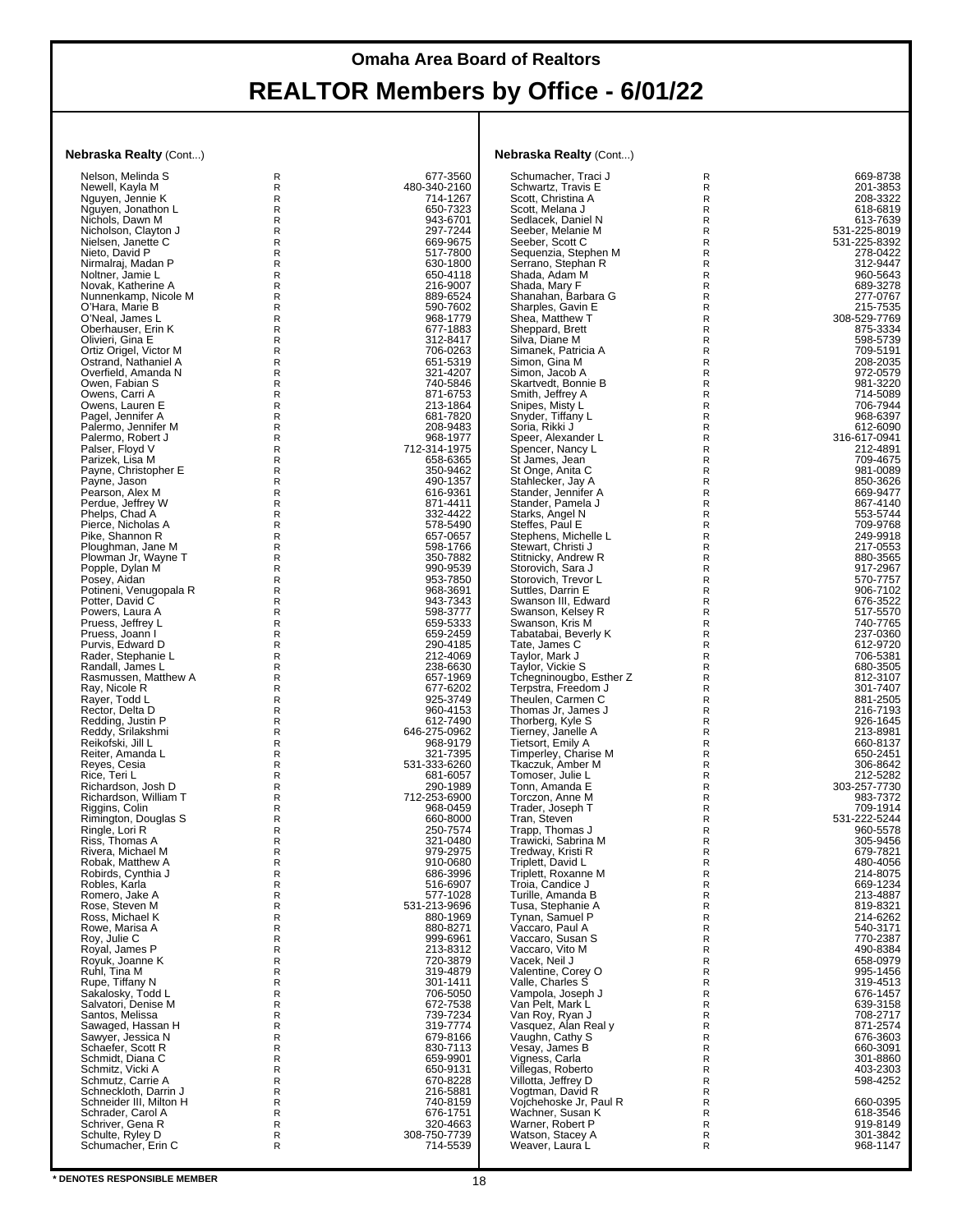| <b>Jebraska Realty</b> (Cont)                |                   |                          | <b>Nebraska Realty (Cont)</b>               |                              |                              |
|----------------------------------------------|-------------------|--------------------------|---------------------------------------------|------------------------------|------------------------------|
| Nelson, Melinda S                            | R                 | 677-3560                 | Schumacher, Traci J                         | R                            | 669-8738                     |
| Newell, Kayla M<br>Nguyen, Jennie K          | R<br>R            | 480-340-2160<br>714-1267 | Schwartz, Travis E<br>Scott, Christina A    | R<br>R                       | 201-3853<br>208-3322         |
| Nguyen, Jonathon L                           | R                 | 650-7323                 | Scott, Melana J                             | R                            | 618-6819                     |
| Nichols, Dawn M                              | R                 | 943-6701                 | Sedlacek, Daniel N                          | R                            | 613-7639                     |
| Nicholson, Clayton J<br>Nielsen, Janette C   | R<br>R            | 297-7244<br>669-9675     | Seeber, Melanie M<br>Seeber, Scott C        | R<br>R                       | 531-225-8019<br>531-225-8392 |
| Nieto, David P                               | R                 | 517-7800                 | Sequenzia, Stephen M                        | R                            | 278-0422                     |
| Nirmalraj, Madan P                           | R                 | 630-1800                 | Serrano, Stephan R                          | R                            | 312-9447                     |
| Noltner, Jamie L                             | R                 | 650-4118                 | Shada, Adam M                               | R                            | 960-5643                     |
| Novak, Katherine A<br>Nunnenkamp, Nicole M   | R<br>R            | 216-9007<br>889-6524     | Shada, Mary F<br>Shanahan, Barbara G        | R<br>R                       | 689-3278<br>277-0767         |
| O'Hara, Marie B                              | R                 | 590-7602                 | Sharples, Gavin E                           | R                            | 215-7535                     |
| O'Neal, James L                              | R                 | 968-1779                 | Shea, Matthew T                             | R                            | 308-529-7769                 |
| Oberhauser, Erin K<br>Olivieri, Gina E       | R<br>R            | 677-1883<br>312-8417     | Sheppard, Brett<br>Silva, Diane M           | $\mathsf R$<br>R             | 875-3334<br>598-5739         |
| Ortiz Origel, Victor M                       | R                 | 706-0263                 | Simanek, Patricia A                         | R                            | 709-5191                     |
| Ostrand, Nathaniel A                         | R                 | 651-5319                 | Simon, Gina M                               | R                            | 208-2035                     |
| Overfield, Amanda N                          | R                 | 321-4207                 | Simon, Jacob A                              | R                            | 972-0579                     |
| Owen, Fabian S<br>Owens, Carri A             | R<br>R            | 740-5846<br>871-6753     | Skartvedt, Bonnie B<br>Smith, Jeffrey A     | R<br>R                       | 981-3220<br>714-5089         |
| Owens, Lauren E                              | R                 | 213-1864                 | Snipes, Misty L                             | R                            | 706-7944                     |
| Pagel, Jennifer A                            | R                 | 681-7820                 | Snyder, Tiffany L                           | R                            | 968-6397                     |
| Palermo, Jennifer M<br>Palermo, Robert J     | R<br>R            | 208-9483<br>968-1977     | Soria, Rikki J<br>Speer, Alexander L        | R<br>R                       | 612-6090<br>316-617-0941     |
| Palser, Floyd V                              | R                 | 712-314-1975             | Spencer, Nancy L                            | R                            | 212-4891                     |
| Parizek, Lisa M                              | R                 | 658-6365                 | St James, Jean                              | $\mathsf{R}$                 | 709-4675                     |
| Payne, Christopher E                         | R                 | 350-9462                 | St Onge, Anita C                            | R                            | 981-0089                     |
| Payne, Jason<br>Pearson, Alex M              | R<br>R            | 490-1357<br>616-9361     | Stahlecker, Jay A<br>Stander, Jennifer A    | R<br>R                       | 850-3626<br>669-9477         |
| Perdue, Jeffrey W                            | R                 | 871-4411                 | Stander, Pamela J                           | R                            | 867-4140                     |
| Phelps, Chad A                               | R                 | 332-4422                 | Starks, Angel N                             | $\mathsf{R}$                 | 553-5744                     |
| Pierce, Nicholas A<br>Pike, Shannon R        | R<br>R            | 578-5490<br>657-0657     | Steffes, Paul E<br>Stephens, Michelle L     | R<br>$\mathsf{R}$            | 709-9768<br>249-9918         |
| Ploughman, Jane M                            | R                 | 598-1766                 | Stewart, Christi J                          | $\mathsf{R}$                 | 217-0553                     |
| Plowman Jr, Wayne T                          | R                 | 350-7882                 | Stitnicky, Andrew R                         | R                            | 880-3565                     |
| Popple, Dylan M                              | R                 | 990-9539                 | Storovich, Sara J                           | R                            | 917-2967                     |
| Posey, Aidan<br>Potineni, Venugopala R       | R<br>R            | 953-7850<br>968-3691     | Storovich, Trevor L<br>Suttles, Darrin E    | R<br>$\mathsf{R}$            | 570-7757<br>906-7102         |
| Potter, David C                              | R                 | 943-7343                 | Swanson III, Edward                         | $\mathsf{R}$                 | 676-3522                     |
| Powers, Laura A                              | R                 | 598-3777                 | Swanson, Kelsey R                           | $\mathsf{R}$                 | 517-5570                     |
| Pruess, Jeffrey L<br>Pruess, Joann I         | R<br>R            | 659-5333<br>659-2459     | Swanson, Kris M<br>Tabatabai, Beverly K     | R<br>R                       | 740-7765<br>237-0360         |
| Purvis, Edward D                             | R                 | 290-4185                 | Tate, James C                               | $\mathsf{R}$                 | 612-9720                     |
| Rader, Stephanie L                           | R                 | 212-4069                 | Taylor, Mark J                              | R                            | 706-5381                     |
| Randall, James L                             | R<br>$\mathsf{R}$ | 238-6630<br>657-1969     | Taylor, Vickie S<br>Tchegninougbo, Esther Z | $\mathsf{R}$<br>$\mathsf{R}$ | 680-3505<br>812-3107         |
| Rasmussen, Matthew A<br>Ray, Nicole R        | R                 | 677-6202                 | Terpstra, Freedom J                         | $\mathsf{R}$                 | 301-7407                     |
| Rayer, Todd L                                | R                 | 925-3749                 | Theulen, Carmen C                           | $\mathsf{R}$                 | 881-2505                     |
| Rector, Delta D                              | R                 | 960-4153                 | Thomas Jr, James J                          | $\mathsf{R}$                 | 216-7193                     |
| Redding, Justin P<br>Reddy, Srilakshmi       | R<br>R            | 612-7490<br>646-275-0962 | Thorberg, Kyle S<br>Tierney, Janelle A      | $\mathsf R$<br>R             | 926-1645<br>213-8981         |
| Reikofski, Jill L                            | R                 | 968-9179                 | Tietsort, Emily A                           | $\mathsf{R}$                 | 660-8137                     |
| Reiter, Amanda L                             | R                 | 321-7395                 | Timperley, Charise M                        | R                            | 650-2451                     |
| Reyes, Cesia<br>Rice, Teri L                 | R<br>R            | 531-333-6260<br>681-6057 | Tkaczuk, Amber M<br>Tomoser, Julie L        | $\mathsf{R}$<br>$\mathsf{R}$ | 306-8642<br>212-5282         |
| Richardson, Josh D                           | R                 | 290-1989                 | Tonn, Amanda E                              | R                            | 303-257-7730                 |
| Richardson, William T                        | R                 | 712-253-6900             | Torczon, Anne M                             | $\mathsf{R}$                 | 983-7372                     |
| Riggins, Colin                               | R                 | 968-0459                 | Trader, Joseph T                            | $\mathsf{R}$<br>R            | 709-1914<br>531-222-5244     |
| Rimington, Douglas S<br>Ringle, Lori R       | R<br>R            | 660-8000<br>250-7574     | Tran, Steven<br>Trapp, Thomas J             | R                            | 960-5578                     |
| Riss, Thomas A                               | R                 | 321-0480                 | Trawicki, Sabrina M                         | R                            | 305-9456                     |
| Rivera, Michael M                            | R<br>R            | 979-2975<br>910-0680     | Tredway, Kristi R                           | R                            | 679-7821<br>480-4056         |
| Robak, Matthew A<br>Robirds, Cynthia J       | R                 | 686-3996                 | Triplett, David L<br>Triplett, Roxanne M    | R<br>R                       | 214-8075                     |
| Robles, Karla                                | R                 | 516-6907                 | Troia, Candice J                            | R                            | 669-1234<br>213-4887         |
| Romero, Jake A                               | R                 | 577-1028                 | Turille, Amanda B                           | R                            |                              |
| Rose, Steven M<br>Ross, Michael K            | R<br>R            | 531-213-9696<br>880-1969 | Tusa, Stephanie A<br>Tynan, Samuel P        | R<br>R                       | 819-8321<br>214-6262         |
| Rowe, Marisa A                               | R                 | 880-8271                 | Vaccaro, Paul A                             | R                            | 540-3171                     |
| Roy, Julie C                                 | R                 | 999-6961                 | Vaccaro, Susan S                            | R                            | 770-2387                     |
| Royal, James P<br>Royuk, Joanne K            | R<br>R            | 213-8312<br>720-3879     | Vaccaro, Vito M<br>Vacek, Neil J            | R<br>R                       | 490-8384<br>658-0979         |
| Ruhl, Tina M                                 | R                 | 319-4879                 | Valentine, Corey O                          | R                            | 995-1456                     |
| Rupe, Tiffany N                              | R                 | 301-1411                 | Valle, Charles S                            | R                            | 319-4513                     |
| Sakalosky, Todd L                            | R                 | 706-5050                 | Vampola, Joseph J                           | R                            | 676-1457                     |
| Salvatori, Denise M<br>Santos, Melissa       | $\mathsf{R}$<br>R | 672-7538<br>739-7234     | Van Pelt, Mark L<br>Van Roy, Ryan J         | $\mathsf{R}$<br>R            | 639-3158<br>708-2717         |
| Sawaged, Hassan H                            | R                 | 319-7774                 | Vasquez, Alan Real y                        | R                            | 871-2574                     |
| Sawyer, Jessica N                            | R                 | 679-8166                 | Vaughn, Cathy S                             | R                            | 676-3603                     |
| Schaefer, Scott R<br>Schmidt, Diana C        | R<br>R            | 830-7113<br>659-9901     | Vesay, James B<br>Vigness, Carla            | R<br>R                       | 660-3091<br>301-8860         |
| Schmitz, Vicki A                             | R                 | 650-9131                 | Villegas, Roberto                           | R                            | 403-2303                     |
| Schmutz, Carrie A                            | R                 | 670-8228                 | Villotta, Jeffrey D                         | R                            | 598-4252                     |
| Schneckloth, Darrin J                        | R                 | 216-5881                 | Vogtman, David R                            | R                            |                              |
| Schneider III, Milton H<br>Schrader, Carol A | R<br>R            | 740-8159<br>676-1751     | Vojchehoske Jr, Paul R<br>Wachner, Susan K  | R<br>R                       | 660-0395<br>618-3546         |
| Schriver, Gena R                             | R                 | 320-4663                 | Warner, Robert P                            | R                            | 919-8149                     |
| Schulte, Ryley D                             | $\mathsf R$       | 308-750-7739             | Watson, Stacey A                            | R                            | 301-3842                     |
| Schumacher, Erin C                           | R                 | 714-5539                 | Weaver, Laura L                             | R                            | 968-1147                     |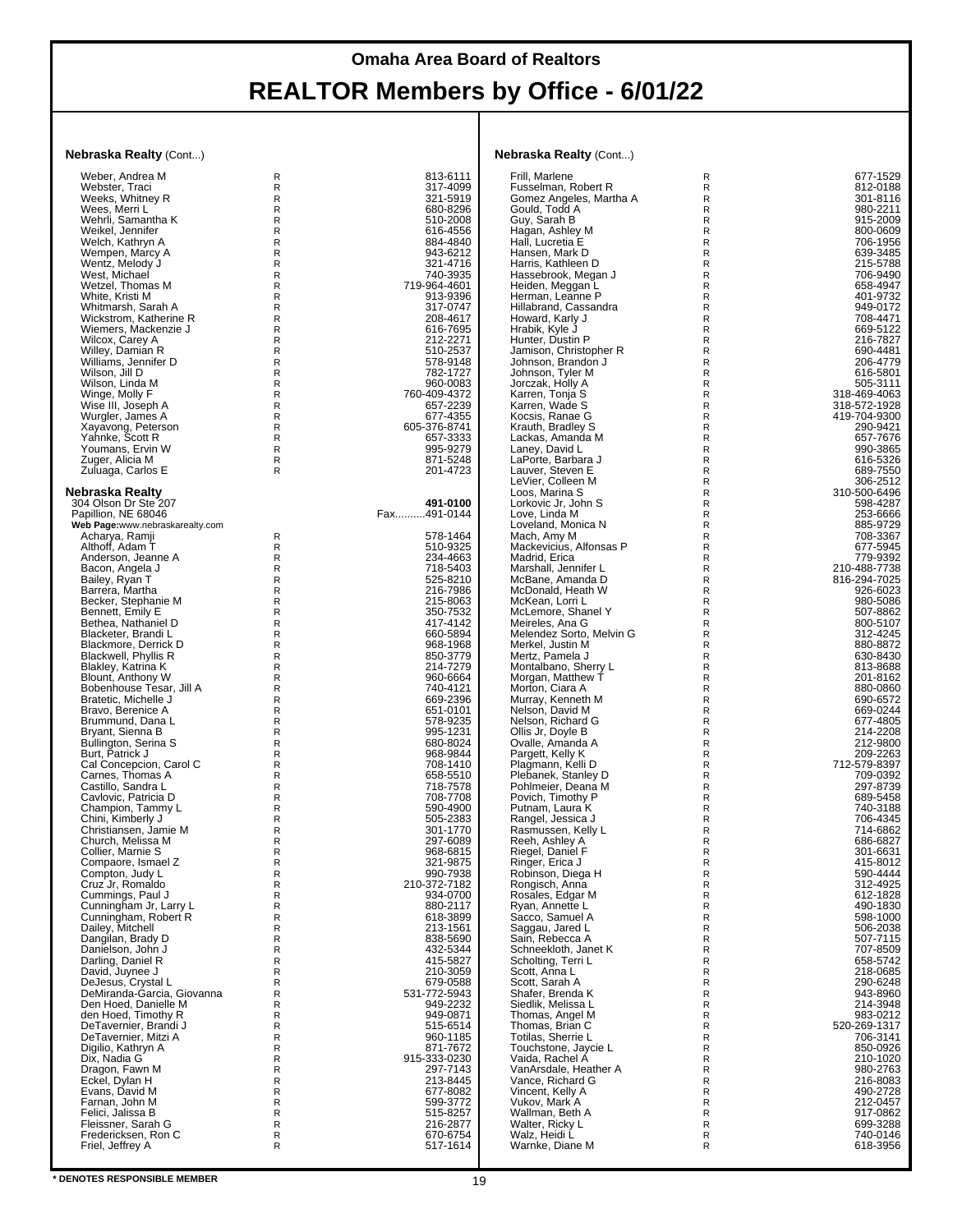#### **Nebraska Realty** (Cont...)

| Weber, Andrea M                         | R      | 813-6111             |
|-----------------------------------------|--------|----------------------|
|                                         |        |                      |
|                                         |        |                      |
| Webster, Traci                          | R      | 317-4099             |
| Weeks, Whitney R                        | R      | 321-5919             |
| Wees, Merri L                           | R      | 680-8296             |
|                                         | R      |                      |
| Wehrli, Samantha K                      |        | 510-2008             |
| Weikel, Jennifer                        | R      | 616-4556             |
| Welch, Kathryn A                        | R      | 884-4840             |
|                                         | R      |                      |
| Wempen, Marcy A                         |        | 943-6212             |
| Wentz, Melody J                         | R      | 321-4716             |
| West, Michael                           | R      | 740-3935             |
|                                         |        |                      |
| Wetzel, Thomas M                        | R      | 719-964-4601         |
| White, Kristi M                         | R      | 913-9396             |
| Whitmarsh, Sarah A                      | R      | 317-0747             |
|                                         |        |                      |
| Wickstrom, Katherine R                  | R      | 208-4617             |
| Wiemers, Mackenzie J                    | R      | 616-7695             |
|                                         | R      |                      |
| Wilcox, Carey A                         |        | 212-2271             |
| Willey, Damian R                        | R      | 510-2537             |
| Williams, Jennifer D                    | R      | 578-9148             |
|                                         |        |                      |
| Wilson, Jill D                          | R      | 782-1727             |
| Wilson, Linda M                         | R      | 960-0083             |
| Winge, Molly F                          | R      | 760-409-4372         |
|                                         |        |                      |
| Wise III, Joseph A                      | R      | 657-2239             |
| Wurgler, James A                        | R      | 677-4355             |
|                                         |        |                      |
| Xayavong, Peterson                      | R      | 605-376-8741         |
| Yahnke, Scott R                         | R      | 657-3333             |
| Youmans, Ervin W                        | R      | 995-9279             |
|                                         |        |                      |
| Zuger, Alicia M                         | R      | 871-5248             |
| Zuluaga, Carlos E                       | R      | 201-4723             |
|                                         |        |                      |
|                                         |        |                      |
| Nebraska Realty                         |        |                      |
| 304 Olson Dr Ste 207                    |        | 491-0100             |
| Papillion, NE 68046                     |        | Fax491-0144          |
|                                         |        |                      |
| Web Page:www.nebraskarealty.com         |        |                      |
| Acharya, Ramji                          | R      | 578-1464             |
| Althoff, Adam T                         | R      |                      |
|                                         |        | 510-9325             |
| Anderson, Jeanne A                      | R      | 234-4663             |
| Bacon, Angela J                         | R      | 718-5403             |
|                                         |        |                      |
| Bailey, Ryan T                          | R      | 525-8210             |
| Barrera, Martha                         | R      | 216-7986             |
| Becker, Stephanie M                     | R      | 215-8063             |
|                                         |        |                      |
| Bennett, Emily E                        | R      | 350-7532             |
| Bethea, Nathaniel D                     | R      | 417-4142             |
| Blacketer, Brandi L                     | R      | 660-5894             |
|                                         |        |                      |
| Blackmore, Derrick D                    | R      | 968-1968             |
| Blackwell, Phyllis R                    | R      | 850-3779             |
|                                         | R      |                      |
| Blakley, Katrina K                      |        | 214-7279             |
| Blount, Anthony W                       | R      | 960-6664             |
| Bobenhouse Tesar, Jill A                |        | 740-4121             |
|                                         |        |                      |
|                                         | R      |                      |
| Bratetic, Michelle J                    | R      | 669-2396             |
|                                         |        |                      |
| Bravo, Berenice A                       | R      | 651-0101             |
| Brummund, Dana L                        | R      | 578-9235             |
| Bryant, Sienna B                        | R      | 995-1231             |
|                                         |        |                      |
| Bullington, Serina S                    | R      | 680-8024             |
| Burt, Patrick J                         | R      | 968-9844             |
|                                         | R      | 708-1410             |
| Cal Concepcion, Carol C                 |        |                      |
| Carnes, Thomas A                        | R      | 658-5510             |
| Castillo, Sandra L                      | R      | 718-7578             |
|                                         | R      |                      |
| Cavlovic, Patricia D                    |        | 708-7708             |
| Champion, Tammy L                       | R      | 590-4900             |
| Chini, Kimberly J                       | R      | 505-2383             |
|                                         |        |                      |
| Christiansen, Jamie M                   | R      | 301-1770             |
| Church, Melissa M                       | R      | 297-6089             |
| Collier, Marnie S                       | R      | 968-6815             |
|                                         |        |                      |
| Compaore, Ismael Z                      | R      | 321-9875             |
| Compton, Judy L                         | R      | 990-7938             |
|                                         | R      | 210-372-7182         |
| Cruz Jr, Romaldo                        |        |                      |
| Cummings, Paul J                        | R      | 934-0700             |
| Cunningham Jr, Larry L                  | R      | 880-2117             |
|                                         | R      |                      |
| Cunningham, Robert R                    |        | 618-3899             |
| Dailey, Mitchell                        | R      | 213-1561             |
| Dangilan, Brady D                       | R      | 838-5690             |
|                                         | R      | 432-5344             |
| Danielson, John J                       |        |                      |
| Darling, Daniel R                       | R      | 415-5827             |
| David, Juynee J                         | R      | 210-3059             |
|                                         | R      |                      |
| DeJesus, Crystal L                      |        | 679-0588             |
| DeMiranda-Garcia, Giovanna              | R      | 531-772-5943         |
| Den Hoed, Danielle M                    | R      | 949-2232             |
|                                         |        |                      |
| den Hoed, Timothy R                     | R      | 949-0871             |
| DeTavernier, Brandi J                   | R      | 515-6514             |
| DeTavernier, Mitzi A                    | R      |                      |
|                                         |        | 960-1185             |
| Digilio, Kathryn A                      | R      | 871-7672             |
| Dix, Nadia G                            | R      | 915-333-0230         |
|                                         | R      |                      |
| Dragon, Fawn M                          |        | 297-7143             |
| Eckel, Dylan H                          | R      | 213-8445             |
| Evans, David M                          | R      | 677-8082             |
|                                         |        |                      |
| Farnan, John M                          | R      | 599-3772             |
| Felici, Jalissa B                       | R      | 515-8257             |
|                                         | R      |                      |
| Fleissner, Sarah G                      |        | 216-2877             |
| Fredericksen, Ron C<br>Friel, Jeffrey A | R<br>R | 670-6754<br>517-1614 |

| Frill, Marlene           | R | 677-1529     |
|--------------------------|---|--------------|
| Fusselman, Robert R      | R | 812-0188     |
| Gomez Angeles, Martha A  | R | 301-8116     |
|                          | R | 980-2211     |
| Gould, Todd A            |   |              |
| Guy, Sarah B             | R | 915-2009     |
| Hagan, Ashley M          | R | 800-0609     |
| Hall, Lucretia E         | R | 706-1956     |
| Hansen, Mark D           | R | 639-3485     |
| Harris, Kathleen D       | R | 215-5788     |
| Hassebrook, Megan J      | R | 706-9490     |
|                          | R |              |
| Heiden, Meggan L         |   | 658-4947     |
| Herman, Leanne P         | R | 401-9732     |
| Hillabrand, Cassandra    | R | 949-0172     |
| Howard, Karly J          | R | 708-4471     |
| Hrabik, Kyle J           | R | 669-5122     |
| Hunter, Dustin P         | R | 216-7827     |
| Jamison, Christopher R   | R | 690-4481     |
|                          |   |              |
| Johnson, Brandon J       | R | 206-4779     |
| Johnson, Tyler M         | R | 616-5801     |
| Jorczak, Holly A         | R | 505-3111     |
| Karren, Tonja S          | R | 318-469-4063 |
| Karren, Wade S           | R | 318-572-1928 |
| Kocsis, Ranae G          | R | 419-704-9300 |
| Krauth, Bradley S        | R | 290-9421     |
| Lackas, Amanda M         | R | 657-7676     |
|                          |   |              |
| Laney, David L           | R | 990-3865     |
| LaPorte, Barbara J       | R | 616-5326     |
| Lauver, Steven E         | R | 689-7550     |
| LeVier, Colleen M        | R | 306-2512     |
| Loos, Marina S           | R | 310-500-6496 |
| Lorkovic Jr, John S      | R | 598-4287     |
| Love, Linda M            | R | 253-6666     |
|                          |   | 885-9729     |
| Loveland, Monica N       | R |              |
| Mach, Amy M              | R | 708-3367     |
| Mackevicius, Alfonsas P  | R | 677-5945     |
| Madrid, Erica            | R | 779-9392     |
| Marshall, Jennifer L     | R | 210-488-7738 |
| McBane, Amanda D         | R | 816-294-7025 |
| McDonald, Heath W        | R | 926-6023     |
| McKean, Lorri L          | R | 980-5086     |
|                          |   |              |
| McLemore, Shanel Y       | R | 507-8862     |
| Meireles, Ana G          | R | 800-5107     |
| Melendez Sorto, Melvin G | R | 312-4245     |
| Merkel, Justin M         | R | 880-8872     |
| Mertz, Pamela J          | R | 630-8430     |
| Montalbano, Sherry L     | R | 813-8688     |
| Morgan, Matthew T        | R | 201-8162     |
| Morton, Ciara A          | R | 880-0860     |
| Murray, Kenneth M        |   |              |
|                          | R | 690-6572     |
| Nelson, David M          | R | 669-0244     |
| Nelson, Richard G        | R | 677-4805     |
| Ollis Jr, Doyle B        | R | 214-2208     |
| Ovalle, Amanda A         | R | 212-9800     |
| Pargett, Kelly K         | R | 209-2263     |
| Plagmann, Kelli D        | R | 712-579-8397 |
| Plebanek, Stanley D      | R | 709-0392     |
|                          | R | 297-8739     |
| Pohlmeier, Deana M       |   |              |
| Povich, Timothy P        | R | 689-5458     |
| Putnam, Laura K          | R | 740-3188     |
| Rangel, Jessica J        | R | 706-4345     |
| Rasmussen, Kelly L       | R | 714-6862     |
| Reeh, Ashley A           | R | 686-6827     |
| Riegel, Daniel F         | R | 301-6631     |
| Ringer, Erica J          | R | 415-8012     |
| Robinson, Diega H        | R | 590-4444     |
|                          | R |              |
| Rongisch, Anna           |   | 312-4925     |
| Rosales, Edgar M         | R | 612-1828     |
| Ryan, Annette L          | R | 490-1830     |
| Sacco, Samuel A          | R | 598-1000     |
| Saggau, Jared L          | R | 506-2038     |
| Sain, Rebecca A          | R | 507-7115     |
| Schneekloth, Janet K     | R | 707-8509     |
| Scholting, Terri L       | R | 658-5742     |
| Scott, Anna L            | R | 218-0685     |
| Scott, Sarah A           | R |              |
|                          |   | 290-6248     |
| Shafer, Brenda K         | R | 943-8960     |
| Siedlik, Melissa L       | R | 214-3948     |
| Thomas, Angel M          | R | 983-0212     |
| Thomas, Brian C          | R | 520-269-1317 |
| Totilas, Sherrie L       | R | 706-3141     |
| Touchstone, Jaycie L     | R | 850-0926     |
| Vaida, Rachel Á          | R | 210-1020     |
|                          |   |              |
| VanArsdale, Heather A    | R | 980-2763     |
| Vance, Richard G         | R | 216-8083     |
| Vincent, Kelly A         | R | 490-2728     |
| Vukov, Mark A            | R | 212-0457     |
| Wallman, Beth A          | R | 917-0862     |
| Walter, Ricky L          | R | 699-3288     |
| Walz, Heidi L            | R | 740-0146     |
| Warnke, Diane M          | R | 618-3956     |
|                          |   |              |
|                          |   |              |
|                          |   |              |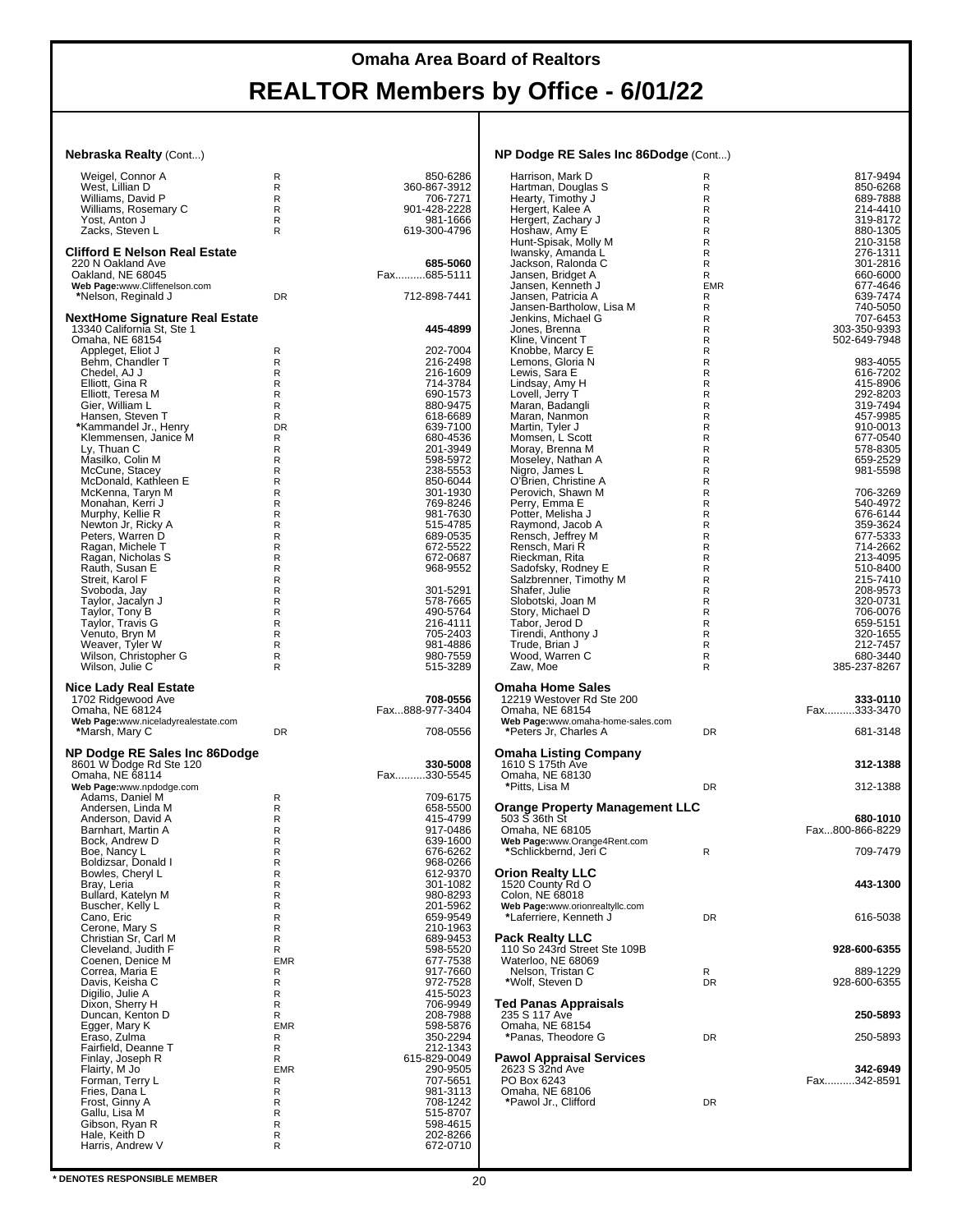| <b>Nebraska Realty (Cont)</b>                      |                   |                          | NP Dodge RE Sales Inc 86Dodge (Cont)         |                  |                              |
|----------------------------------------------------|-------------------|--------------------------|----------------------------------------------|------------------|------------------------------|
| Weigel, Connor A                                   | R                 | 850-6286                 | Harrison, Mark D                             | R                | 817-9494                     |
| West, Lillian D                                    | R                 | 360-867-3912             | Hartman, Douglas S                           | R                | 850-6268                     |
| Williams, David P                                  | R                 | 706-7271                 | Hearty, Timothy J                            | R                | 689-7888                     |
| Williams, Rosemary C<br>Yost, Anton J              | R<br>R.           | 901-428-2228<br>981-1666 | Hergert, Kalee A<br>Hergert, Zachary J       | R<br>R           | 214-4410<br>319-8172         |
| Zacks, Steven L                                    | R                 | 619-300-4796             | Hoshaw, Amy E                                | R                | 880-1305                     |
|                                                    |                   |                          | Hunt-Spisak, Molly M                         | R                | 210-3158                     |
| <b>Clifford E Nelson Real Estate</b>               |                   |                          | Iwansky, Amanda L                            | $\mathsf R$      | 276-1311                     |
| 220 N Oakland Ave                                  |                   | 685-5060<br>Fax685-5111  | Jackson, Ralonda C                           | R<br>R           | 301-2816                     |
| Oakland, NE 68045<br>Web Page:www.Cliffenelson.com |                   |                          | Jansen, Bridget A<br>Jansen, Kenneth J       | <b>EMR</b>       | 660-6000<br>677-4646         |
| *Nelson, Reginald J                                | <b>DR</b>         | 712-898-7441             | Jansen, Patricia A                           | R                | 639-7474                     |
|                                                    |                   |                          | Jansen-Bartholow, Lisa M                     | R                | 740-5050                     |
| <b>NextHome Signature Real Estate</b>              |                   |                          | Jenkins, Michael G                           | R                | 707-6453                     |
| 13340 California St, Ste 1<br>Omaha, NE 68154      |                   | 445-4899                 | Jones, Brenna<br>Kline, Vincent T            | R<br>R           | 303-350-9393<br>502-649-7948 |
| Appleget, Eliot J                                  | R                 | 202-7004                 | Knobbe, Marcy E                              | R                |                              |
| Behm, Chandler T                                   | R                 | 216-2498                 | Lemons, Gloria N                             | R                | 983-4055                     |
| Chedel, AJ J                                       | R                 | 216-1609                 | Lewis, Sara E                                | R                | 616-7202                     |
| Elliott, Gina R<br>Elliott, Teresa M               | $\mathsf{R}$<br>R | 714-3784<br>690-1573     | Lindsay, Amy H<br>Lovell, Jerry T            | $\mathsf R$<br>R | 415-8906<br>292-8203         |
| Gier, William L                                    | R                 | 880-9475                 | Maran, Badangli                              | R                | 319-7494                     |
| Hansen, Steven T                                   | R                 | 618-6689                 | Maran, Nanmon                                | R                | 457-9985                     |
| *Kammandel Jr., Henry                              | DR                | 639-7100                 | Martin, Tyler J                              | R                | 910-0013                     |
| Klemmensen, Janice M                               | R                 | 680-4536<br>201-3949     | Momsen, L Scott                              | R<br>R           | 677-0540                     |
| Ly, Thuan C<br>Masilko, Colin M                    | R<br>R            | 598-5972                 | Moray, Brenna M                              | R                | 578-8305<br>659-2529         |
| McCune, Stacey                                     | R                 | 238-5553                 | Moseley, Nathan A<br>Nigro, James L          | R                | 981-5598                     |
| McDonald, Kathleen E                               | ${\sf R}$         | 850-6044                 | O'Brien, Christine A                         | R                |                              |
| McKenna, Taryn M                                   | R                 | 301-1930                 | Perovich, Shawn M                            | R                | 706-3269                     |
| Monahan, Kerri J<br>Murphy, Kellie R               | R<br>${\sf R}$    | 769-8246<br>981-7630     | Perry, Emma E<br>Potter, Melisha J           | R<br>R           | 540-4972<br>676-6144         |
| Newton Jr, Ricky A                                 | R                 | 515-4785                 | Raymond, Jacob A                             | R                | 359-3624                     |
| Peters, Warren D                                   | R                 | 689-0535                 | Rensch, Jeffrey M                            | R                | 677-5333                     |
| Ragan, Michele T                                   | ${\sf R}$         | 672-5522                 | Rensch, Mari R                               | R                | 714-2662                     |
| Ragan, Nicholas S<br>Rauth, Susan E                | R                 | 672-0687                 | Rieckman, Rita                               | R                | 213-4095                     |
| Streit, Karol F                                    | R<br>${\sf R}$    | 968-9552                 | Sadofsky, Rodney E<br>Salzbrenner, Timothy M | R<br>${\sf R}$   | 510-8400<br>215-7410         |
| Svoboda, Jay                                       | R                 | 301-5291                 | Shafer, Julie                                | R                | 208-9573                     |
| Taylor, Jacalyn J                                  | R                 | 578-7665                 | Slobotski, Joan M                            | R                | 320-0731                     |
| Taylor, Tony B                                     | $\mathsf{R}$      | 490-5764                 | Story, Michael D                             | $\mathsf R$      | 706-0076                     |
| Taylor, Travis G<br>Venuto, Bryn M                 | R<br>R            | 216-4111<br>705-2403     | Tabor, Jerod D<br>Tirendi, Anthony J         | R<br>R           | 659-5151<br>320-1655         |
| Weaver, Tyler W                                    | R                 | 981-4886                 | Trude, Brian J                               | ${\sf R}$        | 212-7457                     |
| Wilson, Christopher G                              | R                 | 980-7559                 | Wood, Warren C                               | R                | 680-3440                     |
| Wilson, Julie C                                    | R                 | 515-3289                 | Zaw, Moe                                     | R                | 385-237-8267                 |
| <b>Nice Lady Real Estate</b>                       |                   |                          | <b>Omaha Home Sales</b>                      |                  |                              |
| 1702 Ridgewood Ave                                 |                   | 708-0556                 | 12219 Westover Rd Ste 200                    |                  | 333-0110                     |
| Omaha, NE 68124                                    |                   | Fax888-977-3404          | Omaha, NE 68154                              |                  | Fax333-3470                  |
| Web Page:www.niceladyrealestate.com                |                   |                          | Web Page:www.omaha-home-sales.com            |                  |                              |
| *Marsh, Mary C                                     | <b>DR</b>         | 708-0556                 | *Peters Jr, Charles A                        | DR               | 681-3148                     |
| NP Dodge RE Sales Inc 86Dodge                      |                   |                          | <b>Omaha Listing Company</b>                 |                  |                              |
| 8601 W Dodge Rd Ste 120                            |                   | 330-5008                 | 1610 S 175th Ave                             |                  | 312-1388                     |
| Omaha, NE 68114                                    |                   | Fax330-5545              | Omaha, NE 68130                              |                  |                              |
| Web Page:www.npdodge.com                           |                   |                          | *Pitts, Lisa M                               | DR               | 312-1388                     |
| Adams, Daniel M<br>Andersen, Linda M               | R<br>R            | 709-6175<br>658-5500     | <b>Orange Property Management LLC</b>        |                  |                              |
| Anderson, David A                                  | R                 | 415-4799                 | $503S$ 36th St                               |                  | 680-1010                     |
| Barnhart, Martin A                                 | R                 | 917-0486                 | Omaha, NE 68105                              |                  | Fax800-866-8229              |
| Bock, Andrew D                                     | R                 | 639-1600                 | Web Page:www.Orange4Rent.com                 |                  |                              |
| Boe, Nancy L<br>Boldizsar, Donald I                | R<br>R            | 676-6262<br>968-0266     | *Schlickbernd, Jeri C                        | R                | 709-7479                     |
| Bowles, Cheryl L                                   | R                 | 612-9370                 | <b>Orion Realty LLC</b>                      |                  |                              |
| Bray, Leria                                        | R                 | 301-1082                 | 1520 County Rd O                             |                  | 443-1300                     |
| Bullard, Katelyn M                                 | R                 | 980-8293                 | Colon, NE 68018                              |                  |                              |
| Buscher, Kelly L                                   | R                 | 201-5962                 | Web Page:www.orionrealtyllc.com              |                  |                              |
| Cano, Eric<br>Cerone, Mary S                       | R<br>R            | 659-9549<br>210-1963     | *Laferriere, Kenneth J                       | <b>DR</b>        | 616-5038                     |
| Christian Sr, Carl M                               | R                 | 689-9453                 | <b>Pack Realty LLC</b>                       |                  |                              |
| Cleveland, Judith F                                | R                 | 598-5520<br>677-7538     | 110 So 243rd Street Ste 109B                 |                  | 928-600-6355                 |
| Coenen, Denice M                                   | <b>EMR</b>        |                          | Waterloo, NE 68069                           |                  |                              |
| Correa, Maria E<br>Davis, Keisha C                 | R<br>R            | 917-7660                 | Nelson, Tristan C<br>*Wolf, Steven D         | R<br><b>DR</b>   | 889-1229<br>928-600-6355     |
| Digilio, Julie A                                   | R                 | 972-7528<br>415-5023     |                                              |                  |                              |
| Dixon, Sherry H                                    | R                 | 706-9949                 | <b>Ted Panas Appraisals</b>                  |                  |                              |
| Duncan, Kenton D                                   | R                 | 208-7988<br>598-5876     | 235 S 117 Ave                                |                  | 250-5893                     |
| Egger, Mary K<br>Eraso, Zulma                      | <b>EMR</b><br>R   | 350-2294                 | Omaha, NE 68154<br>*Panas, Theodore G        | DR               | 250-5893                     |
| Fairfield, Deanne T                                | R                 |                          |                                              |                  |                              |
| Finlay, Joseph R                                   | R                 | 212-1343<br>615-829-0049 | <b>Pawol Appraisal Services</b>              |                  |                              |
| Flairty, M Jo                                      | <b>EMR</b>        | 290-9505                 | 2623 S 32nd Ave                              |                  | 342-6949                     |
| Forman, Terry L<br>Fries, Dana L                   | R<br>R            | 707-5651<br>981-3113     | PO Box 6243<br>Omaha, NE 68106               |                  | Fax342-8591                  |
| Frost, Ginny A                                     | R                 | 708-1242                 | *Pawol Jr., Clifford                         | DR               |                              |
| Gallu, Lisa M                                      | R                 | 515-8707                 |                                              |                  |                              |
| Gibson, Ryan R                                     | R                 | 598-4615                 |                                              |                  |                              |
| Hale, Keith D<br>Harris, Andrew V                  | R                 | 202-8266<br>672-0710     |                                              |                  |                              |
|                                                    | R                 |                          |                                              |                  |                              |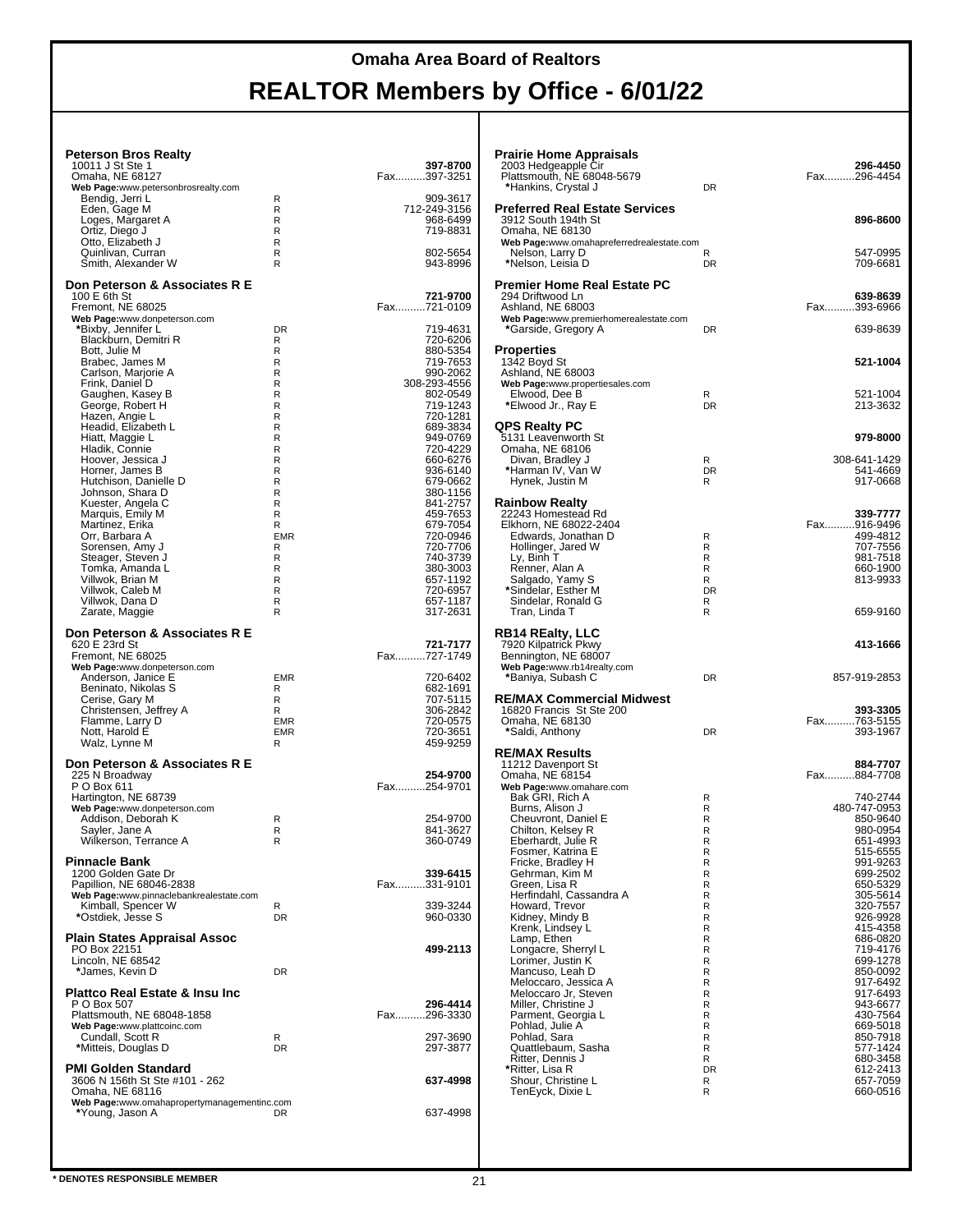#### **Peterson Bros Realty**

| <b>Peterson Bros Realty</b>                                    |            |                         |
|----------------------------------------------------------------|------------|-------------------------|
| 10011 J St Ste 1<br>Omaha, NE 68127                            |            | 397-8700<br>Fax397-3251 |
| Web Page:www.petersonbrosrealty.com                            |            |                         |
| Bendig, Jerri L                                                | R          | 909-3617                |
| Eden, Gage M                                                   | R          | 712-249-3156            |
| Loges, Margaret A                                              | R          | 968-6499                |
| Ortiz, Diego J                                                 | R          | 719-8831                |
| Otto, Elizabeth J<br>Quinlivan, Curran                         | R<br>R     | 802-5654                |
| Smith, Alexander W                                             | R          | 943-8996                |
|                                                                |            |                         |
| Don Peterson & Associates R E                                  |            |                         |
| 100 E 6th St                                                   |            | 721-9700                |
| Fremont, NE 68025                                              |            | Fax721-0109             |
| Web Page:www.donpeterson.com                                   |            |                         |
| *Bixby, Jennifer L                                             | <b>DR</b>  | 719-4631                |
| Blackburn, Demitri R<br>Bott, Julie M                          | R<br>R     | 720-6206<br>880-5354    |
| Brabec, James M                                                | R          | 719-7653                |
| Carlson, Marjorie A                                            | R          | 990-2062                |
| Frink, Daniel D                                                | R          | 308-293-4556            |
| Gaughen, Kasey B                                               | R          | 802-0549                |
| George, Robert H                                               | R          | 719-1243                |
| Hazen, Angie L                                                 | R          | 720-1281                |
| Headid, Elizabeth L                                            | R          | 689-3834                |
| Hiatt, Maggie L<br>Hladik, Connie                              | R<br>R     | 949-0769<br>720-4229    |
| Hoover, Jessica J                                              | R          | 660-6276                |
| Horner, James B                                                | R          | 936-6140                |
| Hutchison, Danielle D                                          | R          | 679-0662                |
| Johnson, Shara D                                               | R          | 380-1156                |
| Kuester, Angela C                                              | R          | 841-2757                |
| Marquis, Emily M                                               | R          | 459-7653                |
| Martinez, Erika                                                | R          | 679-7054                |
| Orr, Barbara A                                                 | <b>EMR</b> | 720-0946                |
| Sorensen, Amy J<br>Steager, Steven J                           | R<br>R     | 720-7706<br>740-3739    |
| Tomka, Amanda L                                                | R          | 380-3003                |
| Villwok, Brian M                                               | R          | 657-1192                |
| Villwok, Caleb M                                               | R          | 720-6957                |
| Villwok, Dana D                                                | R          | 657-1187                |
| Zarate, Maggie                                                 | R          | 317-2631                |
|                                                                |            |                         |
| Don Peterson & Associates R E                                  |            |                         |
| 620 E 23rd St                                                  |            | 721-7177<br>Fax727-1749 |
| Fremont, NE 68025<br>Web Page:www.donpeterson.com              |            |                         |
| Anderson, Janice E                                             | <b>EMR</b> | 720-6402                |
| Beninato, Nikolas S                                            |            |                         |
|                                                                | R          |                         |
|                                                                | R          | 682-1691<br>707-5115    |
| Cerise, Gary M<br>Christensen, Jeffrey A                       | R          | 306-2842                |
| Flamme, Larry D                                                | <b>EMR</b> | 720-0575                |
| Nott, Harold E                                                 | <b>EMR</b> | 720-3651                |
| Walz, Lynne M                                                  | R          | 459-9259                |
|                                                                |            |                         |
| Don Peterson & Associates R E                                  |            |                         |
| 225 N Broadway                                                 |            | 254-9700                |
| P O Box 611                                                    |            | Fax254-9701             |
| Hartington, NE 68739<br>Web Page:www.donpeterson.com           |            |                         |
| Addison, Deborah K                                             | R          | 254-9700                |
| Sayler, Jane A                                                 | R          | 841-3627                |
| Wilkerson, Terrance A                                          | R          | 360-0749                |
|                                                                |            |                         |
| <b>Pinnacle Bank</b>                                           |            |                         |
| 1200 Golden Gate Dr                                            |            | 339-6415                |
| Papillion, NE 68046-2838                                       |            | Fax331-9101             |
| Web Page:www.pinnaclebankrealestate.com                        | R          | 339-3244                |
| Kimball, Spencer W<br>*Ostdiek, Jesse S                        | DR         | 960-0330                |
|                                                                |            |                         |
| Plain States Appraisal Assoc                                   |            |                         |
| PO Box 22151                                                   |            | 499-2113                |
| Lincoln, NE 68542                                              |            |                         |
| *James, Kevin D                                                | DR         |                         |
| <b>Plattco Real Estate &amp; Insu Inc</b>                      |            |                         |
| P O Box 507                                                    |            | 296-4414                |
| Plattsmouth, NE 68048-1858                                     |            | Fax296-3330             |
| Web Page:www.plattcoinc.com                                    |            |                         |
| Cundall, Scott R                                               | R          | 297-3690                |
| *Mitteis, Douglas D                                            | DR         | 297-3877                |
|                                                                |            |                         |
| PMI Golden Standard                                            |            |                         |
| 3606 N 156th St Ste #101 - 262                                 |            | 637-4998                |
| Omaha, NE 68116<br>Web Page:www.omahapropertymanagementinc.com |            |                         |
| *Young, Jason A                                                | DR         | 637-4998                |
|                                                                |            |                         |
|                                                                |            |                         |

| <b>Prairie Home Appraisals</b><br>2003 Hedgeapple Cir<br>Plattsmouth, NE 68048-5679<br>*Hankins, Crystal J                                                                                                                                                                                                                                                                                                                                                                                                                                                                           | <b>DR</b>                                                                                                                                   | 296-4450<br>Fax296-4454                                                                                                                                                                                                                                                                                                              |
|--------------------------------------------------------------------------------------------------------------------------------------------------------------------------------------------------------------------------------------------------------------------------------------------------------------------------------------------------------------------------------------------------------------------------------------------------------------------------------------------------------------------------------------------------------------------------------------|---------------------------------------------------------------------------------------------------------------------------------------------|--------------------------------------------------------------------------------------------------------------------------------------------------------------------------------------------------------------------------------------------------------------------------------------------------------------------------------------|
| <b>Preferred Real Estate Services</b><br>3912 South 194th St<br>Omaha, NE 68130<br>Web Page:www.omahapreferredrealestate.com                                                                                                                                                                                                                                                                                                                                                                                                                                                         |                                                                                                                                             | 896-8600<br>547-0995                                                                                                                                                                                                                                                                                                                 |
| Nelson, Larry D<br>*Nelson, Leisia D<br><b>Premier Home Real Estate PC</b>                                                                                                                                                                                                                                                                                                                                                                                                                                                                                                           | R<br>DR                                                                                                                                     | 709-6681                                                                                                                                                                                                                                                                                                                             |
| 294 Driftwood Ln<br>Ashland, NE 68003<br>Web Page:www.premierhomerealestate.com                                                                                                                                                                                                                                                                                                                                                                                                                                                                                                      | DR                                                                                                                                          | 639-8639<br>Fax393-6966<br>639-8639                                                                                                                                                                                                                                                                                                  |
| *Garside, Gregory A<br>Properties                                                                                                                                                                                                                                                                                                                                                                                                                                                                                                                                                    |                                                                                                                                             |                                                                                                                                                                                                                                                                                                                                      |
| 1342 Boyd St<br>Ashland, NE 68003<br>Web Page:www.propertiesales.com<br>Elwood, Dee B                                                                                                                                                                                                                                                                                                                                                                                                                                                                                                | R<br>DR                                                                                                                                     | 521-1004<br>521-1004<br>213-3632                                                                                                                                                                                                                                                                                                     |
| *Elwood Jr., Ray E<br>QPS Realty PC                                                                                                                                                                                                                                                                                                                                                                                                                                                                                                                                                  |                                                                                                                                             |                                                                                                                                                                                                                                                                                                                                      |
| 5131 Leavenworth St<br>Omaha, NE 68106                                                                                                                                                                                                                                                                                                                                                                                                                                                                                                                                               |                                                                                                                                             | 979-8000                                                                                                                                                                                                                                                                                                                             |
| Divan, Bradley J<br>*Harman IV, Van W<br>Hynek, Justin M                                                                                                                                                                                                                                                                                                                                                                                                                                                                                                                             | R<br><b>DR</b><br>R                                                                                                                         | 308-641-1429<br>541-4669<br>917-0668                                                                                                                                                                                                                                                                                                 |
| <b>Rainbow Realty</b><br>22243 Homestead Rd<br>Elkhorn, NE 68022-2404<br>Edwards, Jonathan D<br>Hollinger, Jared W<br>Ly, Binh T<br>Renner, Alan A<br>Salgado, Yamy S<br>*Sindelar, Esther M<br>Sindelar, Ronald G<br>Tran, Linda T                                                                                                                                                                                                                                                                                                                                                  | R<br>R<br>R<br>R<br>R<br>DR<br>R<br>R                                                                                                       | 339-7777<br>Fax916-9496<br>499-4812<br>707-7556<br>981-7518<br>660-1900<br>813-9933<br>659-9160                                                                                                                                                                                                                                      |
| <b>RB14 REalty, LLC</b><br>7920 Kilpatrick Pkwy                                                                                                                                                                                                                                                                                                                                                                                                                                                                                                                                      |                                                                                                                                             | 413-1666                                                                                                                                                                                                                                                                                                                             |
| Bennington, NE 68007<br>Web Page:www.rb14realty.com<br>*Baniya, Subash C                                                                                                                                                                                                                                                                                                                                                                                                                                                                                                             | DR                                                                                                                                          | 857-919-2853                                                                                                                                                                                                                                                                                                                         |
| <b>RE/MAX Commercial Midwest</b><br>16820 Francis St Ste 200<br>Omaha, NE 68130<br>*Saldi, Anthony                                                                                                                                                                                                                                                                                                                                                                                                                                                                                   | DR                                                                                                                                          | 393-3305<br>Fax763-5155<br>393-1967                                                                                                                                                                                                                                                                                                  |
| <b>RE/MAX Results</b><br>11212 Davenport St                                                                                                                                                                                                                                                                                                                                                                                                                                                                                                                                          |                                                                                                                                             | 884-7707                                                                                                                                                                                                                                                                                                                             |
| Omaha, NE 68154<br>Web Page:www.omahare.com<br>Bak GRI, Rich A                                                                                                                                                                                                                                                                                                                                                                                                                                                                                                                       | R                                                                                                                                           | Fax884-7708<br>740-2744                                                                                                                                                                                                                                                                                                              |
| Burns, Alison J<br>Cheuvront, Daniel E<br>Chilton, Kelsey R<br>Ebernardt, Julie R<br>Fosmer, Katrina E<br>Fricke, Bradley H<br>Gehrman, Kim M<br>Green, Lisa R<br>Herfindahl, Cassandra A<br>Howard, Trevor<br>Kidney, Mindy B<br>Krenk, Lindsey L<br>Lamp, Ethen<br>Longacre, Sherryl L<br>Lorimer, Justin K<br>Mancuso, Leah D<br>Meloccaro, Jessica A<br>Meloccaro Jr, Steven<br>Miller, Christine J<br>Parment, Georgia L<br>Pohlad, Julie A <sup>'</sup><br>Pohlad, Sara<br>Quattlebaum, Sasha<br>Ritter, Dennis J<br>*Ritter, Lisa R<br>Shour, Christine L<br>TenEyck, Dixie L | R<br>R<br>R<br>к<br>R<br>R<br>R<br>R<br>R<br>R<br>R<br>R<br>R<br>R<br>R<br>R<br>R<br>R<br>R<br>R<br>R<br>R<br>R<br>R<br><b>DR</b><br>R<br>R | 480-747-0953<br>850-9640<br>980-0954<br>651-4993<br>515-6555<br>991-9263<br>699-2502<br>650-5329<br>305-5614<br>320-7557<br>926-9928<br>415-4358<br>686-0820<br>719-4176<br>699-1278<br>850-0092<br>917-6492<br>917-6493<br>943-6677<br>430-7564<br>669-5018<br>850-7918<br>577-1424<br>680-3458<br>612-2413<br>657-7059<br>660-0516 |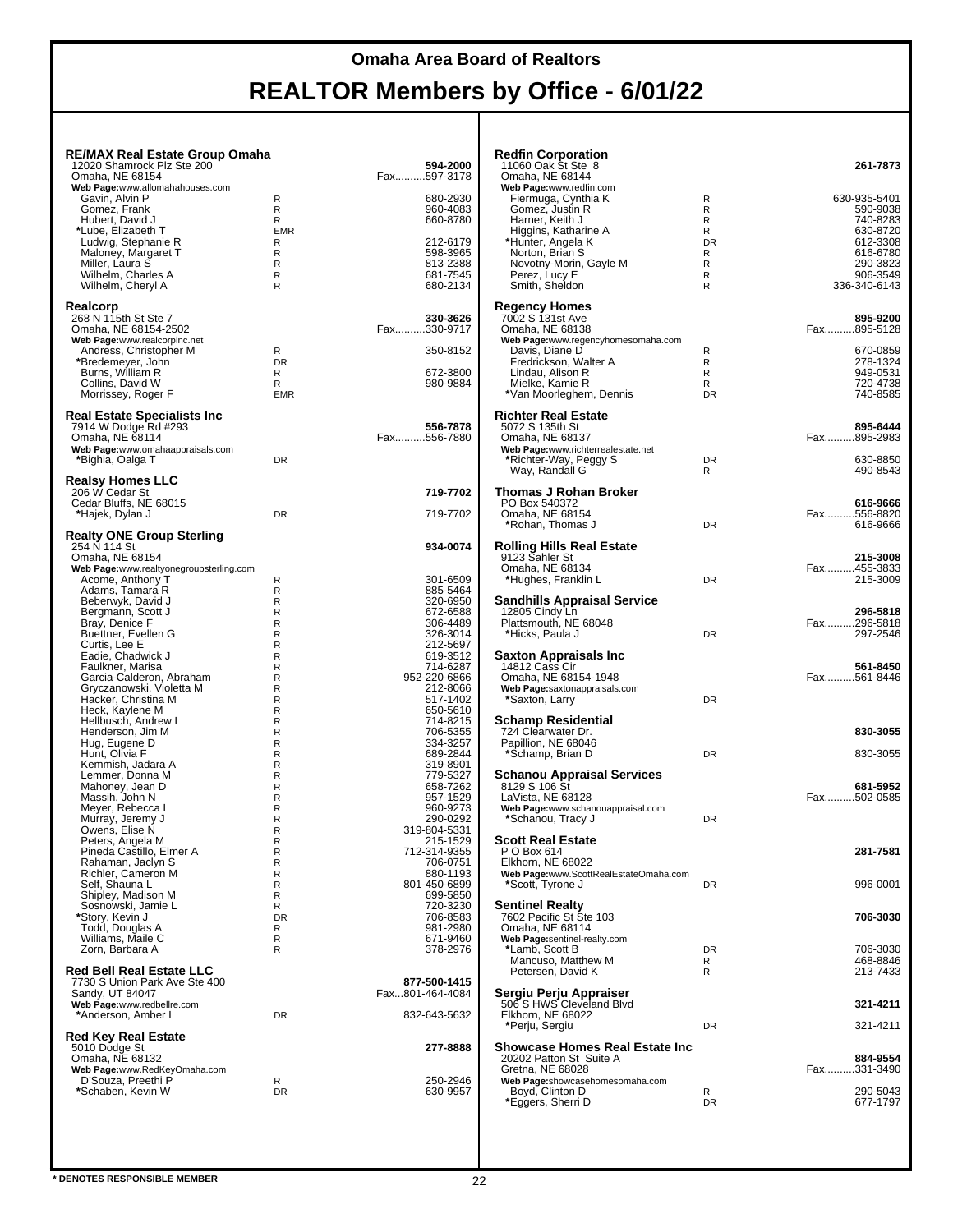| <b>RE/MAX Real Estate Group Omaha</b><br>12020 Shamrock Plz Ste 200<br>Omaha, NE 68154 |                 | 594-2000<br>Fax597-3178         | <b>Redfin Corporation</b><br>11060 Oak St Ste 8<br>Omaha, NE 68144 |           | 261-7873                 |
|----------------------------------------------------------------------------------------|-----------------|---------------------------------|--------------------------------------------------------------------|-----------|--------------------------|
| Web Page:www.allomahahouses.com                                                        |                 |                                 | Web Page:www.redfin.com                                            |           |                          |
| Gavin, Alvin P<br>Gomez, Frank                                                         | R<br>R          | 680-2930<br>960-4083            | Fiermuga, Cynthia K<br>Gomez, Justin R                             | R<br>R    | 630-935-5401<br>590-9038 |
| Hubert, David J<br>*Lube, Elizabeth T                                                  | R<br><b>EMR</b> | 660-8780                        | Harner, Keith J<br>Higgins, Katharine A                            | R<br>R    | 740-8283<br>630-8720     |
| Ludwig, Stephanie R                                                                    | R               | 212-6179                        | *Hunter, Angela K                                                  | DR        | 612-3308                 |
| Maloney, Margaret T<br>Miller, Laura S                                                 | R<br>R          | 598-3965<br>813-2388            | Norton, Brian S<br>Novotny-Morin, Gayle M                          | R<br>R    | 616-6780<br>290-3823     |
| Wilhelm, Charles A                                                                     | R               | 681-7545                        | Perez, Lucy E                                                      | R         | 906-3549                 |
| Wilhelm, Cheryl A                                                                      | R               | 680-2134                        | Smith, Sheldon                                                     | R         | 336-340-6143             |
| Realcorp<br>268 N 115th St Ste 7                                                       |                 | 330-3626                        | <b>Regency Homes</b><br>7002 S 131st Ave                           |           | 895-9200                 |
| Omaha, NE 68154-2502                                                                   |                 | Fax330-9717                     | Omaha, NE 68138                                                    |           | Fax895-5128              |
| Web Page:www.realcorpinc.net<br>Andress, Christopher M                                 | R               | 350-8152                        | Web Page:www.regencyhomesomaha.com<br>Davis, Diane D               | R         | 670-0859                 |
| *Bredemeyer, John                                                                      | <b>DR</b>       |                                 | Fredrickson, Walter A                                              | R         | 278-1324                 |
| Burns, William R<br>Collins, David W                                                   | R<br>R          | 672-3800<br>980-9884            | Lindau, Alison R<br>Mielke, Kamie R                                | R<br>R    | 949-0531<br>720-4738     |
| Morrissey, Roger F                                                                     | <b>EMR</b>      |                                 | *Van Moorleghem, Dennis                                            | <b>DR</b> | 740-8585                 |
| <b>Real Estate Specialists Inc.</b>                                                    |                 | 556-7878                        | <b>Richter Real Estate</b>                                         |           |                          |
| 7914 W Dodge Rd #293<br>Omaha. NE 68114                                                |                 | Fax556-7880                     | 5072 S 135th St<br>Omaha, NE 68137                                 |           | 895-6444<br>Fax895-2983  |
| Web Page:www.omahaappraisals.com                                                       | <b>DR</b>       |                                 | Web Page:www.richterrealestate.net                                 |           | 630-8850                 |
| *Bighia, Oalga T                                                                       |                 |                                 | *Richter-Way, Peggy S<br>Way, Randall G                            | DR<br>R   | 490-8543                 |
| <b>Realsy Homes LLC</b><br>206 W Cedar St                                              |                 | 719-7702                        | <b>Thomas J Rohan Broker</b>                                       |           |                          |
| Cedar Bluffs, NE 68015                                                                 |                 |                                 | PO Box 540372                                                      |           | 616-9666                 |
| *Hajek, Dylan J                                                                        | DR              | 719-7702                        | Omaha, NE 68154<br>*Rohan, Thomas J                                | DR        | Fax556-8820<br>616-9666  |
| <b>Realty ONE Group Sterling</b><br>254 N 114 St                                       |                 | 934-0074                        | <b>Rolling Hills Real Estate</b>                                   |           |                          |
| Omaha, NE 68154                                                                        |                 |                                 | 9123 Sahler St                                                     |           | 215-3008                 |
| Web Page:www.realtyonegroupsterling.com<br>Acome, Anthony T                            | R               | 301-6509                        | Omaha, NE 68134<br>*Hughes, Franklin L                             | DR        | Fax455-3833<br>215-3009  |
| Adams, Tamara R<br>Beberwyk, David J                                                   | R<br>R          | 885-5464<br>320-6950            | <b>Sandhills Appraisal Service</b>                                 |           |                          |
| Bergmann, Scott J                                                                      | R               | 672-6588                        | 12805 Cindy Ln                                                     |           | 296-5818                 |
| Bray, Denice F<br>Buettner, Evellen G                                                  | R<br>R          | 306-4489<br>326-3014            | Plattsmouth, NE 68048<br>*Hicks, Paula J                           | DR        | Fax296-5818<br>297-2546  |
| Curtis, Lee E                                                                          | R               | 212-5697                        |                                                                    |           |                          |
| Eadie, Chadwick J<br>Faulkner, Marisa                                                  | R<br>R          | 619-3512<br>714-6287            | <b>Saxton Appraisals Inc</b><br>14812 Cass Cir                     |           | 561-8450                 |
| Garcia-Calderon, Abraham                                                               | R               | 952-220-6866                    | Omaha, NE 68154-1948                                               |           | Fax561-8446              |
| Gryczanowski, Violetta M<br>Hacker, Christina M                                        | R<br>R          | 212-8066<br>517-1402            | Web Page:saxtonappraisals.com<br>*Saxton, Larry                    | DR        |                          |
| Heck, Kaylene M                                                                        | R<br>R          | 650-5610                        | <b>Schamp Residential</b>                                          |           |                          |
| Hellbusch, Andrew L<br>Henderson, Jim M                                                | R               | 714-8215<br>706-5355            | 724 Clearwater Dr.                                                 |           | 830-3055                 |
| Hug, Eugene D<br>Hunt, Olivia F                                                        | R<br>R          | 334-3257<br>689-2844            | Papillion, NE 68046<br>*Schamp, Brian D                            | <b>DR</b> | 830-3055                 |
| Kemmish, Jadara A                                                                      | R               | 319-8901                        |                                                                    |           |                          |
| Lemmer, Donna M<br>Mahoney, Jean D                                                     | R<br>R          | 779-5327<br>658-7262            | <b>Schanou Appraisal Services</b><br>8129 S 106 St                 |           | 681-5952                 |
| Massih, John N                                                                         | R               | 957-1529                        | LaVista. NE 68128                                                  |           | Fax502-0585              |
| Meyer, Rebecca L<br>Murray, Jeremy J                                                   | R<br>R          | 960-9273<br>290-0292            | Web Page:www.schanouappraisal.com<br>*Schanou, Tracy J             | DR        |                          |
| Owens, Elise N                                                                         | R               | 319-804-5331                    | <b>Scott Real Estate</b>                                           |           |                          |
| Peters, Angela M<br>Pineda Castillo, Elmer A                                           | R<br>R          | 215-1529<br>712-314-9355        | P O Box 614                                                        |           | 281-7581                 |
| Rahaman, Jaclyn S<br>Richler, Cameron M                                                | R<br>R          | 706-0751<br>880-1193            | Elkhorn, NE 68022<br>Web Page:www.ScottRealEstateOmaha.com         |           |                          |
| Self, Shauna L                                                                         | R               | 801-450-6899                    | *Scott, Tyrone J                                                   | DR        | 996-0001                 |
| Shipley, Madison M<br>Sosnowski, Jamie L                                               | R<br>R          | 699-5850<br>720-3230            | <b>Sentinel Realty</b>                                             |           |                          |
| *Story, Kevin J                                                                        | DR              | 706-8583                        | 7602 Pacific St Ste 103                                            |           | 706-3030                 |
| Todd, Douglas A<br>Williams, Maile C                                                   | R<br>R          | 981-2980<br>671-9460            | Omaha, NE 68114<br>Web Page:sentinel-realty.com                    |           |                          |
| Zorn, Barbara A                                                                        | R               | 378-2976                        | *Lamb, Scott B                                                     | DR        | 706-3030                 |
| <b>Red Bell Real Estate LLC</b>                                                        |                 |                                 | Mancuso, Matthew M<br>Petersen. David K                            | R<br>R    | 468-8846<br>213-7433     |
| 7730 S Union Park Ave Ste 400<br>Sandy, UT 84047                                       |                 | 877-500-1415<br>Fax801-464-4084 | Sergiu Perju Appraiser                                             |           |                          |
| Web Page:www.redbellre.com                                                             |                 |                                 | 506 S HWS Cleveland Blvd                                           |           | 321-4211                 |
| *Anderson, Amber L                                                                     | DR              | 832-643-5632                    | Elkhorn, NE 68022<br>*Perju, Sergiu                                | DR        | 321-4211                 |
| <b>Red Key Real Estate</b><br>5010 Dodge St                                            |                 | 277-8888                        | <b>Showcase Homes Real Estate Inc</b>                              |           |                          |
| Omaha, NE 68132                                                                        |                 |                                 | 20202 Patton St Suite A                                            |           | 884-9554                 |
| Web Page:www.RedKeyOmaha.com<br>D'Souza, Preethi P                                     | R               | 250-2946                        | Gretna, NE 68028<br>Web Page:showcasehomesomaha.com                |           | Fax331-3490              |
| *Schaben, Kevin W                                                                      | DR              | 630-9957                        | Boyd, Clinton D                                                    | R         | 290-5043                 |
|                                                                                        |                 |                                 | *Eggers, Sherri D                                                  | DR        | 677-1797                 |
|                                                                                        |                 |                                 |                                                                    |           |                          |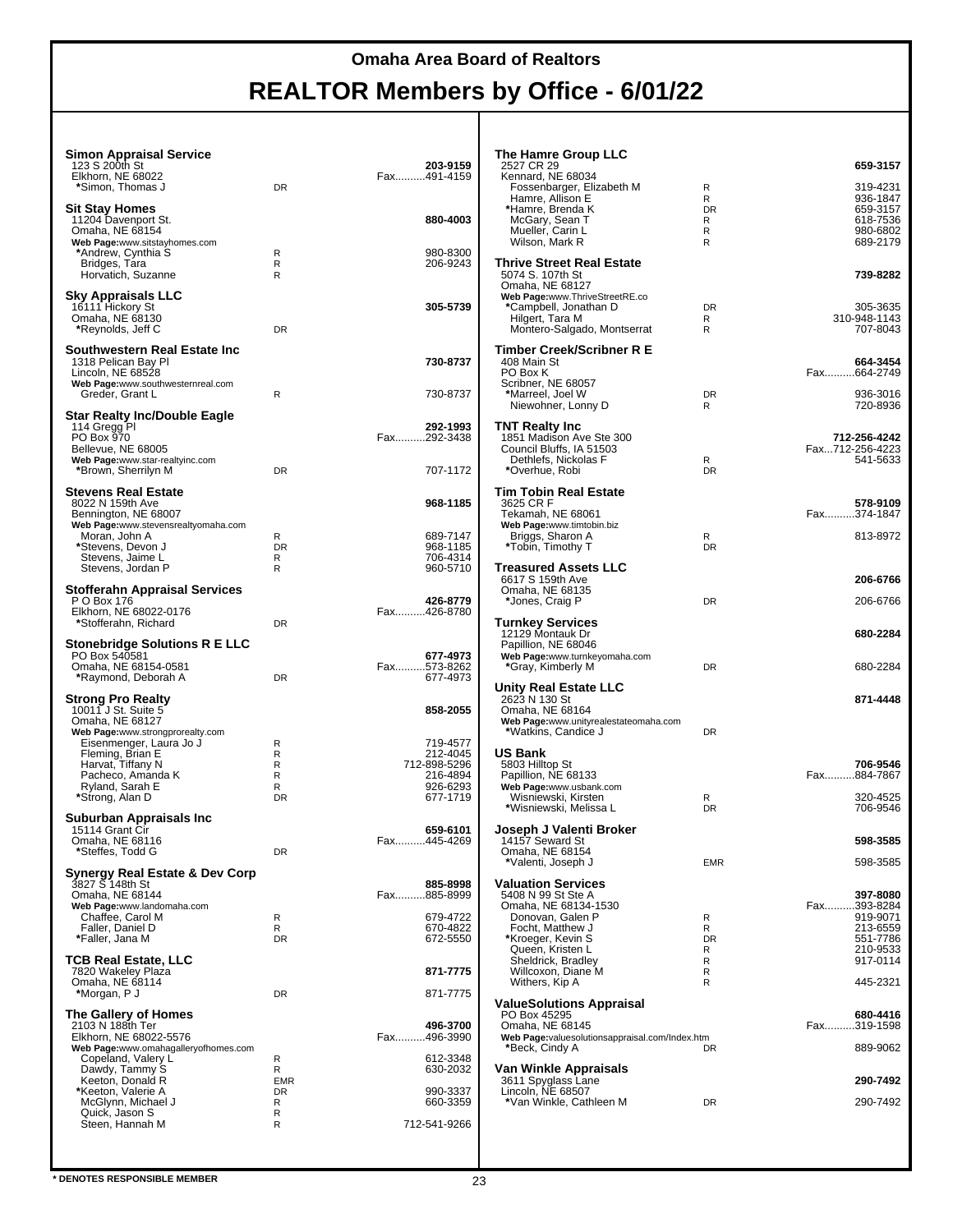| Simon Appraisal Service<br>123 S 200th St<br>Elkhorn, NE 68022<br>*Simon, Thomas J                            | DR          | 203-9159<br>Fax491-4159  |
|---------------------------------------------------------------------------------------------------------------|-------------|--------------------------|
| Sit Stay Homes<br>11204 Davenport St.<br>Omaha, NE 68154                                                      |             | 880-4003                 |
| Web Page:www.sitstayhomes.com<br>*Andrew, Cynthia S<br>Bridges, Tara<br>Horvatich, Suzanne                    | R<br>R<br>R | 980-8300<br>206-9243     |
| Sky Appraisals LLC<br>16111 Hickory St<br>Omaha, NE 68130<br>*Reynolds, Jeff C                                | DR          | 305-5739                 |
| Southwestern Real Estate Inc<br>1318 Pelican Bay Pl<br>Lincoln, NE 68528<br>Web Page:www.southwesternreal.com |             | 730-8737                 |
| Greder, Grant L<br>Star Realty Inc/Double Eagle                                                               | R           | 730-8737                 |
| 114 Gregg Pl<br>PO Box 970<br>Bellevue, NE 68005<br>Web Page:www.star-realtyinc.com                           |             | 292-1993<br>Fax292-3438  |
| *Brown, Sherrilyn M                                                                                           | DR          | 707-1172                 |
| Stevens Real Estate<br>8022 N 159th Ave<br>Bennington, NE 68007<br>Web Page:www.stevensrealtyomaha.com        |             | 968-1185                 |
| Moran, John A                                                                                                 | R           | 689-7147                 |
| *Stevens, Devon J<br>Stevens, Jaime L                                                                         | DR<br>R     | 968-1185<br>706-4314     |
| Stevens, Jordan P<br>Stofferahn Appraisal Services                                                            | R           | 960-5710                 |
| P O Box 176<br>Elkhorn, NE 68022-0176<br>*Stofferahn, Richard                                                 | DR          | 426-8779<br>Fax426-8780  |
| Stonebridge Solutions R E LLC<br>PO Box 540581                                                                |             | 677-4973                 |
| Omaha, NE 68154-0581<br>*Raymond, Deborah A                                                                   | DR          | Fax573-8262<br>677-4973  |
| Strong Pro Realty<br>10011 J St. Suite 5<br>Omaha, NE 68127                                                   |             | 858-2055                 |
| Web Page:www.strongprorealty.com<br>Eisenmenger, Laura Jo J                                                   | R           | 719-4577                 |
| Fleming, Brian E<br>Harvat, Tiffany N                                                                         | R           | 212-4045                 |
| Pacheco, Amanda K                                                                                             | R<br>R      | 712-898-5296<br>216-4894 |
| Ryland, Sarah E<br>*Strong, Alan D                                                                            | R<br>DR     | 926-6293<br>677-1719     |
| Suburban Appraisals Inc<br>15114 Grant Cir                                                                    |             | 659-6101                 |
| Omaha, NE 68116<br>*Steffes, Todd G                                                                           | DR          | Fax445-4269              |
| Synergy Real Estate & Dev Corp<br>3827 S 148th St<br>Omaha, NE 68144<br>Web Page:www.landomaha.com            |             | 885-8998<br>Fax885-8999  |
| Chaffee, Carol M                                                                                              | R           | 679-4722                 |
| Faller, Daniel D<br>*Faller, Jana M                                                                           | R<br>DR     | 670-4822<br>672-5550     |
| <b>TCB Real Estate, LLC</b><br>7820 Wakeley Plaza                                                             |             | 871-7775                 |
| Omaha, NE 68114<br>*Morgan, P J                                                                               | DR          | 871-7775                 |
| The Gallery of Homes<br>2103 N 188th Ter<br>Elkhorn, NE 68022-5576                                            |             | 496-3700<br>Fax496-3990  |
| Web Page:www.omahagalleryofhomes.com<br>Copeland, Valery L<br>Dawdy, Tammy S                                  | R<br>R      | 612-3348<br>630-2032     |
| Keeton, Donald R<br>*Keeton, Valerie A                                                                        | EMR<br>DR   | 990-3337                 |
| McGlynn, Michael J<br>Quick, Jason S<br>Steen, Hannah M                                                       | R<br>R      | 660-3359                 |
|                                                                                                               | R           | 712-541-9266             |

| <b>The Hamre Group LLC</b><br>2527 CR 29                                                                 |                     | 659-3157                                     |
|----------------------------------------------------------------------------------------------------------|---------------------|----------------------------------------------|
| Kennard, NE 68034<br>Fossenbarger, Elizabeth M<br>Hamre, Allison E<br>*Hamre, Brenda K<br>McGary, Sean T | R<br>R<br>DR<br>R   | 319-4231<br>936-1847<br>659-3157<br>618-7536 |
| Mueller, Carin L<br>Wilson, Mark R                                                                       | R<br>R              | 980-6802<br>689-2179                         |
| Thrive Street Real Estate<br>5074 S. 107th St<br>Omaha, NE 68127<br>Web Page:www.ThriveStreetRE.co       |                     | 739-8282                                     |
| *Campbell, Jonathan D<br>Hilgert, Tara M<br>Montero-Salgado, Montserrat                                  | <b>DR</b><br>R<br>R | 305-3635<br>310-948-1143<br>707-8043         |
| Timber Creek/Scribner R E<br>408 Main St                                                                 |                     | 664-3454                                     |
| PO Box K<br>Scribner, NE 68057<br>*Marreel, Joel W<br>Niewohner, Lonny D                                 | DR<br>R             | Fax664-2749<br>936-3016<br>720-8936          |
| <b>TNT Realty Inc</b>                                                                                    |                     |                                              |
| 1851 Madison Ave Ste 300<br>Council Bluffs, IA 51503<br>Dethlefs, Nickolas F<br>*Overhue, Robi           | R<br><b>DR</b>      | 712-256-4242<br>Fax712-256-4223<br>541-5633  |
| Tim Tobin Real Estate<br>3625 CR F                                                                       |                     | 578-9109                                     |
| Tekamah, NE 68061<br>Web Page:www.timtobin.biz                                                           |                     | Fax374-1847                                  |
| Briggs, Sharon A<br>*Tobin, Timothy T                                                                    | R<br><b>DR</b>      | 813-8972                                     |
| Treasured Assets LLC<br>6617 S 159th Ave                                                                 |                     | 206-6766                                     |
| Omaha, NE 68135<br>*Jones, Craig P                                                                       | DR                  | 206-6766                                     |
| <b>Turnkey Services</b>                                                                                  |                     |                                              |
| 12129 Montauk Dr<br>Papillion, NE 68046<br>Web Page:www.turnkeyomaha.com<br>*Gray, Kimberly M            | DR                  | 680-2284<br>680-2284                         |
| <b>Unity Real Estate LLC</b>                                                                             |                     |                                              |
| 2623 N 130 St<br>Omaha, NE 68164<br>Web Page:www.unityrealestateomaha.com<br>*Watkins, Candice J         | DR                  | 871-4448                                     |
| <b>US Bank</b>                                                                                           |                     |                                              |
| 5803 Hilltop St<br>Papillion, NE 68133<br>Web Page:www.usbank.com                                        |                     | 706-9546<br>Fax884-7867                      |
| Wisniewski, Kirsten<br>*Wisniewski, Melissa L                                                            | R<br><b>DR</b>      | 320-4525<br>706-9546                         |
| Joseph J Valenti Broker                                                                                  |                     |                                              |
| 14157 Seward St<br>Omaha, NE 68154<br>*Valenti, Joseph J                                                 | <b>EMR</b>          | 598-3585<br>598-3585                         |
| <b>Valuation Services</b>                                                                                |                     |                                              |
| 5408 N 99 St Ste A<br>Omaha, NE 68134-1530                                                               |                     | 397-8080<br>Fax393-8284                      |
| Donovan, Galen P<br>Focht, Matthew J                                                                     | R<br>R              | 919-9071<br>213-6559                         |
| *Kroeger, Kevin S                                                                                        | DR.<br>R            | 551-7786                                     |
| Queen, Kristen L<br>Sheldrick, Bradley                                                                   | R                   | 210-9533<br>917-0114                         |
| Willcoxon, Diane M<br>Withers, Kip A                                                                     | R<br>R              | 445-2321                                     |
| <b>ValueSolutions Appraisal</b><br>PO Box 45295<br>Omaha, NE 68145                                       |                     | 680-4416<br>Fax319-1598                      |
| Web Page:valuesolutionsappraisal.com/Index.htm<br>*Beck, Cindy A                                         | DR                  | 889-9062                                     |
| Van Winkle Appraisals<br>3611 Spyglass Lane                                                              |                     | 290-7492                                     |
| Lincoln, NE 68507<br>*Van Winkle, Cathleen M                                                             | DR                  | 290-7492                                     |